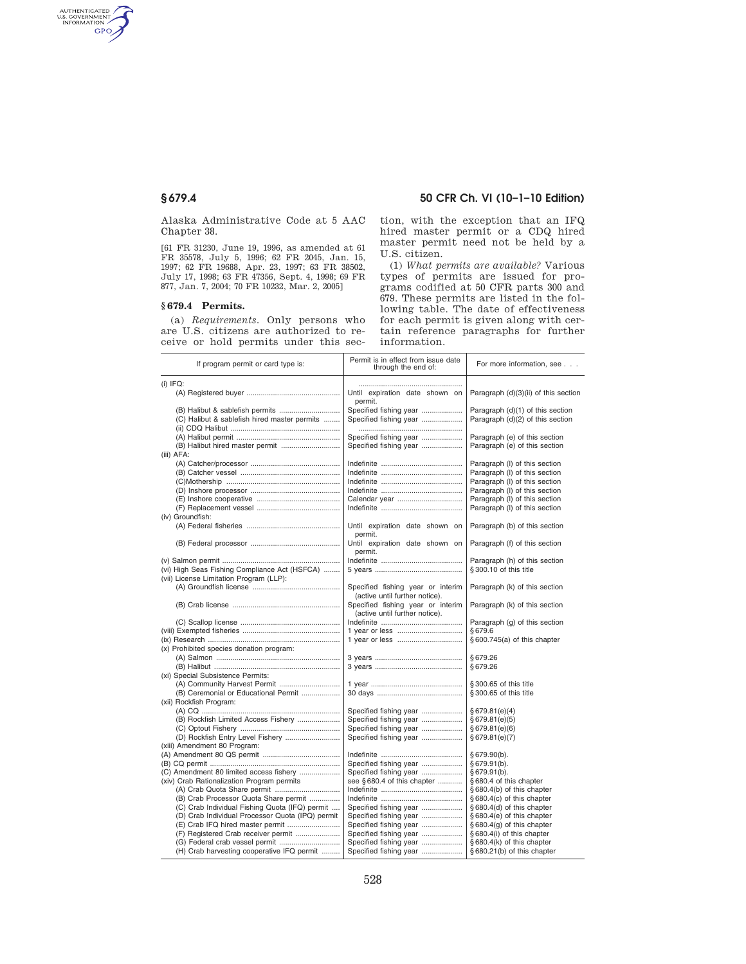AUTHENTICATED<br>U.S. GOVERNMENT<br>INFORMATION **GPO** 

> Alaska Administrative Code at 5 AAC Chapter 38.

> [61 FR 31230, June 19, 1996, as amended at 61 FR 35578, July 5, 1996; 62 FR 2045, Jan. 15, 1997; 62 FR 19688, Apr. 23, 1997; 63 FR 38502, July 17, 1998; 63 FR 47356, Sept. 4, 1998; 69 FR 877, Jan. 7, 2004; 70 FR 10232, Mar. 2, 2005]

### **§ 679.4 Permits.**

(a) *Requirements.* Only persons who are U.S. citizens are authorized to receive or hold permits under this sec-

## **§ 679.4 50 CFR Ch. VI (10–1–10 Edition)**

tion, with the exception that an IFQ hired master permit or a CDQ hired master permit need not be held by a U.S. citizen.

(1) *What permits are available?* Various types of permits are issued for programs codified at 50 CFR parts 300 and 679. These permits are listed in the following table. The date of effectiveness for each permit is given along with certain reference paragraphs for further information.

| If program permit or card type is:               | Permit is in effect from issue date<br>through the end of: | For more information, see            |
|--------------------------------------------------|------------------------------------------------------------|--------------------------------------|
| $(i)$ IFQ:                                       |                                                            |                                      |
|                                                  | Until expiration date shown on                             | Paragraph (d)(3)(ii) of this section |
|                                                  | permit.                                                    |                                      |
|                                                  | Specified fishing year                                     | Paragraph (d)(1) of this section     |
| (C) Halibut & sablefish hired master permits     | Specified fishing year                                     | Paragraph (d)(2) of this section     |
|                                                  |                                                            |                                      |
|                                                  | Specified fishing year                                     | Paragraph (e) of this section        |
|                                                  | Specified fishing year                                     | Paragraph (e) of this section        |
| (iii) AFA:                                       |                                                            |                                      |
|                                                  |                                                            | Paragraph (I) of this section        |
|                                                  |                                                            | Paragraph (I) of this section        |
|                                                  |                                                            | Paragraph (I) of this section        |
|                                                  |                                                            | Paragraph (I) of this section        |
|                                                  | Calendar year                                              | Paragraph (I) of this section        |
|                                                  |                                                            | Paragraph (I) of this section        |
| (iv) Groundfish:                                 |                                                            |                                      |
|                                                  | Until expiration date shown on                             | Paragraph (b) of this section        |
|                                                  | permit.                                                    |                                      |
|                                                  | Until expiration date shown on                             | Paragraph (f) of this section        |
|                                                  | permit.                                                    |                                      |
|                                                  |                                                            | Paragraph (h) of this section        |
| (vi) High Seas Fishing Compliance Act (HSFCA)    |                                                            | §300.10 of this title                |
| (vii) License Limitation Program (LLP):          |                                                            |                                      |
|                                                  | Specified fishing year or interim                          | Paragraph (k) of this section        |
|                                                  | (active until further notice).                             |                                      |
|                                                  | Specified fishing year or interim                          | Paragraph (k) of this section        |
|                                                  | (active until further notice).                             |                                      |
|                                                  |                                                            | Paragraph (g) of this section        |
|                                                  |                                                            | §679.6                               |
|                                                  |                                                            | §600.745(a) of this chapter          |
| (x) Prohibited species donation program:         |                                                            |                                      |
|                                                  |                                                            | §679.26                              |
|                                                  |                                                            | §679.26                              |
| (xi) Special Subsistence Permits:                |                                                            |                                      |
|                                                  |                                                            | §300.65 of this title                |
| (B) Ceremonial or Educational Permit             |                                                            | §300.65 of this title                |
| (xii) Rockfish Program:                          |                                                            |                                      |
|                                                  | Specified fishing year                                     | §679.81(e)(4)                        |
| (B) Rockfish Limited Access Fishery              | Specified fishing year                                     | §679.81(e)(5)                        |
|                                                  | Specified fishing year                                     | §679.81(e)(6)                        |
| (D) Rockfish Entry Level Fishery                 | Specified fishing year                                     | §679.81(e)(7)                        |
| (xiii) Amendment 80 Program:                     |                                                            |                                      |
|                                                  |                                                            | §679.90(b).                          |
|                                                  | Specified fishing year                                     | §679.91(b).                          |
| (C) Amendment 80 limited access fishery          | Specified fishing year                                     | §679.91(b).                          |
| (xiv) Crab Rationalization Program permits       | see §680.4 of this chapter                                 | §680.4 of this chapter               |
|                                                  |                                                            | §680.4(b) of this chapter            |
| (B) Crab Processor Quota Share permit            |                                                            | § 680.4(c) of this chapter           |
| (C) Crab Individual Fishing Quota (IFQ) permit   | Specified fishing year                                     | §680.4(d) of this chapter            |
| (D) Crab Individual Processor Quota (IPQ) permit | Specified fishing year                                     | $§680.4(e)$ of this chapter          |
|                                                  | Specified fishing year                                     | § 680.4(g) of this chapter           |
| (F) Registered Crab receiver permit              | Specified fishing year                                     | §680.4(i) of this chapter            |
|                                                  | Specified fishing year                                     | §680.4(k) of this chapter            |
| (H) Crab harvesting cooperative IFQ permit       | Specified fishing year                                     | §680.21(b) of this chapter           |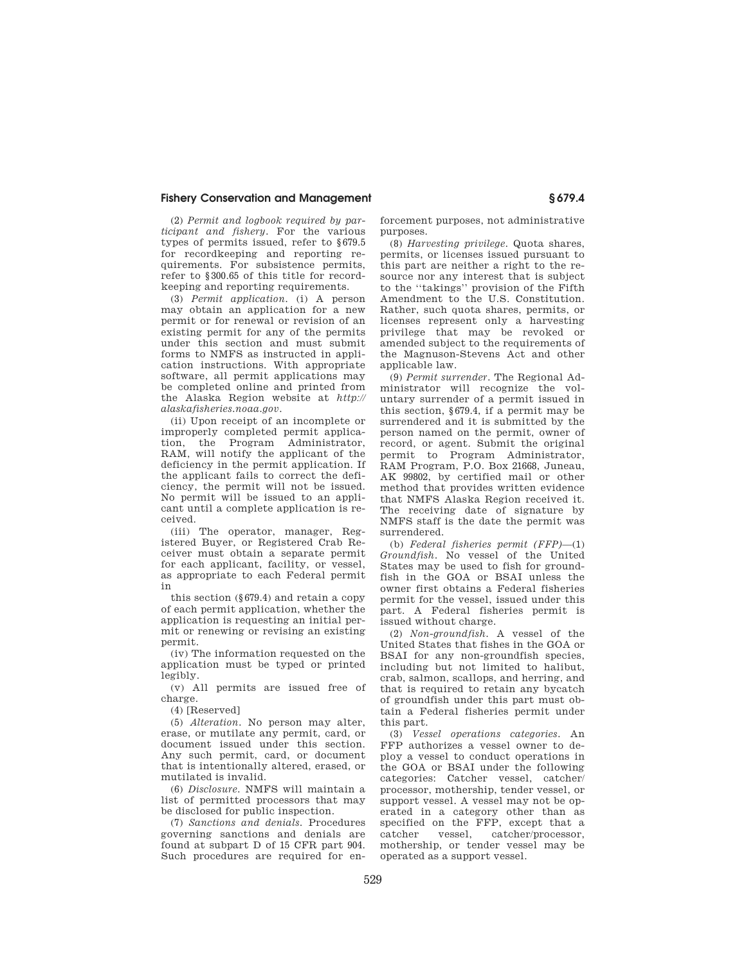(2) *Permit and logbook required by participant and fishery.* For the various types of permits issued, refer to §679.5 for recordkeeping and reporting requirements. For subsistence permits, refer to §300.65 of this title for recordkeeping and reporting requirements.

(3) *Permit application.* (i) A person may obtain an application for a new permit or for renewal or revision of an existing permit for any of the permits under this section and must submit forms to NMFS as instructed in application instructions. With appropriate software, all permit applications may be completed online and printed from the Alaska Region website at *http:// alaskafisheries.noaa.gov*.

(ii) Upon receipt of an incomplete or improperly completed permit application, the Program Administrator, RAM, will notify the applicant of the deficiency in the permit application. If the applicant fails to correct the deficiency, the permit will not be issued. No permit will be issued to an applicant until a complete application is received.

(iii) The operator, manager, Registered Buyer, or Registered Crab Receiver must obtain a separate permit for each applicant, facility, or vessel, as appropriate to each Federal permit in

this section (§679.4) and retain a copy of each permit application, whether the application is requesting an initial permit or renewing or revising an existing permit.

(iv) The information requested on the application must be typed or printed legibly.

(v) All permits are issued free of charge.

(4) [Reserved]

(5) *Alteration.* No person may alter, erase, or mutilate any permit, card, or document issued under this section. Any such permit, card, or document that is intentionally altered, erased, or mutilated is invalid.

(6) *Disclosure.* NMFS will maintain a list of permitted processors that may be disclosed for public inspection.

(7) *Sanctions and denials.* Procedures governing sanctions and denials are found at subpart D of 15 CFR part 904. Such procedures are required for enforcement purposes, not administrative purposes.

(8) *Harvesting privilege.* Quota shares, permits, or licenses issued pursuant to this part are neither a right to the resource nor any interest that is subject to the ''takings'' provision of the Fifth Amendment to the U.S. Constitution. Rather, such quota shares, permits, or licenses represent only a harvesting privilege that may be revoked or amended subject to the requirements of the Magnuson-Stevens Act and other applicable law.

(9) *Permit surrender.* The Regional Administrator will recognize the voluntary surrender of a permit issued in this section, §679.4, if a permit may be surrendered and it is submitted by the person named on the permit, owner of record, or agent. Submit the original permit to Program Administrator, RAM Program, P.O. Box 21668, Juneau, AK 99802, by certified mail or other method that provides written evidence that NMFS Alaska Region received it. The receiving date of signature by NMFS staff is the date the permit was surrendered.

(b) *Federal fisheries permit (FFP)*—(1) *Groundfish.* No vessel of the United States may be used to fish for groundfish in the GOA or BSAI unless the owner first obtains a Federal fisheries permit for the vessel, issued under this part. A Federal fisheries permit is issued without charge.

(2) *Non-groundfish.* A vessel of the United States that fishes in the GOA or BSAI for any non-groundfish species, including but not limited to halibut, crab, salmon, scallops, and herring, and that is required to retain any bycatch of groundfish under this part must obtain a Federal fisheries permit under this part.

(3) *Vessel operations categories.* An FFP authorizes a vessel owner to deploy a vessel to conduct operations in the GOA or BSAI under the following categories: Catcher vessel, catcher/ processor, mothership, tender vessel, or support vessel. A vessel may not be operated in a category other than as specified on the FFP, except that a catcher vessel, catcher/processor mothership, or tender vessel may be operated as a support vessel.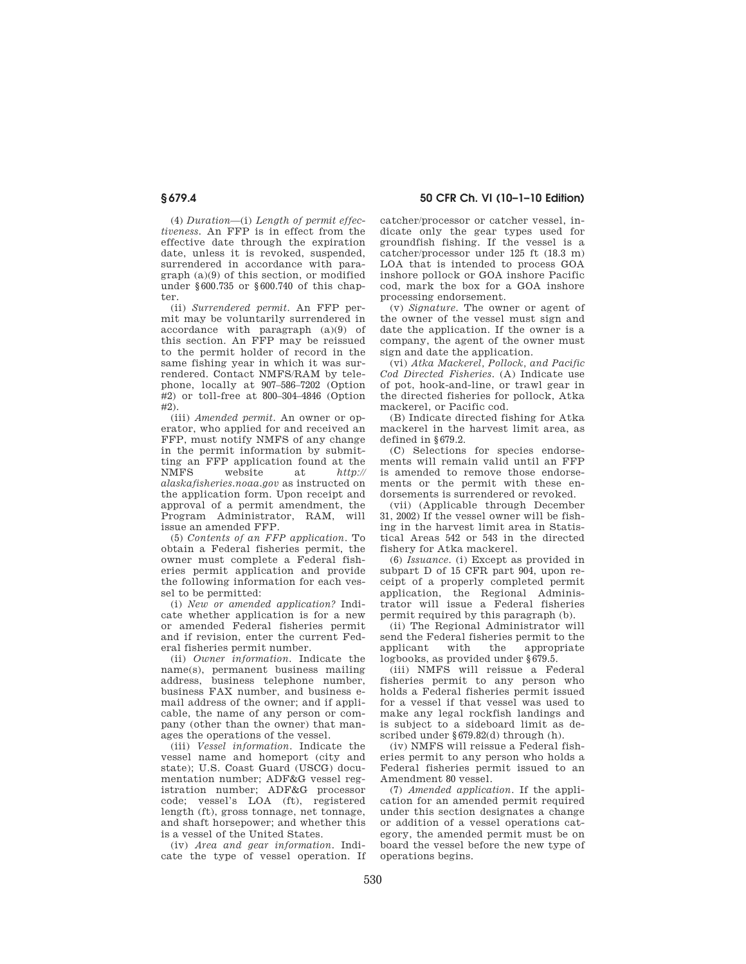(4) *Duration*—(i) *Length of permit effectiveness.* An FFP is in effect from the effective date through the expiration date, unless it is revoked, suspended, surrendered in accordance with paragraph (a)(9) of this section, or modified under §600.735 or §600.740 of this chapter.

(ii) *Surrendered permit.* An FFP permit may be voluntarily surrendered in accordance with paragraph (a)(9) of this section. An FFP may be reissued to the permit holder of record in the same fishing year in which it was surrendered. Contact NMFS/RAM by telephone, locally at 907–586–7202 (Option #2) or toll-free at 800–304–4846 (Option  $#2)$ 

(iii) *Amended permit.* An owner or operator, who applied for and received an FFP, must notify NMFS of any change in the permit information by submitting an FFP application found at the NMFS website at *http:// alaskafisheries.noaa.gov* as instructed on the application form. Upon receipt and approval of a permit amendment, the Program Administrator, RAM, will issue an amended FFP.

(5) *Contents of an FFP application.* To obtain a Federal fisheries permit, the owner must complete a Federal fisheries permit application and provide the following information for each vessel to be permitted:

(i) *New or amended application?* Indicate whether application is for a new or amended Federal fisheries permit and if revision, enter the current Federal fisheries permit number.

(ii) *Owner information.* Indicate the name(s), permanent business mailing address, business telephone number, business FAX number, and business email address of the owner; and if applicable, the name of any person or company (other than the owner) that manages the operations of the vessel.

(iii) *Vessel information.* Indicate the vessel name and homeport (city and state); U.S. Coast Guard (USCG) documentation number; ADF&G vessel registration number; ADF&G processor code; vessel's LOA (ft), registered length (ft), gross tonnage, net tonnage, and shaft horsepower; and whether this is a vessel of the United States.

(iv) *Area and gear information.* Indicate the type of vessel operation. If

**§ 679.4 50 CFR Ch. VI (10–1–10 Edition)** 

catcher/processor or catcher vessel, indicate only the gear types used for groundfish fishing. If the vessel is a catcher/processor under 125 ft (18.3 m) LOA that is intended to process GOA inshore pollock or GOA inshore Pacific cod, mark the box for a GOA inshore processing endorsement.

(v) *Signature.* The owner or agent of the owner of the vessel must sign and date the application. If the owner is a company, the agent of the owner must sign and date the application.

(vi) *Atka Mackerel, Pollock, and Pacific Cod Directed Fisheries.* (A) Indicate use of pot, hook-and-line, or trawl gear in the directed fisheries for pollock, Atka mackerel, or Pacific cod.

(B) Indicate directed fishing for Atka mackerel in the harvest limit area, as defined in §679.2.

(C) Selections for species endorsements will remain valid until an FFP is amended to remove those endorsements or the permit with these endorsements is surrendered or revoked.

(vii) (Applicable through December 31, 2002) If the vessel owner will be fishing in the harvest limit area in Statistical Areas 542 or 543 in the directed fishery for Atka mackerel.

(6) *Issuance.* (i) Except as provided in subpart D of 15 CFR part 904, upon receipt of a properly completed permit application, the Regional Administrator will issue a Federal fisheries permit required by this paragraph (b).

(ii) The Regional Administrator will send the Federal fisheries permit to the applicant with the appropriate logbooks, as provided under §679.5.

(iii) NMFS will reissue a Federal fisheries permit to any person who holds a Federal fisheries permit issued for a vessel if that vessel was used to make any legal rockfish landings and is subject to a sideboard limit as described under §679.82(d) through (h).

(iv) NMFS will reissue a Federal fisheries permit to any person who holds a Federal fisheries permit issued to an Amendment 80 vessel.

(7) *Amended application.* If the application for an amended permit required under this section designates a change or addition of a vessel operations category, the amended permit must be on board the vessel before the new type of operations begins.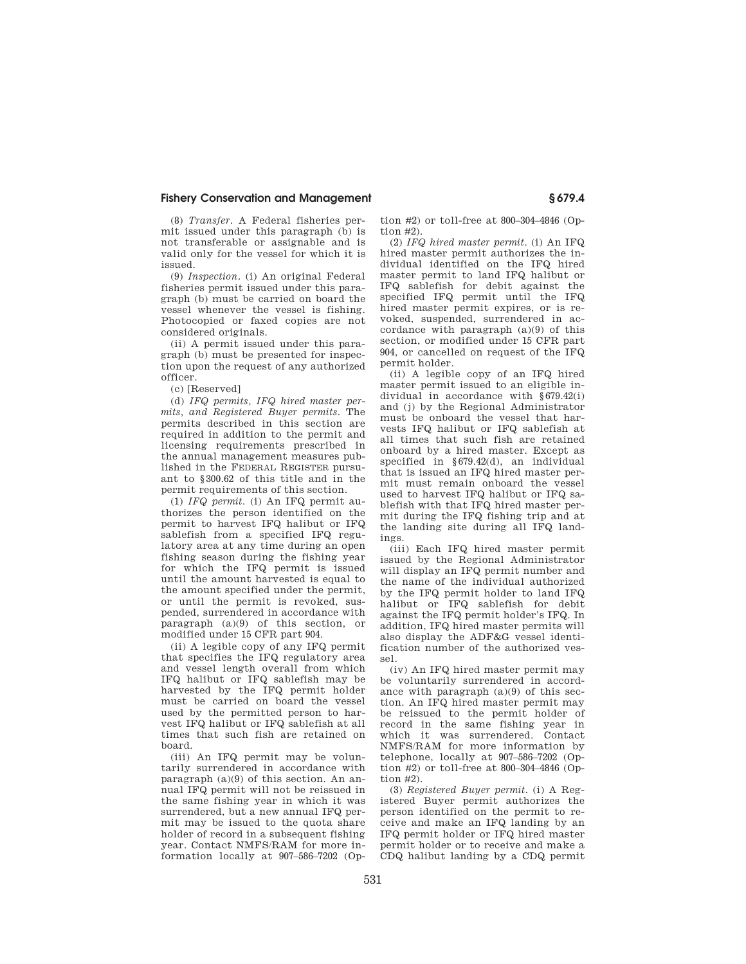(8) *Transfer.* A Federal fisheries permit issued under this paragraph (b) is not transferable or assignable and is valid only for the vessel for which it is issued.

(9) *Inspection.* (i) An original Federal fisheries permit issued under this paragraph (b) must be carried on board the vessel whenever the vessel is fishing. Photocopied or faxed copies are not considered originals.

(ii) A permit issued under this paragraph (b) must be presented for inspection upon the request of any authorized officer.

(c) [Reserved]

(d) *IFQ permits, IFQ hired master permits, and Registered Buyer permits*. The permits described in this section are required in addition to the permit and licensing requirements prescribed in the annual management measures published in the FEDERAL REGISTER pursuant to §300.62 of this title and in the permit requirements of this section.

(1) *IFQ permit.* (i) An IFQ permit authorizes the person identified on the permit to harvest IFQ halibut or IFQ sablefish from a specified IFQ regulatory area at any time during an open fishing season during the fishing year for which the IFQ permit is issued until the amount harvested is equal to the amount specified under the permit, or until the permit is revoked, suspended, surrendered in accordance with paragraph (a)(9) of this section, or modified under 15 CFR part 904.

(ii) A legible copy of any IFQ permit that specifies the IFQ regulatory area and vessel length overall from which IFQ halibut or IFQ sablefish may be harvested by the IFQ permit holder must be carried on board the vessel used by the permitted person to harvest IFQ halibut or IFQ sablefish at all times that such fish are retained on board.

(iii) An IFQ permit may be voluntarily surrendered in accordance with paragraph (a)(9) of this section. An annual IFQ permit will not be reissued in the same fishing year in which it was surrendered, but a new annual IFQ permit may be issued to the quota share holder of record in a subsequent fishing year. Contact NMFS/RAM for more information locally at 907–586–7202 (Option #2) or toll-free at 800–304–4846 (Option  $#2$ ).

(2) *IFQ hired master permit*. (i) An IFQ hired master permit authorizes the individual identified on the IFQ hired master permit to land IFQ halibut or IFQ sablefish for debit against the specified IFQ permit until the IFQ hired master permit expires, or is revoked, suspended, surrendered in accordance with paragraph (a)(9) of this section, or modified under 15 CFR part 904, or cancelled on request of the IFQ permit holder.

(ii) A legible copy of an IFQ hired master permit issued to an eligible individual in accordance with §679.42(i) and (j) by the Regional Administrator must be onboard the vessel that harvests IFQ halibut or IFQ sablefish at all times that such fish are retained onboard by a hired master. Except as specified in §679.42(d), an individual that is issued an IFQ hired master permit must remain onboard the vessel used to harvest IFQ halibut or IFQ sablefish with that IFQ hired master permit during the IFQ fishing trip and at the landing site during all IFQ landings.

(iii) Each IFQ hired master permit issued by the Regional Administrator will display an IFQ permit number and the name of the individual authorized by the IFQ permit holder to land IFQ halibut or IFQ sablefish for debit against the IFQ permit holder's IFQ. In addition, IFQ hired master permits will also display the ADF&G vessel identification number of the authorized vessel.

(iv) An IFQ hired master permit may be voluntarily surrendered in accordance with paragraph (a)(9) of this section. An IFQ hired master permit may be reissued to the permit holder of record in the same fishing year in which it was surrendered. Contact NMFS/RAM for more information by telephone, locally at 907–586–7202 (Option #2) or toll-free at 800–304–4846 (Option #2).

(3) *Registered Buyer permit.* (i) A Registered Buyer permit authorizes the person identified on the permit to receive and make an IFQ landing by an IFQ permit holder or IFQ hired master permit holder or to receive and make a CDQ halibut landing by a CDQ permit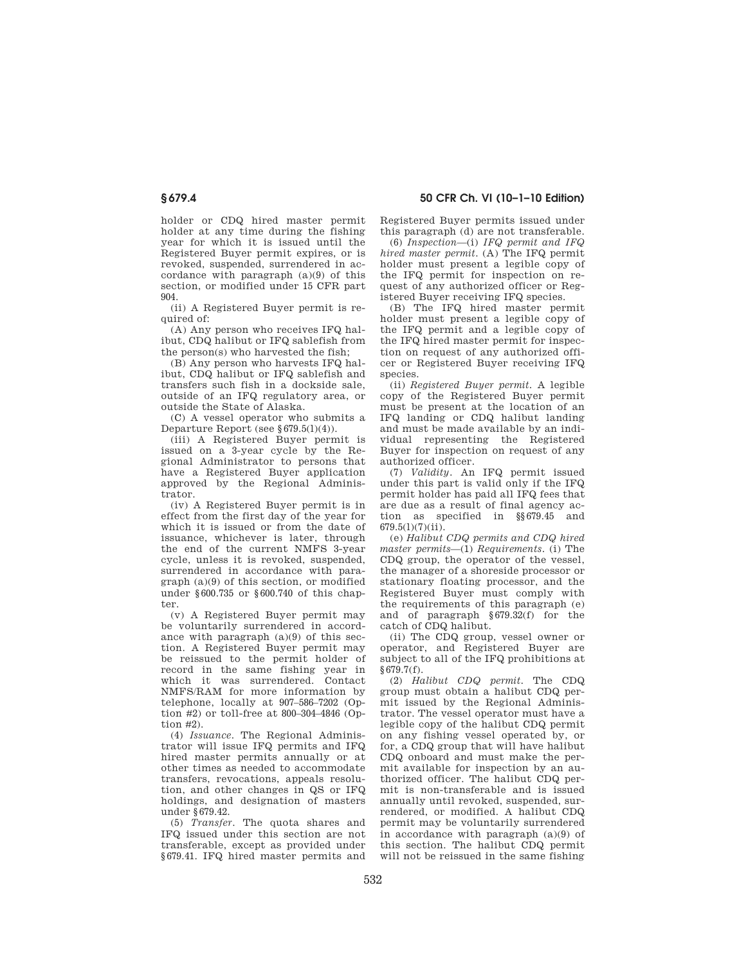holder or CDQ hired master permit holder at any time during the fishing year for which it is issued until the Registered Buyer permit expires, or is revoked, suspended, surrendered in accordance with paragraph (a)(9) of this section, or modified under 15 CFR part 904.

(ii) A Registered Buyer permit is required of:

(A) Any person who receives IFQ halibut, CDQ halibut or IFQ sablefish from the person(s) who harvested the fish:

(B) Any person who harvests IFQ halibut, CDQ halibut or IFQ sablefish and transfers such fish in a dockside sale, outside of an IFQ regulatory area, or outside the State of Alaska.

(C) A vessel operator who submits a Departure Report (see §679.5(l)(4)).

(iii) A Registered Buyer permit is issued on a 3-year cycle by the Regional Administrator to persons that have a Registered Buyer application approved by the Regional Administrator.

(iv) A Registered Buyer permit is in effect from the first day of the year for which it is issued or from the date of issuance, whichever is later, through the end of the current NMFS 3-year cycle, unless it is revoked, suspended, surrendered in accordance with paragraph (a)(9) of this section, or modified under §600.735 or §600.740 of this chapter.

(v) A Registered Buyer permit may be voluntarily surrendered in accordance with paragraph (a)(9) of this section. A Registered Buyer permit may be reissued to the permit holder of record in the same fishing year in which it was surrendered. Contact NMFS/RAM for more information by telephone, locally at 907–586–7202 (Option #2) or toll-free at 800–304–4846 (Option  $\#2$ ).

(4) *Issuance*. The Regional Administrator will issue IFQ permits and IFQ hired master permits annually or at other times as needed to accommodate transfers, revocations, appeals resolution, and other changes in QS or IFQ holdings, and designation of masters under §679.42.

(5) *Transfer*. The quota shares and IFQ issued under this section are not transferable, except as provided under §679.41. IFQ hired master permits and Registered Buyer permits issued under this paragraph (d) are not transferable.

(6) *Inspection*—(i) *IFQ permit and IFQ hired master permit*. (A) The IFQ permit holder must present a legible copy of the IFQ permit for inspection on request of any authorized officer or Registered Buyer receiving IFQ species.

(B) The IFQ hired master permit holder must present a legible copy of the IFQ permit and a legible copy of the IFQ hired master permit for inspection on request of any authorized officer or Registered Buyer receiving IFQ species.

(ii) *Registered Buyer permit.* A legible copy of the Registered Buyer permit must be present at the location of an IFQ landing or CDQ halibut landing and must be made available by an individual representing the Registered Buyer for inspection on request of any authorized officer.

(7) *Validity.* An IFQ permit issued under this part is valid only if the IFQ permit holder has paid all IFQ fees that are due as a result of final agency action as specified in §§679.45 and 679.5(l)(7)(ii).

(e) *Halibut CDQ permits and CDQ hired master permits*—(1) *Requirements.* (i) The CDQ group, the operator of the vessel, the manager of a shoreside processor or stationary floating processor, and the Registered Buyer must comply with the requirements of this paragraph (e) and of paragraph §679.32(f) for the catch of CDQ halibut.

(ii) The CDQ group, vessel owner or operator, and Registered Buyer are subject to all of the IFQ prohibitions at  $§679.7(f).$ 

(2) *Halibut CDQ permit.* The CDQ group must obtain a halibut CDQ permit issued by the Regional Administrator. The vessel operator must have a legible copy of the halibut CDQ permit on any fishing vessel operated by, or for, a CDQ group that will have halibut CDQ onboard and must make the permit available for inspection by an authorized officer. The halibut CDQ permit is non-transferable and is issued annually until revoked, suspended, surrendered, or modified. A halibut CDQ permit may be voluntarily surrendered in accordance with paragraph (a)(9) of this section. The halibut CDQ permit will not be reissued in the same fishing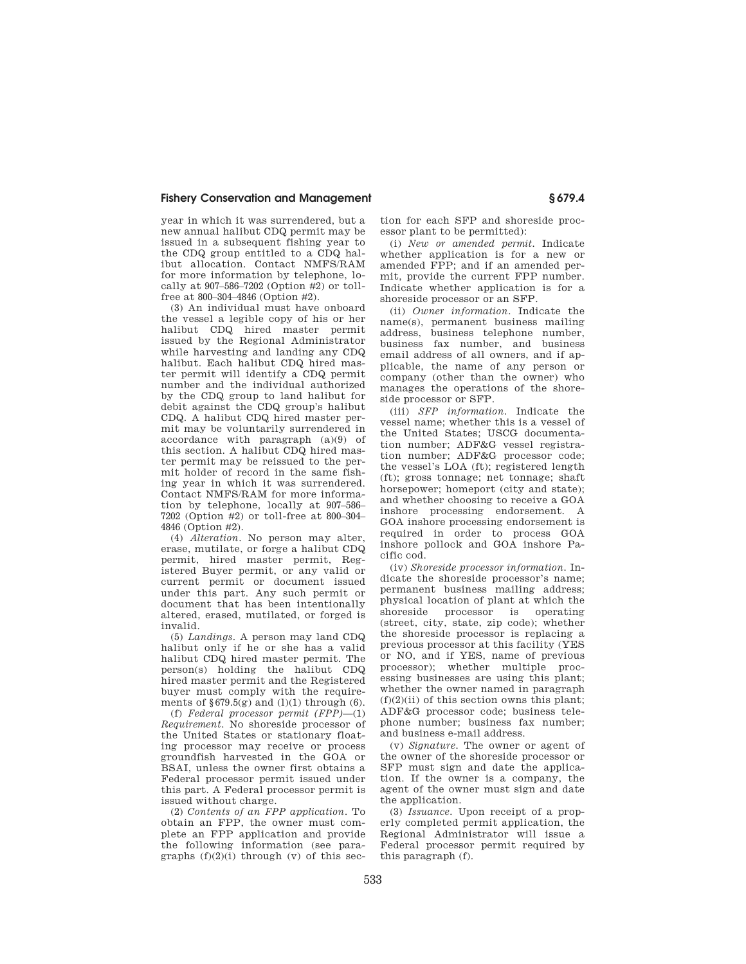year in which it was surrendered, but a new annual halibut CDQ permit may be issued in a subsequent fishing year to the CDQ group entitled to a CDQ halibut allocation. Contact NMFS/RAM for more information by telephone, locally at 907–586–7202 (Option #2) or tollfree at 800–304–4846 (Option #2).

(3) An individual must have onboard the vessel a legible copy of his or her halibut CDQ hired master permit issued by the Regional Administrator while harvesting and landing any CDQ halibut. Each halibut CDQ hired master permit will identify a CDQ permit number and the individual authorized by the CDQ group to land halibut for debit against the CDQ group's halibut CDQ. A halibut CDQ hired master permit may be voluntarily surrendered in accordance with paragraph (a)(9) of this section. A halibut CDQ hired master permit may be reissued to the permit holder of record in the same fishing year in which it was surrendered. Contact NMFS/RAM for more information by telephone, locally at 907–586– 7202 (Option #2) or toll-free at 800–304– 4846 (Option #2).

(4) *Alteration*. No person may alter, erase, mutilate, or forge a halibut CDQ permit, hired master permit, Registered Buyer permit, or any valid or current permit or document issued under this part. Any such permit or document that has been intentionally altered, erased, mutilated, or forged is invalid.

(5) *Landings*. A person may land CDQ halibut only if he or she has a valid halibut CDQ hired master permit. The person(s) holding the halibut CDQ hired master permit and the Registered buyer must comply with the requirements of  $\S 679.5(g)$  and (1)(1) through (6).

(f) *Federal processor permit (FPP)*—(1) *Requirement.* No shoreside processor of the United States or stationary floating processor may receive or process groundfish harvested in the GOA or BSAI, unless the owner first obtains a Federal processor permit issued under this part. A Federal processor permit is issued without charge.

(2) *Contents of an FPP application.* To obtain an FPP, the owner must complete an FPP application and provide the following information (see paragraphs  $(f)(2)(i)$  through  $(v)$  of this section for each SFP and shoreside processor plant to be permitted):

(i) *New or amended permit.* Indicate whether application is for a new or amended FPP; and if an amended permit, provide the current FPP number. Indicate whether application is for a shoreside processor or an SFP.

(ii) *Owner information.* Indicate the name(s), permanent business mailing address, business telephone number, business fax number, and business email address of all owners, and if applicable, the name of any person or company (other than the owner) who manages the operations of the shoreside processor or SFP.

(iii) *SFP information.* Indicate the vessel name; whether this is a vessel of the United States; USCG documentation number; ADF&G vessel registration number; ADF&G processor code; the vessel's LOA (ft); registered length (ft); gross tonnage; net tonnage; shaft horsepower; homeport (city and state); and whether choosing to receive a GOA inshore processing endorsement. A GOA inshore processing endorsement is required in order to process GOA inshore pollock and GOA inshore Pacific cod.

(iv) *Shoreside processor information.* Indicate the shoreside processor's name; permanent business mailing address; physical location of plant at which the shoreside processor is operating (street, city, state, zip code); whether the shoreside processor is replacing a previous processor at this facility (YES or NO, and if YES, name of previous processor); whether multiple processing businesses are using this plant; whether the owner named in paragraph  $(f)(2)(ii)$  of this section owns this plant; ADF&G processor code; business telephone number; business fax number; and business e-mail address.

(v) *Signature.* The owner or agent of the owner of the shoreside processor or SFP must sign and date the application. If the owner is a company, the agent of the owner must sign and date the application.

(3) *Issuance.* Upon receipt of a properly completed permit application, the Regional Administrator will issue a Federal processor permit required by this paragraph (f).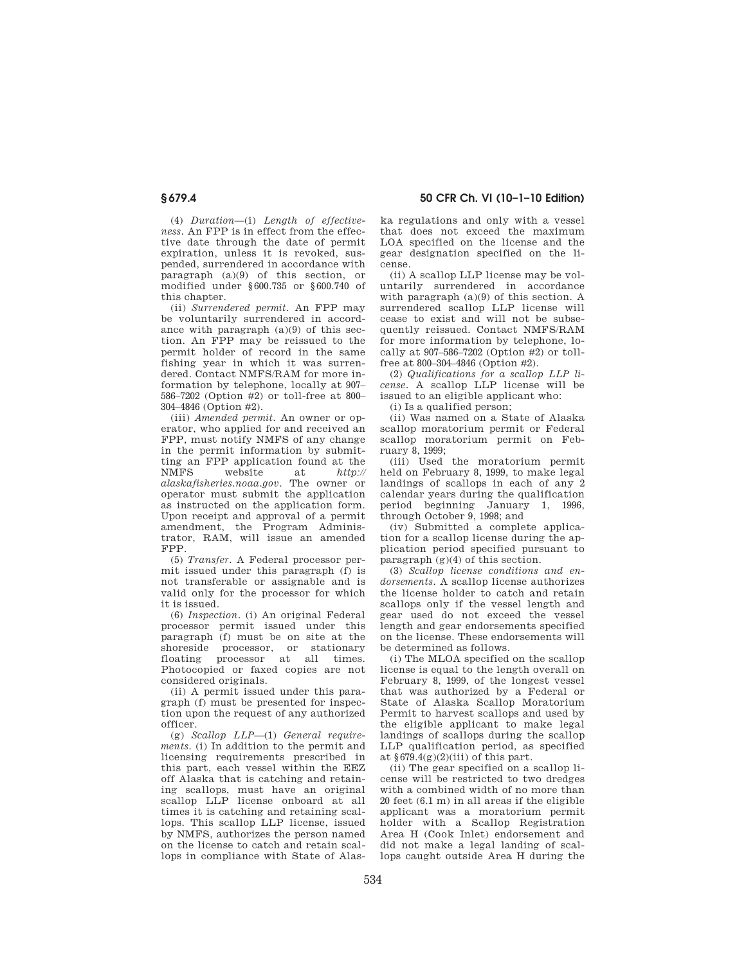(4) *Duration*—(i) *Length of effectiveness.* An FPP is in effect from the effective date through the date of permit expiration, unless it is revoked, suspended, surrendered in accordance with paragraph (a)(9) of this section, or modified under §600.735 or §600.740 of this chapter.

(ii) *Surrendered permit.* An FPP may be voluntarily surrendered in accordance with paragraph (a)(9) of this section. An FPP may be reissued to the permit holder of record in the same fishing year in which it was surrendered. Contact NMFS/RAM for more information by telephone, locally at 907– 586–7202 (Option #2) or toll-free at 800– 304–4846 (Option #2).

(iii) *Amended permit.* An owner or operator, who applied for and received an FPP, must notify NMFS of any change in the permit information by submitting an FPP application found at the NMFS website at *http:// alaskafisheries.noaa.gov*. The owner or operator must submit the application as instructed on the application form. Upon receipt and approval of a permit amendment, the Program Administrator, RAM, will issue an amended FPP.

(5) *Transfer.* A Federal processor permit issued under this paragraph (f) is not transferable or assignable and is valid only for the processor for which it is issued.

(6) *Inspection.* (i) An original Federal processor permit issued under this paragraph (f) must be on site at the shoreside processor, or stationary floating processor at all times. Photocopied or faxed copies are not considered originals.

(ii) A permit issued under this paragraph (f) must be presented for inspection upon the request of any authorized officer.

(g) *Scallop LLP*—(1) *General requirements.* (i) In addition to the permit and licensing requirements prescribed in this part, each vessel within the EEZ off Alaska that is catching and retaining scallops, must have an original scallop LLP license onboard at all times it is catching and retaining scallops. This scallop LLP license, issued by NMFS, authorizes the person named on the license to catch and retain scallops in compliance with State of Alaska regulations and only with a vessel that does not exceed the maximum LOA specified on the license and the gear designation specified on the license.

(ii) A scallop LLP license may be voluntarily surrendered in accordance with paragraph (a)(9) of this section. A surrendered scallop LLP license will cease to exist and will not be subsequently reissued. Contact NMFS/RAM for more information by telephone, locally at  $907-586-7202$  (Option  $\#2$ ) or tollfree at 800–304–4846 (Option #2).

(2) *Qualifications for a scallop LLP license.* A scallop LLP license will be issued to an eligible applicant who:

(i) Is a qualified person;

(ii) Was named on a State of Alaska scallop moratorium permit or Federal scallop moratorium permit on February 8, 1999;

(iii) Used the moratorium permit held on February 8, 1999, to make legal landings of scallops in each of any 2 calendar years during the qualification period beginning January 1, 1996, through October 9, 1998; and

(iv) Submitted a complete application for a scallop license during the application period specified pursuant to paragraph (g)(4) of this section.

(3) *Scallop license conditions and endorsements.* A scallop license authorizes the license holder to catch and retain scallops only if the vessel length and gear used do not exceed the vessel length and gear endorsements specified on the license. These endorsements will be determined as follows.

(i) The MLOA specified on the scallop license is equal to the length overall on February 8, 1999, of the longest vessel that was authorized by a Federal or State of Alaska Scallop Moratorium Permit to harvest scallops and used by the eligible applicant to make legal landings of scallops during the scallop LLP qualification period, as specified at  $\S 679.4(g)(2)(iii)$  of this part.

(ii) The gear specified on a scallop license will be restricted to two dredges with a combined width of no more than 20 feet (6.1 m) in all areas if the eligible applicant was a moratorium permit holder with a Scallop Registration Area H (Cook Inlet) endorsement and did not make a legal landing of scallops caught outside Area H during the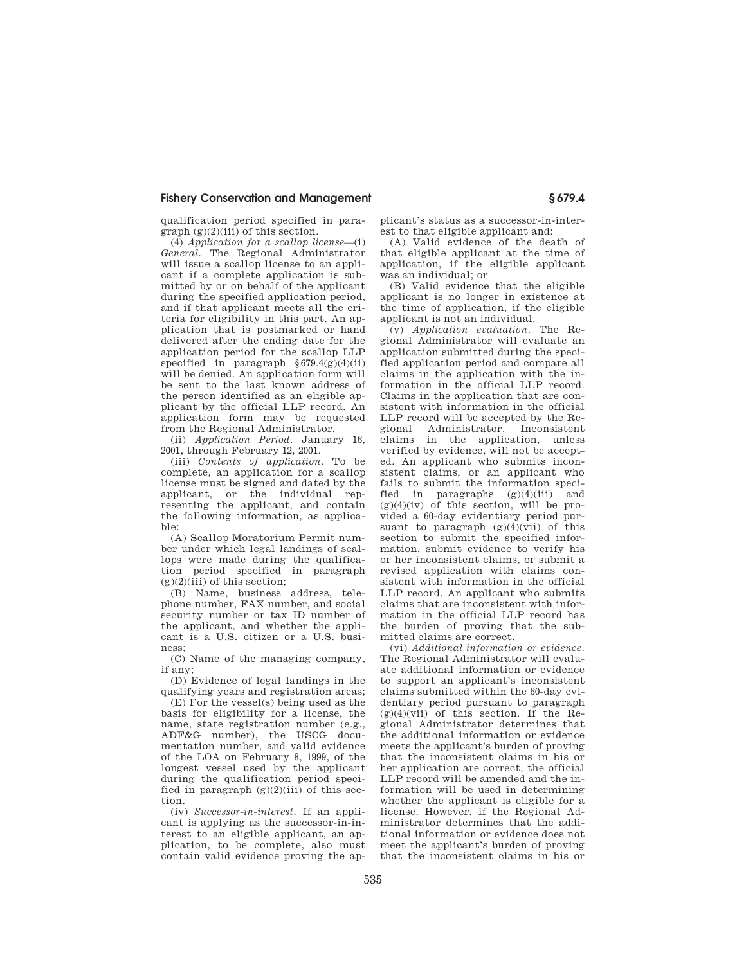qualification period specified in para $graph (g)(2)(iii)$  of this section.

(4) *Application for a scallop license*—(i) *General.* The Regional Administrator will issue a scallop license to an applicant if a complete application is submitted by or on behalf of the applicant during the specified application period, and if that applicant meets all the criteria for eligibility in this part. An application that is postmarked or hand delivered after the ending date for the application period for the scallop LLP specified in paragraph  $§679.4(g)(4)(ii)$ will be denied. An application form will be sent to the last known address of the person identified as an eligible applicant by the official LLP record. An application form may be requested from the Regional Administrator.

(ii) *Application Period.* January 16, 2001, through February 12, 2001.

(iii) *Contents of application.* To be complete, an application for a scallop license must be signed and dated by the applicant, or the individual representing the applicant, and contain the following information, as applicable:

(A) Scallop Moratorium Permit number under which legal landings of scallops were made during the qualification period specified in paragraph  $(g)(2)(iii)$  of this section;

(B) Name, business address, telephone number, FAX number, and social security number or tax ID number of the applicant, and whether the applicant is a U.S. citizen or a U.S. business;

(C) Name of the managing company, if any;

(D) Evidence of legal landings in the qualifying years and registration areas;

(E) For the vessel(s) being used as the basis for eligibility for a license, the name, state registration number (e.g., ADF&G number), the USCG documentation number, and valid evidence of the LOA on February 8, 1999, of the longest vessel used by the applicant during the qualification period specified in paragraph  $(g)(2)(iii)$  of this section.

(iv) *Successor-in-interest.* If an applicant is applying as the successor-in-interest to an eligible applicant, an application, to be complete, also must contain valid evidence proving the applicant's status as a successor-in-interest to that eligible applicant and:

(A) Valid evidence of the death of that eligible applicant at the time of application, if the eligible applicant was an individual; or

(B) Valid evidence that the eligible applicant is no longer in existence at the time of application, if the eligible applicant is not an individual.

(v) *Application evaluation.* The Regional Administrator will evaluate an application submitted during the specified application period and compare all claims in the application with the information in the official LLP record. Claims in the application that are consistent with information in the official LLP record will be accepted by the Regional Administrator. Inconsistent claims in the application, unless verified by evidence, will not be accepted. An applicant who submits inconsistent claims, or an applicant who fails to submit the information specified in paragraphs  $(g)(4)(iii)$  and  $(g)(4)(iv)$  of this section, will be provided a 60-day evidentiary period pursuant to paragraph  $(g)(4)(\overline{v}i)$  of this section to submit the specified information, submit evidence to verify his or her inconsistent claims, or submit a revised application with claims consistent with information in the official LLP record. An applicant who submits claims that are inconsistent with information in the official LLP record has the burden of proving that the submitted claims are correct.

(vi) *Additional information or evidence.*  The Regional Administrator will evaluate additional information or evidence to support an applicant's inconsistent claims submitted within the 60-day evidentiary period pursuant to paragraph  $(g)(4)(vii)$  of this section. If the Regional Administrator determines that the additional information or evidence meets the applicant's burden of proving that the inconsistent claims in his or her application are correct, the official LLP record will be amended and the information will be used in determining whether the applicant is eligible for a license. However, if the Regional Administrator determines that the additional information or evidence does not meet the applicant's burden of proving that the inconsistent claims in his or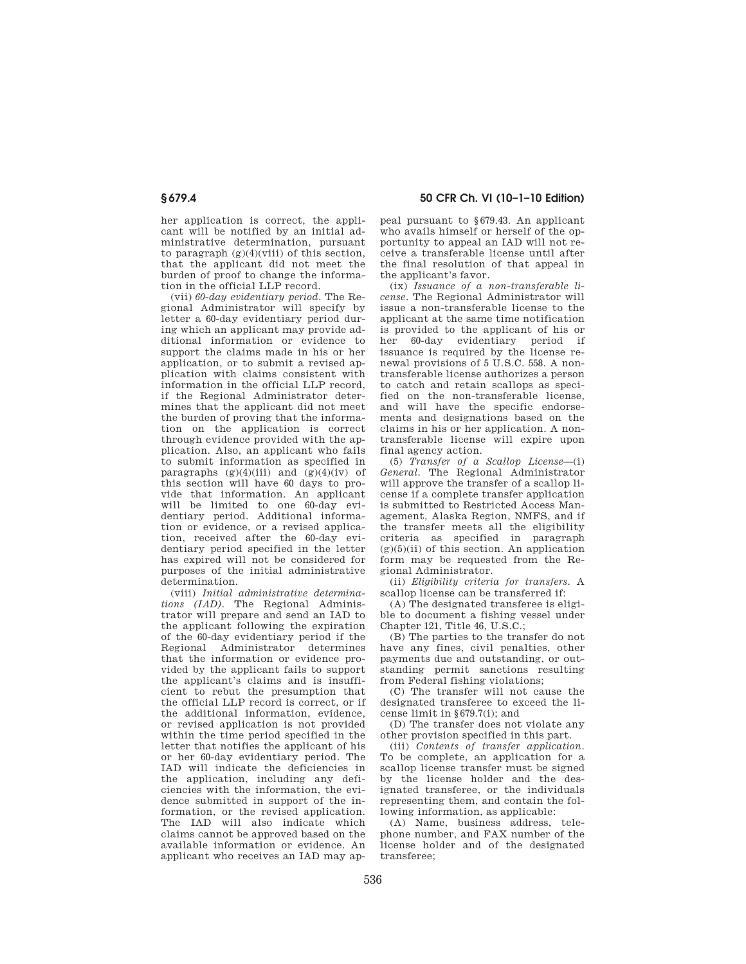her application is correct, the applicant will be notified by an initial administrative determination, pursuant to paragraph  $(g)(4)(viii)$  of this section, that the applicant did not meet the burden of proof to change the information in the official LLP record.

(vii) *60-day evidentiary period.* The Regional Administrator will specify by letter a 60-day evidentiary period during which an applicant may provide additional information or evidence to support the claims made in his or her application, or to submit a revised application with claims consistent with information in the official LLP record, if the Regional Administrator determines that the applicant did not meet the burden of proving that the information on the application is correct through evidence provided with the application. Also, an applicant who fails to submit information as specified in paragraphs  $(g)(4)(iii)$  and  $(g)(4)(iv)$  of this section will have 60 days to provide that information. An applicant will be limited to one 60-day evidentiary period. Additional information or evidence, or a revised application, received after the 60-day evidentiary period specified in the letter has expired will not be considered for purposes of the initial administrative determination.

(viii) *Initial administrative determinations (IAD).* The Regional Administrator will prepare and send an IAD to the applicant following the expiration of the 60-day evidentiary period if the Regional Administrator determines that the information or evidence provided by the applicant fails to support the applicant's claims and is insufficient to rebut the presumption that the official LLP record is correct, or if the additional information, evidence, or revised application is not provided within the time period specified in the letter that notifies the applicant of his or her 60-day evidentiary period. The IAD will indicate the deficiencies in the application, including any deficiencies with the information, the evidence submitted in support of the information, or the revised application. The IAD will also indicate which claims cannot be approved based on the available information or evidence. An applicant who receives an IAD may ap-

**§ 679.4 50 CFR Ch. VI (10–1–10 Edition)** 

peal pursuant to §679.43. An applicant who avails himself or herself of the opportunity to appeal an IAD will not receive a transferable license until after the final resolution of that appeal in the applicant's favor.

(ix) *Issuance of a non-transferable license.* The Regional Administrator will issue a non-transferable license to the applicant at the same time notification is provided to the applicant of his or her 60-day evidentiary period if issuance is required by the license renewal provisions of 5 U.S.C. 558. A nontransferable license authorizes a person to catch and retain scallops as specified on the non-transferable license, and will have the specific endorsements and designations based on the claims in his or her application. A nontransferable license will expire upon final agency action.

(5) *Transfer of a Scallop License*—(i) *General.* The Regional Administrator will approve the transfer of a scallop license if a complete transfer application is submitted to Restricted Access Management, Alaska Region, NMFS, and if the transfer meets all the eligibility criteria as specified in paragraph  $(g)(5)(ii)$  of this section. An application form may be requested from the Regional Administrator.

(ii) *Eligibility criteria for transfers.* A scallop license can be transferred if:

(A) The designated transferee is eligible to document a fishing vessel under Chapter 121, Title 46, U.S.C.;

(B) The parties to the transfer do not have any fines, civil penalties, other payments due and outstanding, or outstanding permit sanctions resulting from Federal fishing violations;

(C) The transfer will not cause the designated transferee to exceed the license limit in §679.7(i); and

(D) The transfer does not violate any other provision specified in this part.

(iii) *Contents of transfer application.*  To be complete, an application for a scallop license transfer must be signed by the license holder and the designated transferee, or the individuals representing them, and contain the following information, as applicable:

(A) Name, business address, telephone number, and FAX number of the license holder and of the designated transferee;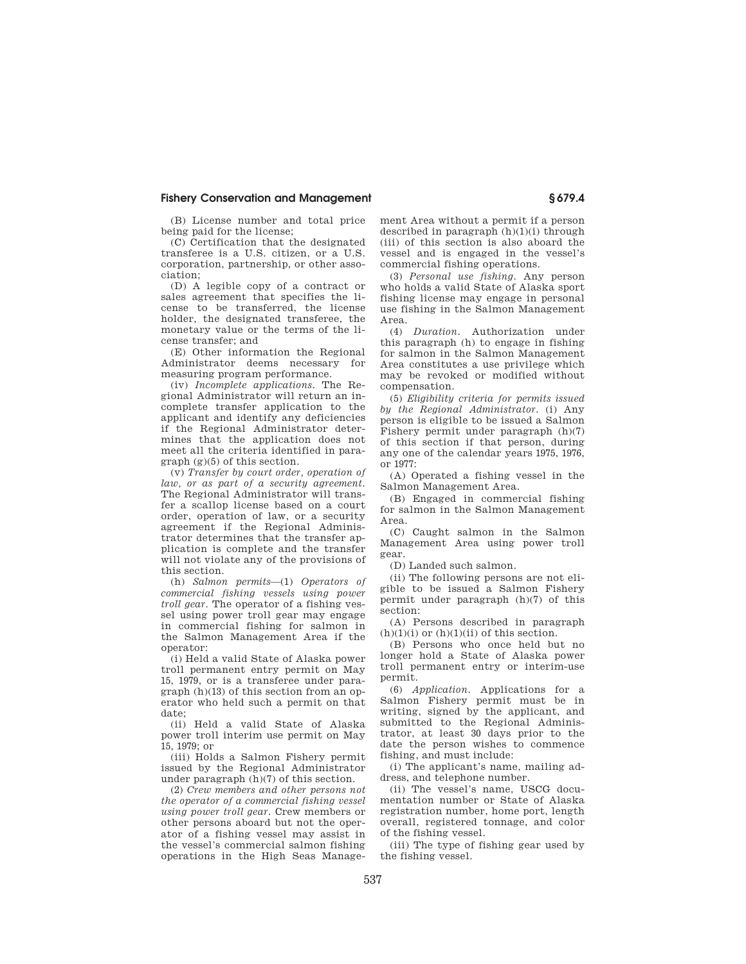(B) License number and total price being paid for the license;

(C) Certification that the designated transferee is a U.S. citizen, or a U.S. corporation, partnership, or other association;

(D) A legible copy of a contract or sales agreement that specifies the license to be transferred, the license holder, the designated transferee, the monetary value or the terms of the license transfer; and

(E) Other information the Regional Administrator deems necessary for measuring program performance.

(iv) *Incomplete applications.* The Regional Administrator will return an incomplete transfer application to the applicant and identify any deficiencies if the Regional Administrator determines that the application does not meet all the criteria identified in paragraph (g)(5) of this section.

(v) *Transfer by court order, operation of law, or as part of a security agreement.*  The Regional Administrator will transfer a scallop license based on a court order, operation of law, or a security agreement if the Regional Administrator determines that the transfer application is complete and the transfer will not violate any of the provisions of this section.

(h) *Salmon permits*—(1) *Operators of commercial fishing vessels using power troll gear.* The operator of a fishing vessel using power troll gear may engage in commercial fishing for salmon in the Salmon Management Area if the operator:

(i) Held a valid State of Alaska power troll permanent entry permit on May 15, 1979, or is a transferee under paragraph (h)(13) of this section from an operator who held such a permit on that date;

(ii) Held a valid State of Alaska power troll interim use permit on May 15, 1979; or

(iii) Holds a Salmon Fishery permit issued by the Regional Administrator under paragraph (h)(7) of this section.

(2) *Crew members and other persons not the operator of a commercial fishing vessel using power troll gear.* Crew members or other persons aboard but not the operator of a fishing vessel may assist in the vessel's commercial salmon fishing operations in the High Seas Management Area without a permit if a person described in paragraph  $(h)(1)(i)$  through (iii) of this section is also aboard the vessel and is engaged in the vessel's commercial fishing operations.

(3) *Personal use fishing.* Any person who holds a valid State of Alaska sport fishing license may engage in personal use fishing in the Salmon Management Area.

(4) *Duration.* Authorization under this paragraph (h) to engage in fishing for salmon in the Salmon Management Area constitutes a use privilege which may be revoked or modified without compensation.

(5) *Eligibility criteria for permits issued by the Regional Administrator.* (i) Any person is eligible to be issued a Salmon Fishery permit under paragraph (h)(7) of this section if that person, during any one of the calendar years 1975, 1976, or 1977:

(A) Operated a fishing vessel in the Salmon Management Area.

(B) Engaged in commercial fishing for salmon in the Salmon Management Area.

(C) Caught salmon in the Salmon Management Area using power troll gear.

(D) Landed such salmon.

(ii) The following persons are not eligible to be issued a Salmon Fishery permit under paragraph (h)(7) of this section:

(A) Persons described in paragraph  $(h)(1)(i)$  or  $(h)(1)(ii)$  of this section.

(B) Persons who once held but no longer hold a State of Alaska power troll permanent entry or interim-use permit.

(6) *Application.* Applications for a Salmon Fishery permit must be in writing, signed by the applicant, and submitted to the Regional Administrator, at least 30 days prior to the date the person wishes to commence fishing, and must include:

(i) The applicant's name, mailing address, and telephone number.

(ii) The vessel's name, USCG documentation number or State of Alaska registration number, home port, length overall, registered tonnage, and color of the fishing vessel.

(iii) The type of fishing gear used by the fishing vessel.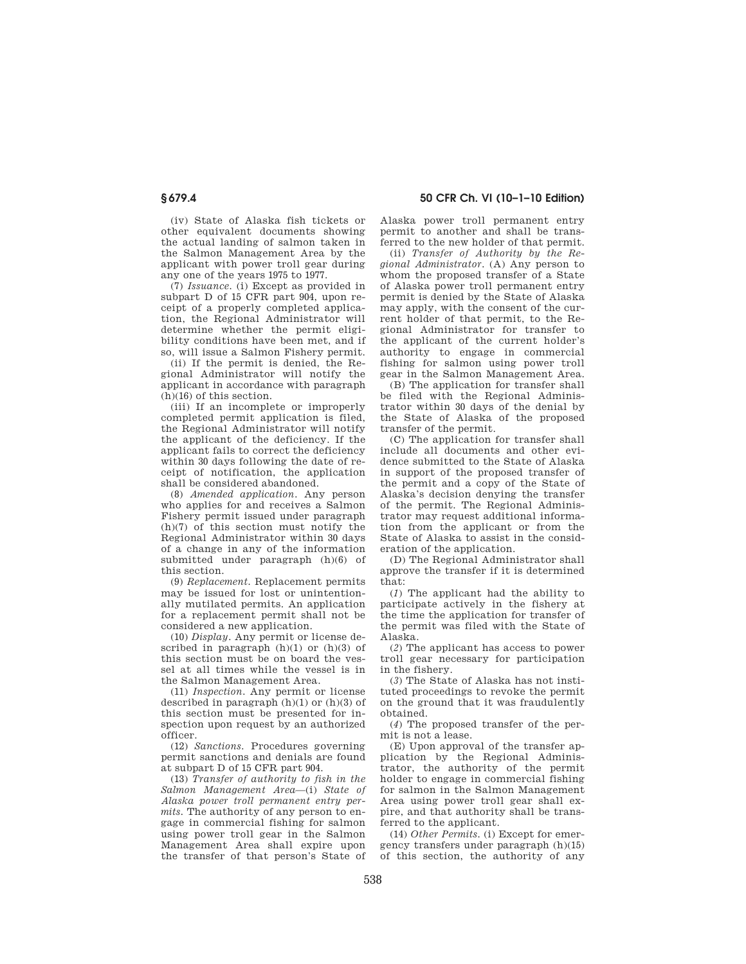(iv) State of Alaska fish tickets or other equivalent documents showing the actual landing of salmon taken in the Salmon Management Area by the applicant with power troll gear during any one of the years 1975 to 1977.

(7) *Issuance.* (i) Except as provided in subpart D of 15 CFR part 904, upon receipt of a properly completed application, the Regional Administrator will determine whether the permit eligibility conditions have been met, and if so, will issue a Salmon Fishery permit.

(ii) If the permit is denied, the Regional Administrator will notify the applicant in accordance with paragraph (h)(16) of this section.

(iii) If an incomplete or improperly completed permit application is filed, the Regional Administrator will notify the applicant of the deficiency. If the applicant fails to correct the deficiency within 30 days following the date of receipt of notification, the application shall be considered abandoned.

(8) *Amended application.* Any person who applies for and receives a Salmon Fishery permit issued under paragraph (h)(7) of this section must notify the Regional Administrator within 30 days of a change in any of the information submitted under paragraph (h)(6) of this section.

(9) *Replacement.* Replacement permits may be issued for lost or unintentionally mutilated permits. An application for a replacement permit shall not be considered a new application.

(10) *Display.* Any permit or license described in paragraph  $(h)(1)$  or  $(h)(3)$  of this section must be on board the vessel at all times while the vessel is in the Salmon Management Area.

(11) *Inspection.* Any permit or license described in paragraph  $(h)(1)$  or  $(h)(3)$  of this section must be presented for inspection upon request by an authorized officer.

(12) *Sanctions.* Procedures governing permit sanctions and denials are found at subpart D of 15 CFR part 904.

(13) *Transfer of authority to fish in the Salmon Management Area*—(i) *State of Alaska power troll permanent entry permits.* The authority of any person to engage in commercial fishing for salmon using power troll gear in the Salmon Management Area shall expire upon the transfer of that person's State of

**§ 679.4 50 CFR Ch. VI (10–1–10 Edition)** 

Alaska power troll permanent entry permit to another and shall be transferred to the new holder of that permit.

(ii) *Transfer of Authority by the Regional Administrator.* (A) Any person to whom the proposed transfer of a State of Alaska power troll permanent entry permit is denied by the State of Alaska may apply, with the consent of the current holder of that permit, to the Regional Administrator for transfer to the applicant of the current holder's authority to engage in commercial fishing for salmon using power troll gear in the Salmon Management Area.

(B) The application for transfer shall be filed with the Regional Administrator within 30 days of the denial by the State of Alaska of the proposed transfer of the permit.

(C) The application for transfer shall include all documents and other evidence submitted to the State of Alaska in support of the proposed transfer of the permit and a copy of the State of Alaska's decision denying the transfer of the permit. The Regional Administrator may request additional information from the applicant or from the State of Alaska to assist in the consideration of the application.

(D) The Regional Administrator shall approve the transfer if it is determined that:

(*1*) The applicant had the ability to participate actively in the fishery at the time the application for transfer of the permit was filed with the State of Alaska.

(*2*) The applicant has access to power troll gear necessary for participation in the fishery.

(*3*) The State of Alaska has not instituted proceedings to revoke the permit on the ground that it was fraudulently obtained.

(*4*) The proposed transfer of the permit is not a lease.

(E) Upon approval of the transfer application by the Regional Administrator, the authority of the permit holder to engage in commercial fishing for salmon in the Salmon Management Area using power troll gear shall expire, and that authority shall be transferred to the applicant.

(14) *Other Permits.* (i) Except for emergency transfers under paragraph (h)(15) of this section, the authority of any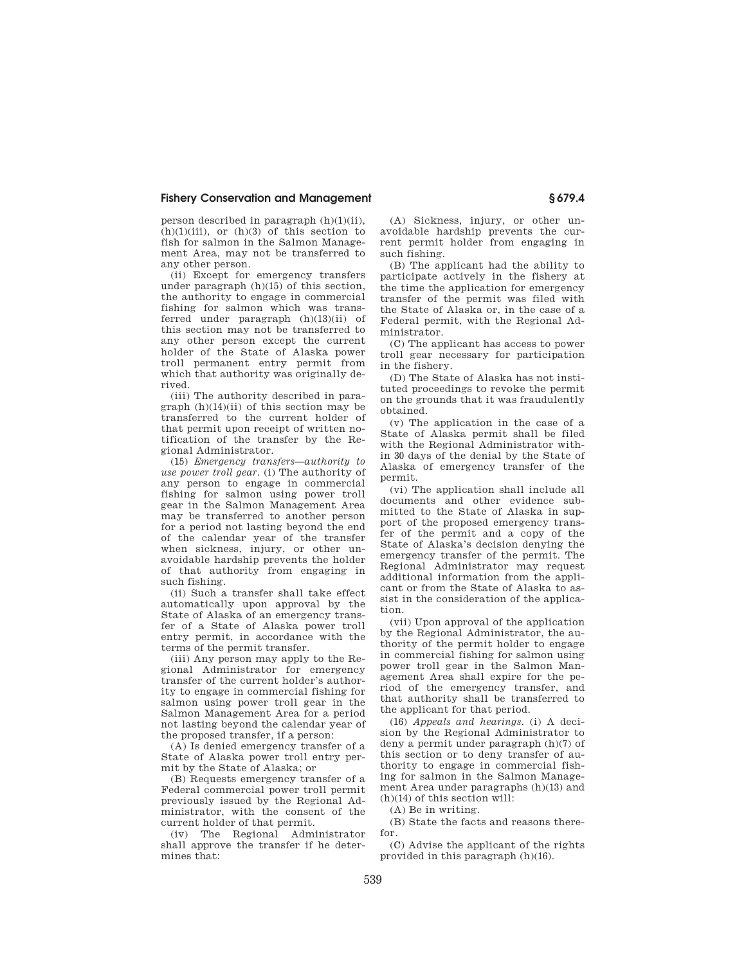person described in paragraph (h)(1)(ii),  $(h)(1)(iii)$ , or  $(h)(3)$  of this section to fish for salmon in the Salmon Management Area, may not be transferred to any other person.

(ii) Except for emergency transfers under paragraph  $(h)(15)$  of this section, the authority to engage in commercial fishing for salmon which was transferred under paragraph (h)(13)(ii) of this section may not be transferred to any other person except the current holder of the State of Alaska power troll permanent entry permit from which that authority was originally derived.

(iii) The authority described in paragraph (h)(14)(ii) of this section may be transferred to the current holder of that permit upon receipt of written notification of the transfer by the Regional Administrator.

(15) *Emergency transfers—authority to use power troll gear.* (i) The authority of any person to engage in commercial fishing for salmon using power troll gear in the Salmon Management Area may be transferred to another person for a period not lasting beyond the end of the calendar year of the transfer when sickness, injury, or other unavoidable hardship prevents the holder of that authority from engaging in such fishing.

(ii) Such a transfer shall take effect automatically upon approval by the State of Alaska of an emergency transfer of a State of Alaska power troll entry permit, in accordance with the terms of the permit transfer.

(iii) Any person may apply to the Regional Administrator for emergency transfer of the current holder's authority to engage in commercial fishing for salmon using power troll gear in the Salmon Management Area for a period not lasting beyond the calendar year of the proposed transfer, if a person:

(A) Is denied emergency transfer of a State of Alaska power troll entry permit by the State of Alaska; or

(B) Requests emergency transfer of a Federal commercial power troll permit previously issued by the Regional Administrator, with the consent of the current holder of that permit.

(iv) The Regional Administrator shall approve the transfer if he determines that:

(A) Sickness, injury, or other unavoidable hardship prevents the current permit holder from engaging in such fishing.

(B) The applicant had the ability to participate actively in the fishery at the time the application for emergency transfer of the permit was filed with the State of Alaska or, in the case of a Federal permit, with the Regional Administrator.

(C) The applicant has access to power troll gear necessary for participation in the fishery.

(D) The State of Alaska has not instituted proceedings to revoke the permit on the grounds that it was fraudulently obtained.

(v) The application in the case of a State of Alaska permit shall be filed with the Regional Administrator within 30 days of the denial by the State of Alaska of emergency transfer of the permit.

(vi) The application shall include all documents and other evidence submitted to the State of Alaska in support of the proposed emergency transfer of the permit and a copy of the State of Alaska's decision denying the emergency transfer of the permit. The Regional Administrator may request additional information from the applicant or from the State of Alaska to assist in the consideration of the application.

(vii) Upon approval of the application by the Regional Administrator, the authority of the permit holder to engage in commercial fishing for salmon using power troll gear in the Salmon Management Area shall expire for the period of the emergency transfer, and that authority shall be transferred to the applicant for that period.

(16) *Appeals and hearings.* (i) A decision by the Regional Administrator to deny a permit under paragraph (h)(7) of this section or to deny transfer of authority to engage in commercial fishing for salmon in the Salmon Management Area under paragraphs (h)(13) and (h)(14) of this section will:

(A) Be in writing.

(B) State the facts and reasons therefor.

(C) Advise the applicant of the rights provided in this paragraph (h)(16).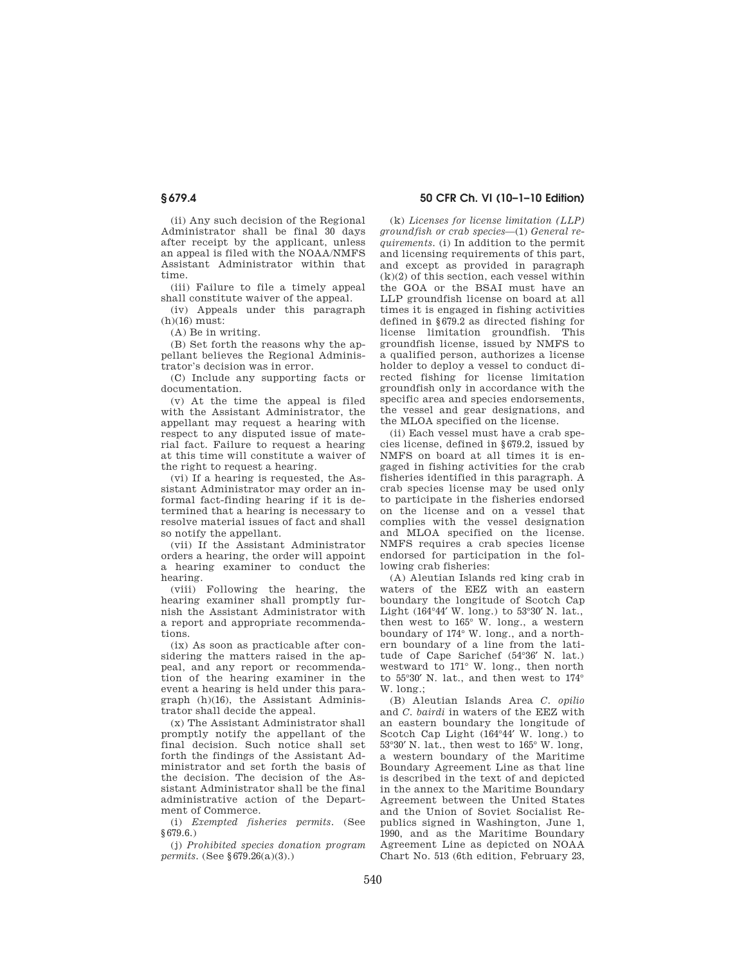(ii) Any such decision of the Regional Administrator shall be final 30 days after receipt by the applicant, unless an appeal is filed with the NOAA/NMFS Assistant Administrator within that time.

(iii) Failure to file a timely appeal shall constitute waiver of the appeal.

(iv) Appeals under this paragraph (h)(16) must:

(A) Be in writing.

(B) Set forth the reasons why the appellant believes the Regional Administrator's decision was in error.

(C) Include any supporting facts or documentation.

(v) At the time the appeal is filed with the Assistant Administrator, the appellant may request a hearing with respect to any disputed issue of material fact. Failure to request a hearing at this time will constitute a waiver of the right to request a hearing.

(vi) If a hearing is requested, the Assistant Administrator may order an informal fact-finding hearing if it is determined that a hearing is necessary to resolve material issues of fact and shall so notify the appellant.

(vii) If the Assistant Administrator orders a hearing, the order will appoint a hearing examiner to conduct the hearing.

(viii) Following the hearing, the hearing examiner shall promptly furnish the Assistant Administrator with a report and appropriate recommendations.

(ix) As soon as practicable after considering the matters raised in the appeal, and any report or recommendation of the hearing examiner in the event a hearing is held under this paragraph (h)(16), the Assistant Administrator shall decide the appeal.

(x) The Assistant Administrator shall promptly notify the appellant of the final decision. Such notice shall set forth the findings of the Assistant Administrator and set forth the basis of the decision. The decision of the Assistant Administrator shall be the final administrative action of the Department of Commerce.

(i) *Exempted fisheries permits.* (See §679.6.)

(j) *Prohibited species donation program permits.* (See §679.26(a)(3).)

## **§ 679.4 50 CFR Ch. VI (10–1–10 Edition)**

(k) *Licenses for license limitation (LLP) groundfish or crab species*—(1) *General requirements.* (i) In addition to the permit and licensing requirements of this part, and except as provided in paragraph  $(k)(2)$  of this section, each vessel within the GOA or the BSAI must have an LLP groundfish license on board at all times it is engaged in fishing activities defined in §679.2 as directed fishing for license limitation groundfish. This groundfish license, issued by NMFS to a qualified person, authorizes a license holder to deploy a vessel to conduct directed fishing for license limitation groundfish only in accordance with the specific area and species endorsements, the vessel and gear designations, and the MLOA specified on the license.

(ii) Each vessel must have a crab species license, defined in §679.2, issued by NMFS on board at all times it is engaged in fishing activities for the crab fisheries identified in this paragraph. A crab species license may be used only to participate in the fisheries endorsed on the license and on a vessel that complies with the vessel designation and MLOA specified on the license. NMFS requires a crab species license endorsed for participation in the following crab fisheries:

(A) Aleutian Islands red king crab in waters of the EEZ with an eastern boundary the longitude of Scotch Cap Light (164°44′ W. long.) to 53°30′ N. lat., then west to 165° W. long., a western boundary of 174° W. long., and a northern boundary of a line from the latitude of Cape Sarichef (54°36′ N. lat.) westward to 171° W. long., then north to 55°30′ N. lat., and then west to 174°  $W$ long<sup>.</sup>

(B) Aleutian Islands Area *C. opilio*  and *C. bairdi* in waters of the EEZ with an eastern boundary the longitude of Scotch Cap Light (164°44′ W. long.) to 53°30′ N. lat., then west to 165° W. long, a western boundary of the Maritime Boundary Agreement Line as that line is described in the text of and depicted in the annex to the Maritime Boundary Agreement between the United States and the Union of Soviet Socialist Republics signed in Washington, June 1, 1990, and as the Maritime Boundary Agreement Line as depicted on NOAA Chart No. 513 (6th edition, February 23,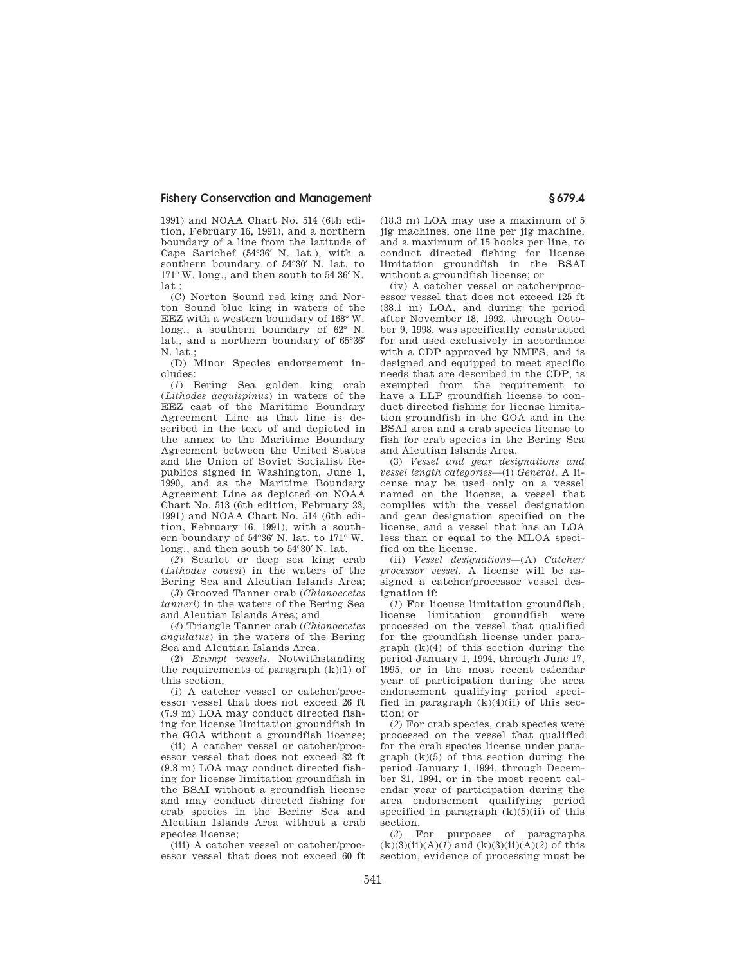1991) and NOAA Chart No. 514 (6th edition, February 16, 1991), and a northern boundary of a line from the latitude of Cape Sarichef (54°36′ N. lat.), with a southern boundary of 54°30′ N. lat. to 171° W. long., and then south to 54 36′ N. lat.

(C) Norton Sound red king and Norton Sound blue king in waters of the EEZ with a western boundary of 168° W. long., a southern boundary of 62° N. lat., and a northern boundary of 65°36′ N. lat.;

(D) Minor Species endorsement includes:

(*1*) Bering Sea golden king crab (*Lithodes aequispinus*) in waters of the EEZ east of the Maritime Boundary Agreement Line as that line is described in the text of and depicted in the annex to the Maritime Boundary Agreement between the United States and the Union of Soviet Socialist Republics signed in Washington, June 1, 1990, and as the Maritime Boundary Agreement Line as depicted on NOAA Chart No. 513 (6th edition, February 23, 1991) and NOAA Chart No. 514 (6th edition, February 16, 1991), with a southern boundary of 54°36′ N. lat. to 171° W. long., and then south to 54°30′ N. lat.

(*2*) Scarlet or deep sea king crab (*Lithodes couesi*) in the waters of the Bering Sea and Aleutian Islands Area;

(*3*) Grooved Tanner crab (*Chionoecetes tanneri*) in the waters of the Bering Sea and Aleutian Islands Area; and

(*4*) Triangle Tanner crab (*Chionoecetes angulatus*) in the waters of the Bering Sea and Aleutian Islands Area.

(2) *Exempt vessels.* Notwithstanding the requirements of paragraph  $(k)(1)$  of this section,

(i) A catcher vessel or catcher/processor vessel that does not exceed 26 ft (7.9 m) LOA may conduct directed fishing for license limitation groundfish in the GOA without a groundfish license;

(ii) A catcher vessel or catcher/processor vessel that does not exceed 32 ft (9.8 m) LOA may conduct directed fishing for license limitation groundfish in the BSAI without a groundfish license and may conduct directed fishing for crab species in the Bering Sea and Aleutian Islands Area without a crab species license;

(iii) A catcher vessel or catcher/processor vessel that does not exceed 60 ft

(18.3 m) LOA may use a maximum of 5 jig machines, one line per jig machine, and a maximum of 15 hooks per line, to conduct directed fishing for license limitation groundfish in the BSAI without a groundfish license; or

(iv) A catcher vessel or catcher/processor vessel that does not exceed 125 ft (38.1 m) LOA, and during the period after November 18, 1992, through October 9, 1998, was specifically constructed for and used exclusively in accordance with a CDP approved by NMFS, and is designed and equipped to meet specific needs that are described in the CDP, is exempted from the requirement to have a LLP groundfish license to conduct directed fishing for license limitation groundfish in the GOA and in the BSAI area and a crab species license to fish for crab species in the Bering Sea and Aleutian Islands Area.

(3) *Vessel and gear designations and vessel length categories—*(i) *General.* A license may be used only on a vessel named on the license, a vessel that complies with the vessel designation and gear designation specified on the license, and a vessel that has an LOA less than or equal to the MLOA specified on the license.

(ii) *Vessel designations*—(A) *Catcher/ processor vessel.* A license will be assigned a catcher/processor vessel designation if:

(*1*) For license limitation groundfish, license limitation groundfish were processed on the vessel that qualified for the groundfish license under paragraph  $(k)(4)$  of this section during the period January 1, 1994, through June 17, 1995, or in the most recent calendar year of participation during the area endorsement qualifying period specified in paragraph  $(k)(4)(ii)$  of this section; or

(*2*) For crab species, crab species were processed on the vessel that qualified for the crab species license under para $graph (k)(5)$  of this section during the period January 1, 1994, through December 31, 1994, or in the most recent calendar year of participation during the area endorsement qualifying period specified in paragraph  $(k)(5)(ii)$  of this section.

(*3*) For purposes of paragraphs  $(k)(3)(ii)(A)(1)$  and  $(k)(3)(ii)(A)(2)$  of this section, evidence of processing must be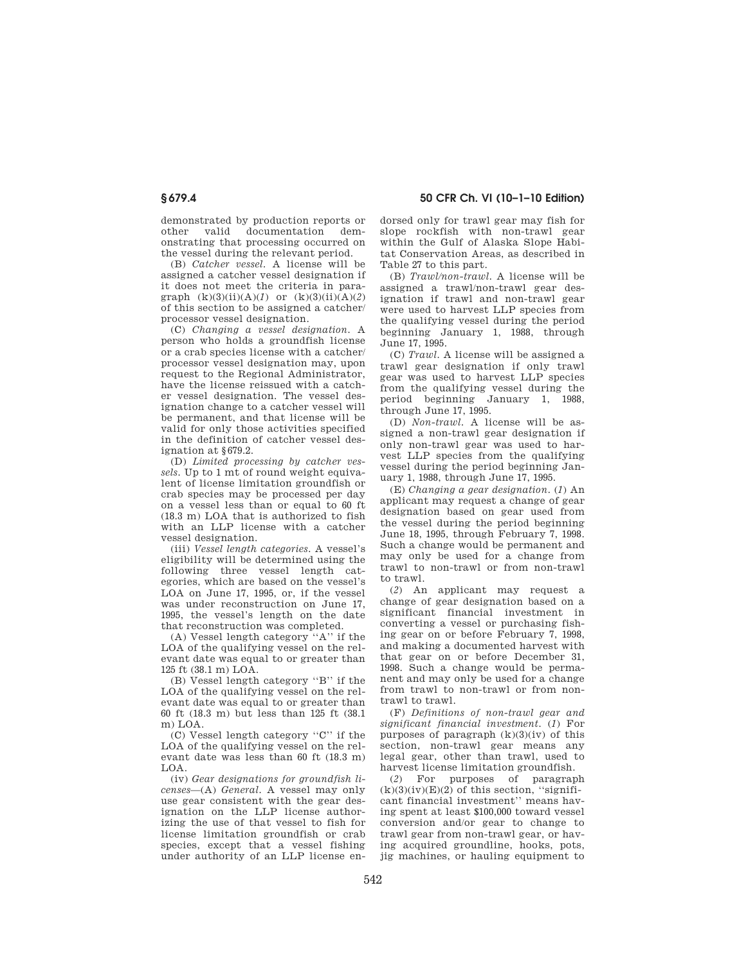demonstrated by production reports or other valid documentation demonstrating that processing occurred on the vessel during the relevant period.

(B) *Catcher vessel.* A license will be assigned a catcher vessel designation if it does not meet the criteria in paragraph  $(k)(3)(ii)(A)(1)$  or  $(k)(3)(ii)(A)(2)$ of this section to be assigned a catcher/ processor vessel designation.

(C) *Changing a vessel designation.* A person who holds a groundfish license or a crab species license with a catcher/ processor vessel designation may, upon request to the Regional Administrator, have the license reissued with a catcher vessel designation. The vessel designation change to a catcher vessel will be permanent, and that license will be valid for only those activities specified in the definition of catcher vessel designation at §679.2.

(D) *Limited processing by catcher vessels.* Up to 1 mt of round weight equivalent of license limitation groundfish or crab species may be processed per day on a vessel less than or equal to 60 ft (18.3 m) LOA that is authorized to fish with an LLP license with a catcher vessel designation.

(iii) *Vessel length categories.* A vessel's eligibility will be determined using the following three vessel length categories, which are based on the vessel's LOA on June 17, 1995, or, if the vessel was under reconstruction on June 17, 1995, the vessel's length on the date that reconstruction was completed.

(A) Vessel length category ''A'' if the LOA of the qualifying vessel on the relevant date was equal to or greater than 125 ft (38.1 m) LOA.

(B) Vessel length category ''B'' if the LOA of the qualifying vessel on the relevant date was equal to or greater than 60 ft (18.3 m) but less than 125 ft (38.1 m)  $LOA$ 

(C) Vessel length category ''C'' if the LOA of the qualifying vessel on the relevant date was less than 60 ft (18.3 m) LOA.

(iv) *Gear designations for groundfish licenses*—(A) *General.* A vessel may only use gear consistent with the gear designation on the LLP license authorizing the use of that vessel to fish for license limitation groundfish or crab species, except that a vessel fishing under authority of an LLP license endorsed only for trawl gear may fish for slope rockfish with non-trawl gear within the Gulf of Alaska Slope Habitat Conservation Areas, as described in Table 27 to this part.

(B) *Trawl/non-trawl.* A license will be assigned a trawl/non-trawl gear designation if trawl and non-trawl gear were used to harvest LLP species from the qualifying vessel during the period beginning January 1, 1988, through June 17, 1995.

(C) *Trawl.* A license will be assigned a trawl gear designation if only trawl gear was used to harvest LLP species from the qualifying vessel during the period beginning January 1, 1988, through June 17, 1995.

(D) *Non-trawl.* A license will be assigned a non-trawl gear designation if only non-trawl gear was used to harvest LLP species from the qualifying vessel during the period beginning January 1, 1988, through June 17, 1995.

(E) *Changing a gear designation.* (*1*) An applicant may request a change of gear designation based on gear used from the vessel during the period beginning June 18, 1995, through February 7, 1998. Such a change would be permanent and may only be used for a change from trawl to non-trawl or from non-trawl to trawl.

(*2*) An applicant may request a change of gear designation based on a significant financial investment in converting a vessel or purchasing fishing gear on or before February 7, 1998, and making a documented harvest with that gear on or before December 31, 1998. Such a change would be permanent and may only be used for a change from trawl to non-trawl or from nontrawl to trawl.

(F) *Definitions of non-trawl gear and significant financial investment.* (*1*) For purposes of paragraph  $(k)(3)(iv)$  of this section, non-trawl gear means any legal gear, other than trawl, used to harvest license limitation groundfish.

(*2*) For purposes of paragraph  $(k)(3)(iv)(E)(2)$  of this section, "significant financial investment'' means having spent at least \$100,000 toward vessel conversion and/or gear to change to trawl gear from non-trawl gear, or having acquired groundline, hooks, pots, jig machines, or hauling equipment to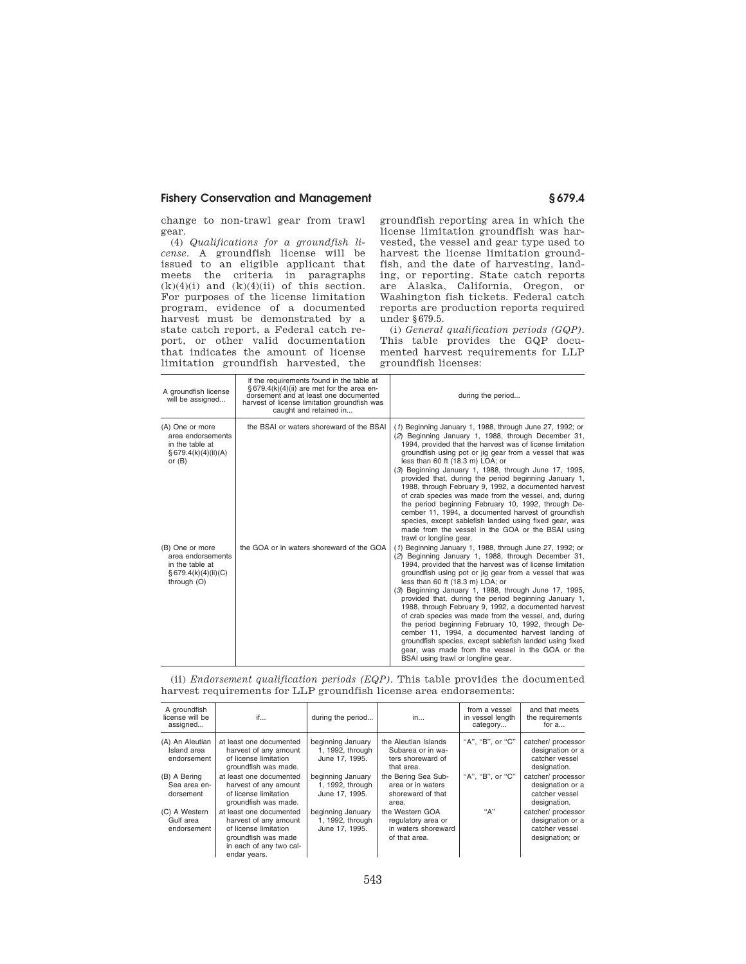change to non-trawl gear from trawl gear.

(4) *Qualifications for a groundfish license.* A groundfish license will be issued to an eligible applicant that meets the criteria in paragraphs  $(k)(4)(i)$  and  $(k)(4)(ii)$  of this section. For purposes of the license limitation program, evidence of a documented harvest must be demonstrated by a state catch report, a Federal catch report, or other valid documentation that indicates the amount of license limitation groundfish harvested, the groundfish reporting area in which the license limitation groundfish was harvested, the vessel and gear type used to harvest the license limitation groundfish, and the date of harvesting, landing, or reporting. State catch reports are Alaska, California, Oregon, or Washington fish tickets. Federal catch reports are production reports required under §679.5.

(i) *General qualification periods (GQP).*  This table provides the GQP documented harvest requirements for LLP groundfish licenses:

| A groundfish license<br>will be assigned                                                          | if the requirements found in the table at<br>§ 679.4(k)(4)(ii) are met for the area en-<br>dorsement and at least one documented<br>harvest of license limitation groundfish was<br>caught and retained in | during the period                                                                                                                                                                                                                                                                                                                                                                                                                                                                                                                                                                                                                                                                                                                                                              |
|---------------------------------------------------------------------------------------------------|------------------------------------------------------------------------------------------------------------------------------------------------------------------------------------------------------------|--------------------------------------------------------------------------------------------------------------------------------------------------------------------------------------------------------------------------------------------------------------------------------------------------------------------------------------------------------------------------------------------------------------------------------------------------------------------------------------------------------------------------------------------------------------------------------------------------------------------------------------------------------------------------------------------------------------------------------------------------------------------------------|
| (A) One or more<br>area endorsements<br>in the table at<br>§ 679.4(k)(4)(ii)(A)<br>or $(B)$       | the BSAI or waters shoreward of the BSAI                                                                                                                                                                   | (1) Beginning January 1, 1988, through June 27, 1992; or<br>(2) Beginning January 1, 1988, through December 31,<br>1994, provided that the harvest was of license limitation<br>groundfish using pot or jig gear from a vessel that was<br>less than 60 ft (18.3 m) LOA; or<br>(3) Beginning January 1, 1988, through June 17, 1995,<br>provided that, during the period beginning January 1,<br>1988, through February 9, 1992, a documented harvest<br>of crab species was made from the vessel, and, during<br>the period beginning February 10, 1992, through De-<br>cember 11, 1994, a documented harvest of groundfish<br>species, except sablefish landed using fixed gear, was<br>made from the vessel in the GOA or the BSAI using<br>trawl or longline gear.         |
| (B) One or more<br>area endorsements<br>in the table at<br>$\S$ 679.4(k)(4)(ii)(C)<br>through (O) | the GOA or in waters shoreward of the GOA                                                                                                                                                                  | (1) Beginning January 1, 1988, through June 27, 1992; or<br>(2) Beginning January 1, 1988, through December 31,<br>1994, provided that the harvest was of license limitation<br>groundfish using pot or jig gear from a vessel that was<br>less than 60 ft (18.3 m) LOA; or<br>(3) Beginning January 1, 1988, through June 17, 1995,<br>provided that, during the period beginning January 1,<br>1988, through February 9, 1992, a documented harvest<br>of crab species was made from the vessel, and, during<br>the period beginning February 10, 1992, through De-<br>cember 11, 1994, a documented harvest landing of<br>groundfish species, except sablefish landed using fixed<br>gear, was made from the vessel in the GOA or the<br>BSAI using trawl or longline gear. |

(ii) *Endorsement qualification periods (EQP).* This table provides the documented harvest requirements for LLP groundfish license area endorsements:

| A groundfish<br>license will be<br>assigned   | if                                                                                                                                          | during the period                                       | in                                                                            | from a vessel<br>in vessel length<br>category | and that meets<br>the requirements<br>for $a$                               |
|-----------------------------------------------|---------------------------------------------------------------------------------------------------------------------------------------------|---------------------------------------------------------|-------------------------------------------------------------------------------|-----------------------------------------------|-----------------------------------------------------------------------------|
| (A) An Aleutian<br>Island area<br>endorsement | at least one documented<br>harvest of any amount<br>of license limitation<br>groundfish was made.                                           | beginning January<br>1, 1992, through<br>June 17, 1995. | the Aleutian Islands<br>Subarea or in wa-<br>ters shoreward of<br>that area.  | "A". "B". or "C"                              | catcher/ processor<br>designation or a<br>catcher vessel<br>designation.    |
| (B) A Bering<br>Sea area en-<br>dorsement     | at least one documented<br>harvest of any amount<br>of license limitation<br>groundfish was made.                                           | beginning January<br>1, 1992, through<br>June 17, 1995. | the Bering Sea Sub-<br>area or in waters<br>shoreward of that<br>area.        | "A". "B". or "C"                              | catcher/ processor<br>designation or a<br>catcher vessel<br>designation.    |
| (C) A Western<br>Gulf area<br>endorsement     | at least one documented<br>harvest of any amount<br>of license limitation<br>groundfish was made<br>in each of any two cal-<br>endar years. | beginning January<br>1, 1992, through<br>June 17, 1995. | the Western GOA<br>regulatory area or<br>in waters shoreward<br>of that area. | "А"                                           | catcher/ processor<br>designation or a<br>catcher vessel<br>designation; or |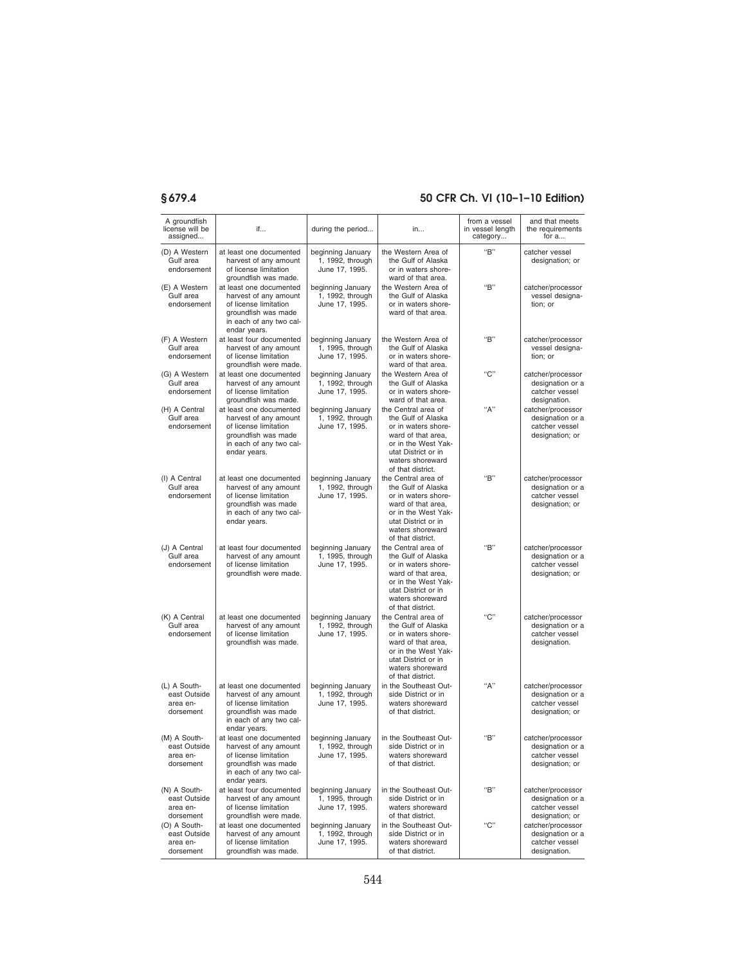| A groundfish<br>license will be<br>assigned           | if                                                                                                                                                                  | during the period                                       | in                                                                                                                                                                            | from a vessel<br>in vessel length<br>category | and that meets<br>the requirements<br>for a                                |
|-------------------------------------------------------|---------------------------------------------------------------------------------------------------------------------------------------------------------------------|---------------------------------------------------------|-------------------------------------------------------------------------------------------------------------------------------------------------------------------------------|-----------------------------------------------|----------------------------------------------------------------------------|
| (D) A Western<br>Gulf area<br>endorsement             | at least one documented<br>harvest of any amount<br>of license limitation                                                                                           | beginning January<br>1, 1992, through<br>June 17, 1995. | the Western Area of<br>the Gulf of Alaska<br>or in waters shore-                                                                                                              | "B"                                           | catcher vessel<br>designation; or                                          |
| (E) A Western<br>Gulf area<br>endorsement             | groundfish was made.<br>at least one documented<br>harvest of any amount<br>of license limitation<br>groundfish was made<br>in each of any two cal-<br>endar years. | beginning January<br>1, 1992, through<br>June 17, 1995. | ward of that area.<br>the Western Area of<br>the Gulf of Alaska<br>or in waters shore-<br>ward of that area.                                                                  | "B"                                           | catcher/processor<br>vessel designa-<br>tion; or                           |
| (F) A Western<br>Gulf area<br>endorsement             | at least four documented<br>harvest of any amount<br>of license limitation<br>groundfish were made.                                                                 | beginning January<br>1, 1995, through<br>June 17, 1995. | the Western Area of<br>the Gulf of Alaska<br>or in waters shore-<br>ward of that area.                                                                                        | "B"                                           | catcher/processor<br>vessel designa-<br>tion: or                           |
| (G) A Western<br>Gulf area<br>endorsement             | at least one documented<br>harvest of any amount<br>of license limitation<br>groundfish was made.                                                                   | beginning January<br>1, 1992, through<br>June 17, 1995. | the Western Area of<br>the Gulf of Alaska<br>or in waters shore-<br>ward of that area.                                                                                        | "C"                                           | catcher/processor<br>designation or a<br>catcher vessel<br>designation.    |
| (H) A Central<br>Gulf area<br>endorsement             | at least one documented<br>harvest of any amount<br>of license limitation<br>groundfish was made<br>in each of any two cal-<br>endar years.                         | beginning January<br>1, 1992, through<br>June 17, 1995. | the Central area of<br>the Gulf of Alaska<br>or in waters shore-<br>ward of that area,<br>or in the West Yak-<br>utat District or in<br>waters shoreward<br>of that district. | "А"                                           | catcher/processor<br>designation or a<br>catcher vessel<br>designation; or |
| (I) A Central<br>Gulf area<br>endorsement             | at least one documented<br>harvest of any amount<br>of license limitation<br>groundfish was made<br>in each of any two cal-<br>endar years.                         | beginning January<br>1, 1992, through<br>June 17, 1995. | the Central area of<br>the Gulf of Alaska<br>or in waters shore-<br>ward of that area,<br>or in the West Yak-<br>utat District or in<br>waters shoreward<br>of that district. | "B"                                           | catcher/processor<br>designation or a<br>catcher vessel<br>designation; or |
| (J) A Central<br>Gulf area<br>endorsement             | at least four documented<br>harvest of any amount<br>of license limitation<br>groundfish were made.                                                                 | beginning January<br>1, 1995, through<br>June 17, 1995. | the Central area of<br>the Gulf of Alaska<br>or in waters shore-<br>ward of that area,<br>or in the West Yak-<br>utat District or in<br>waters shoreward<br>of that district. | "B"                                           | catcher/processor<br>designation or a<br>catcher vessel<br>designation; or |
| (K) A Central<br>Gulf area<br>endorsement             | at least one documented<br>harvest of any amount<br>of license limitation<br>groundfish was made.                                                                   | beginning January<br>1, 1992, through<br>June 17, 1995. | the Central area of<br>the Gulf of Alaska<br>or in waters shore-<br>ward of that area,<br>or in the West Yak-<br>utat District or in<br>waters shoreward<br>of that district. | "C"                                           | catcher/processor<br>designation or a<br>catcher vessel<br>designation.    |
| (L) A South-<br>east Outside<br>area en-<br>dorsement | at least one documented<br>harvest of any amount<br>of license limitation<br>groundfish was made<br>in each of any two cal-<br>endar years.                         | beginning January<br>1, 1992, through<br>June 17, 1995. | in the Southeast Out-<br>side District or in<br>waters shoreward<br>of that district.                                                                                         | "А"                                           | catcher/processor<br>designation or a<br>catcher vessel<br>designation; or |
| (M) A South-<br>east Outside<br>area en-<br>dorsement | at least one documented<br>harvest of any amount<br>of license limitation<br>groundfish was made<br>in each of any two cal-<br>endar years.                         | beginning January<br>1, 1992, through<br>June 17, 1995. | in the Southeast Out-<br>side District or in<br>waters shoreward<br>of that district.                                                                                         | "B"                                           | catcher/processor<br>designation or a<br>catcher vessel<br>designation; or |
| (N) A South-<br>east Outside<br>area en-<br>dorsement | at least four documented<br>harvest of any amount<br>of license limitation<br>groundfish were made.                                                                 | beginning January<br>1, 1995, through<br>June 17, 1995. | in the Southeast Out-<br>side District or in<br>waters shoreward<br>of that district.                                                                                         | "B"                                           | catcher/processor<br>designation or a<br>catcher vessel<br>designation; or |
| (O) A South-<br>east Outside<br>area en-<br>dorsement | at least one documented<br>harvest of any amount<br>of license limitation<br>groundfish was made.                                                                   | beginning January<br>1, 1992, through<br>June 17, 1995. | in the Southeast Out-<br>side District or in<br>waters shoreward<br>of that district.                                                                                         | "C"                                           | catcher/processor<br>designation or a<br>catcher vessel<br>designation.    |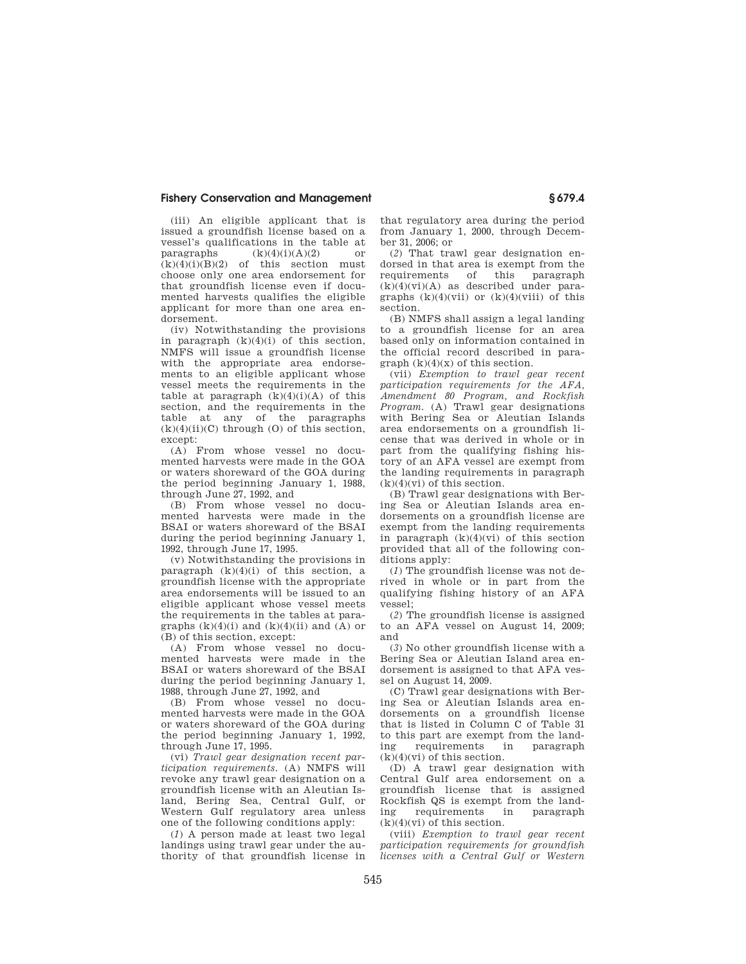(iii) An eligible applicant that is issued a groundfish license based on a vessel's qualifications in the table at paragraphs  $(k)(4)(i)(A)(2)$  or  $(k)(4)(i)(B)(2)$  of this section must choose only one area endorsement for that groundfish license even if documented harvests qualifies the eligible applicant for more than one area endorsement.

(iv) Notwithstanding the provisions in paragraph  $(k)(4)(i)$  of this section, NMFS will issue a groundfish license with the appropriate area endorsements to an eligible applicant whose vessel meets the requirements in the table at paragraph  $(k)(4)(i)(A)$  of this section, and the requirements in the table at any of the paragraphs  $(k)(4)(ii)(C)$  through  $(0)$  of this section, except:

(A) From whose vessel no documented harvests were made in the GOA or waters shoreward of the GOA during the period beginning January 1, 1988, through June 27, 1992, and

(B) From whose vessel no documented harvests were made in the BSAI or waters shoreward of the BSAI during the period beginning January 1, 1992, through June 17, 1995.

(v) Notwithstanding the provisions in paragraph  $(k)(4)(i)$  of this section, a groundfish license with the appropriate area endorsements will be issued to an eligible applicant whose vessel meets the requirements in the tables at paragraphs  $(k)(4)(i)$  and  $(k)(4)(ii)$  and  $(A)$  or (B) of this section, except:

(A) From whose vessel no documented harvests were made in the BSAI or waters shoreward of the BSAI during the period beginning January 1, 1988, through June 27, 1992, and

(B) From whose vessel no documented harvests were made in the GOA or waters shoreward of the GOA during the period beginning January 1, 1992, through June 17, 1995.

(vi) *Trawl gear designation recent participation requirements.* (A) NMFS will revoke any trawl gear designation on a groundfish license with an Aleutian Island, Bering Sea, Central Gulf, or Western Gulf regulatory area unless one of the following conditions apply:

(*1*) A person made at least two legal landings using trawl gear under the authority of that groundfish license in that regulatory area during the period from January 1, 2000, through December 31, 2006; or

(*2*) That trawl gear designation endorsed in that area is exempt from the requirements of this paragraph  $(k)(4)(vi)(A)$  as described under paragraphs  $(k)(4)(vii)$  or  $(k)(4)(viii)$  of this section.

(B) NMFS shall assign a legal landing to a groundfish license for an area based only on information contained in the official record described in para $graph (k)(4)(x)$  of this section.

(vii) *Exemption to trawl gear recent participation requirements for the AFA, Amendment 80 Program, and Rockfish Program.* (A) Trawl gear designations with Bering Sea or Aleutian Islands area endorsements on a groundfish license that was derived in whole or in part from the qualifying fishing history of an AFA vessel are exempt from the landing requirements in paragraph  $(k)(4)(vi)$  of this section.

(B) Trawl gear designations with Bering Sea or Aleutian Islands area endorsements on a groundfish license are exempt from the landing requirements in paragraph (k)(4)(vi) of this section provided that all of the following conditions apply:

(*1*) The groundfish license was not derived in whole or in part from the qualifying fishing history of an AFA vessel;

(*2*) The groundfish license is assigned to an AFA vessel on August 14, 2009; and

(*3*) No other groundfish license with a Bering Sea or Aleutian Island area endorsement is assigned to that AFA vessel on August 14, 2009.

(C) Trawl gear designations with Bering Sea or Aleutian Islands area endorsements on a groundfish license that is listed in Column C of Table 31 to this part are exempt from the land-<br>ing requirements in paragraph requirements in paragraph  $(k)(4)(vi)$  of this section.

(D) A trawl gear designation with Central Gulf area endorsement on a groundfish license that is assigned Rockfish QS is exempt from the landing requirements in paragraph  $(k)(4)(vi)$  of this section.

(viii) *Exemption to trawl gear recent participation requirements for groundfish licenses with a Central Gulf or Western*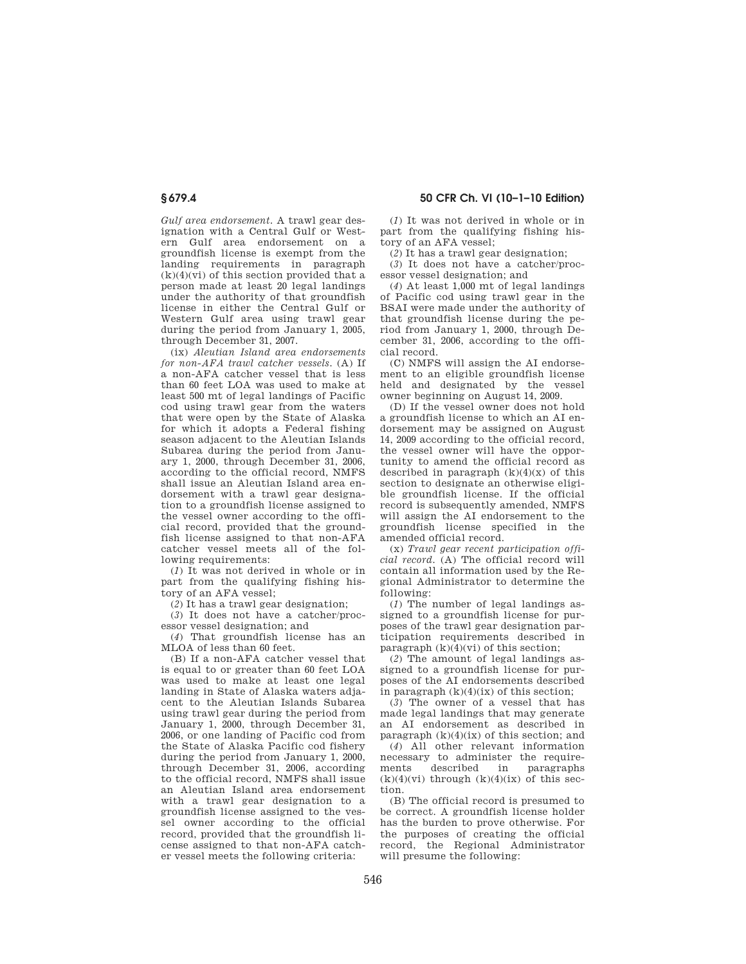*Gulf area endorsement.* A trawl gear designation with a Central Gulf or Western Gulf area endorsement on a groundfish license is exempt from the landing requirements in paragraph  $(k)(4)(vi)$  of this section provided that a person made at least 20 legal landings under the authority of that groundfish license in either the Central Gulf or Western Gulf area using trawl gear during the period from January 1, 2005, through December 31, 2007.

(ix) *Aleutian Island area endorsements for non-AFA trawl catcher vessels.* (A) If a non-AFA catcher vessel that is less than 60 feet LOA was used to make at least 500 mt of legal landings of Pacific cod using trawl gear from the waters that were open by the State of Alaska for which it adopts a Federal fishing season adjacent to the Aleutian Islands Subarea during the period from January 1, 2000, through December 31, 2006, according to the official record, NMFS shall issue an Aleutian Island area endorsement with a trawl gear designation to a groundfish license assigned to the vessel owner according to the official record, provided that the groundfish license assigned to that non-AFA catcher vessel meets all of the following requirements:

(*1*) It was not derived in whole or in part from the qualifying fishing history of an AFA vessel;

(*2*) It has a trawl gear designation;

(*3*) It does not have a catcher/proc-

essor vessel designation; and (*4*) That groundfish license has an MLOA of less than 60 feet.

(B) If a non-AFA catcher vessel that is equal to or greater than 60 feet LOA was used to make at least one legal landing in State of Alaska waters adjacent to the Aleutian Islands Subarea using trawl gear during the period from January 1, 2000, through December 31, 2006, or one landing of Pacific cod from the State of Alaska Pacific cod fishery during the period from January 1, 2000, through December 31, 2006, according to the official record, NMFS shall issue an Aleutian Island area endorsement with a trawl gear designation to a groundfish license assigned to the vessel owner according to the official record, provided that the groundfish license assigned to that non-AFA catcher vessel meets the following criteria:

(*1*) It was not derived in whole or in part from the qualifying fishing history of an AFA vessel;

(*2*) It has a trawl gear designation;

(*3*) It does not have a catcher/processor vessel designation; and

(*4*) At least 1,000 mt of legal landings of Pacific cod using trawl gear in the BSAI were made under the authority of that groundfish license during the period from January 1, 2000, through December 31, 2006, according to the official record.

(C) NMFS will assign the AI endorsement to an eligible groundfish license held and designated by the vessel owner beginning on August 14, 2009.

(D) If the vessel owner does not hold a groundfish license to which an AI endorsement may be assigned on August 14, 2009 according to the official record, the vessel owner will have the opportunity to amend the official record as described in paragraph  $(k)(4)(x)$  of this section to designate an otherwise eligible groundfish license. If the official record is subsequently amended, NMFS will assign the AI endorsement to the groundfish license specified in the amended official record.

(x) *Trawl gear recent participation official record.* (A) The official record will contain all information used by the Regional Administrator to determine the following:

(*1*) The number of legal landings assigned to a groundfish license for purposes of the trawl gear designation participation requirements described in paragraph  $(k)(4)(vi)$  of this section;

(*2*) The amount of legal landings assigned to a groundfish license for purposes of the AI endorsements described in paragraph  $(k)(4)(ix)$  of this section;

(*3*) The owner of a vessel that has made legal landings that may generate an AI endorsement as described in paragraph  $(k)(4)(ix)$  of this section; and

(*4*) All other relevant information necessary to administer the requirements described in paragraphs  $(k)(4)(vi)$  through  $(k)(4)(ix)$  of this section.

(B) The official record is presumed to be correct. A groundfish license holder has the burden to prove otherwise. For the purposes of creating the official record, the Regional Administrator will presume the following: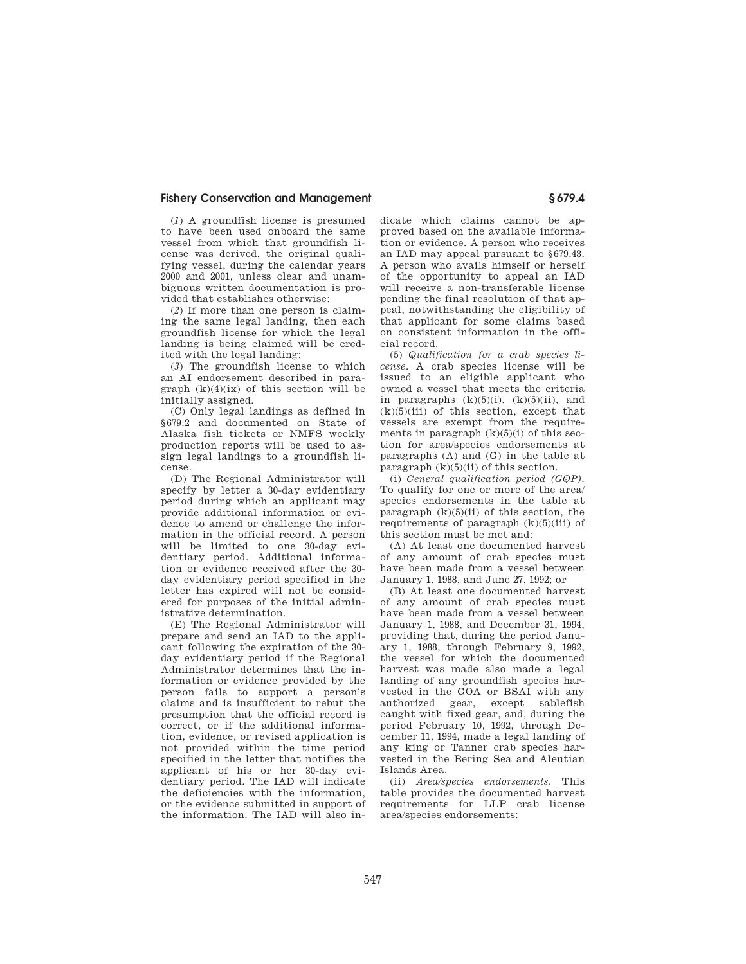(*1*) A groundfish license is presumed to have been used onboard the same vessel from which that groundfish license was derived, the original qualifying vessel, during the calendar years 2000 and 2001, unless clear and unambiguous written documentation is provided that establishes otherwise;

(*2*) If more than one person is claiming the same legal landing, then each groundfish license for which the legal landing is being claimed will be credited with the legal landing;

(*3*) The groundfish license to which an AI endorsement described in paragraph  $(k)(4)(ix)$  of this section will be initially assigned.

(C) Only legal landings as defined in §679.2 and documented on State of Alaska fish tickets or NMFS weekly production reports will be used to assign legal landings to a groundfish license.

(D) The Regional Administrator will specify by letter a 30-day evidentiary period during which an applicant may provide additional information or evidence to amend or challenge the information in the official record. A person will be limited to one 30-day evidentiary period. Additional information or evidence received after the 30 day evidentiary period specified in the letter has expired will not be considered for purposes of the initial administrative determination.

(E) The Regional Administrator will prepare and send an IAD to the applicant following the expiration of the 30 day evidentiary period if the Regional Administrator determines that the information or evidence provided by the person fails to support a person's claims and is insufficient to rebut the presumption that the official record is correct, or if the additional information, evidence, or revised application is not provided within the time period specified in the letter that notifies the applicant of his or her 30-day evidentiary period. The IAD will indicate the deficiencies with the information, or the evidence submitted in support of the information. The IAD will also indicate which claims cannot be approved based on the available information or evidence. A person who receives an IAD may appeal pursuant to §679.43. A person who avails himself or herself of the opportunity to appeal an IAD will receive a non-transferable license pending the final resolution of that appeal, notwithstanding the eligibility of that applicant for some claims based on consistent information in the official record.

(5) *Qualification for a crab species license.* A crab species license will be issued to an eligible applicant who owned a vessel that meets the criteria in paragraphs  $(k)(5)(i)$ ,  $(k)(5)(ii)$ , and  $(k)(5)(iii)$  of this section, except that vessels are exempt from the requirements in paragraph  $(k)(5)(i)$  of this section for area/species endorsements at paragraphs (A) and (G) in the table at paragraph  $(k)(5)(ii)$  of this section.

(i) *General qualification period (GQP).*  To qualify for one or more of the area/ species endorsements in the table at paragraph  $(k)(5)(ii)$  of this section, the requirements of paragraph  $(k)(5)(iii)$  of this section must be met and:

(A) At least one documented harvest of any amount of crab species must have been made from a vessel between January 1, 1988, and June 27, 1992; or

(B) At least one documented harvest of any amount of crab species must have been made from a vessel between January 1, 1988, and December 31, 1994, providing that, during the period January 1, 1988, through February 9, 1992, the vessel for which the documented harvest was made also made a legal landing of any groundfish species harvested in the GOA or BSAI with any authorized gear, except sablefish caught with fixed gear, and, during the period February 10, 1992, through December 11, 1994, made a legal landing of any king or Tanner crab species harvested in the Bering Sea and Aleutian Islands Area.

(ii) *Area/species endorsements.* This table provides the documented harvest requirements for LLP crab license area/species endorsements: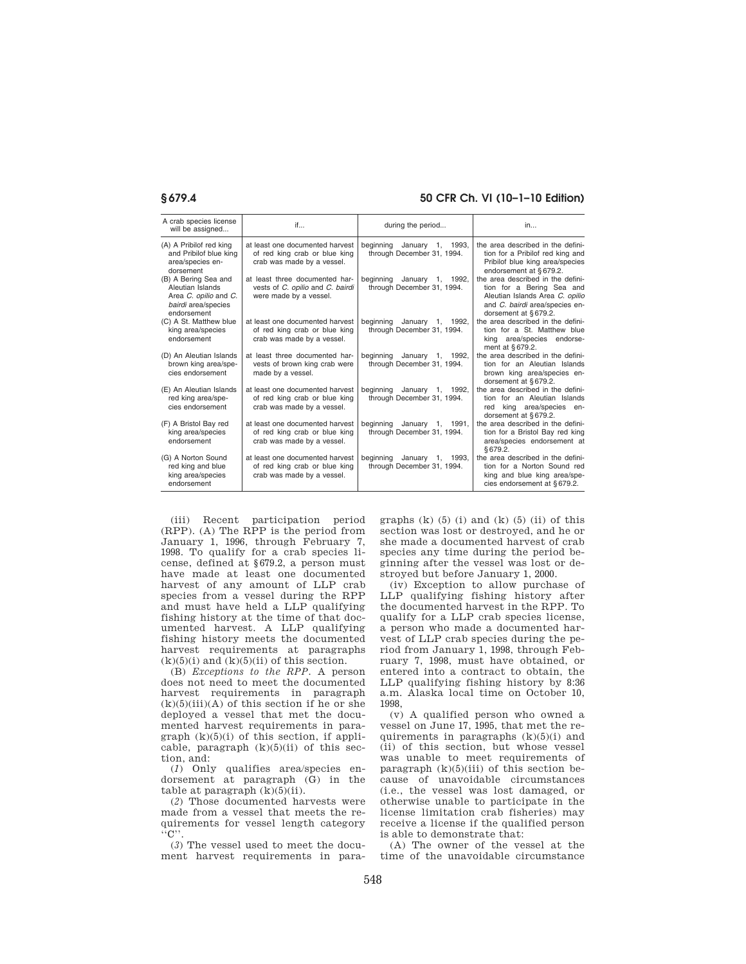| A crab species license<br>will be assigned                                                              | if                                                                                             | during the period                                           | in                                                                                                                                                          |
|---------------------------------------------------------------------------------------------------------|------------------------------------------------------------------------------------------------|-------------------------------------------------------------|-------------------------------------------------------------------------------------------------------------------------------------------------------------|
| (A) A Pribilof red king<br>and Pribilof blue king<br>area/species en-<br>dorsement                      | at least one documented harvest<br>of red king crab or blue king<br>crab was made by a vessel. | beginning<br>January 1, 1993,<br>through December 31, 1994. | the area described in the defini-<br>tion for a Pribilof red king and<br>Pribilof blue king area/species<br>endorsement at §679.2.                          |
| (B) A Bering Sea and<br>Aleutian Islands<br>Area C. opilio and C.<br>bairdi area/species<br>endorsement | at least three documented har-<br>vests of C. opilio and C. bairdi<br>were made by a vessel.   | beginning<br>January 1, 1992,<br>through December 31, 1994. | the area described in the defini-<br>tion for a Bering Sea and<br>Aleutian Islands Area C. opilio<br>and C. bairdi area/species en-<br>dorsement at §679.2. |
| (C) A St. Matthew blue<br>king area/species<br>endorsement                                              | at least one documented harvest<br>of red king crab or blue king<br>crab was made by a vessel. | beginning<br>January 1, 1992,<br>through December 31, 1994. | the area described in the defini-<br>tion for a St. Matthew blue<br>king area/species endorse-<br>ment at §679.2.                                           |
| (D) An Aleutian Islands<br>brown king area/spe-<br>cies endorsement                                     | at least three documented har-<br>vests of brown king crab were<br>made by a vessel.           | beginning January 1, 1992,<br>through December 31, 1994.    | the area described in the defini-<br>tion for an Aleutian Islands<br>brown king area/species en-<br>dorsement at §679.2.                                    |
| (E) An Aleutian Islands<br>red king area/spe-<br>cies endorsement                                       | at least one documented harvest<br>of red king crab or blue king<br>crab was made by a vessel. | beginning<br>January 1, 1992,<br>through December 31, 1994. | the area described in the defini-<br>tion for an Aleutian Islands<br>king area/species<br>red<br>en-<br>dorsement at §679.2.                                |
| (F) A Bristol Bay red<br>king area/species<br>endorsement                                               | at least one documented harvest<br>of red king crab or blue king<br>crab was made by a vessel. | beginning January 1, 1991,<br>through December 31, 1994.    | the area described in the defini-<br>tion for a Bristol Bay red king<br>area/species endorsement at<br>\$679.2.                                             |
| (G) A Norton Sound<br>red king and blue<br>king area/species<br>endorsement                             | at least one documented harvest<br>of red king crab or blue king<br>crab was made by a vessel. | beginning<br>January 1, 1993,<br>through December 31, 1994. | the area described in the defini-<br>tion for a Norton Sound red<br>king and blue king area/spe-<br>cies endorsement at §679.2.                             |

(iii) Recent participation period (RPP). (A) The RPP is the period from January 1, 1996, through February 7, 1998. To qualify for a crab species license, defined at §679.2, a person must have made at least one documented harvest of any amount of LLP crab species from a vessel during the RPP and must have held a LLP qualifying fishing history at the time of that documented harvest. A LLP qualifying fishing history meets the documented harvest requirements at paragraphs  $(k)(5)(i)$  and  $(k)(5)(ii)$  of this section.

(B) *Exceptions to the RPP.* A person does not need to meet the documented harvest requirements in paragraph  $(k)(5)(iii)(A)$  of this section if he or she deployed a vessel that met the documented harvest requirements in paragraph  $(k)(5)(i)$  of this section, if applicable, paragraph  $(k)(5)(ii)$  of this section, and:

(*1*) Only qualifies area/species endorsement at paragraph (G) in the table at paragraph  $(k)(5)(ii)$ .

(*2*) Those documented harvests were made from a vessel that meets the requirements for vessel length category  $``C$ '

(*3*) The vessel used to meet the document harvest requirements in paragraphs  $(k)$   $(5)$   $(i)$  and  $(k)$   $(5)$   $(ii)$  of this section was lost or destroyed, and he or she made a documented harvest of crab species any time during the period beginning after the vessel was lost or destroyed but before January 1, 2000.

(iv) Exception to allow purchase of LLP qualifying fishing history after the documented harvest in the RPP. To qualify for a LLP crab species license, a person who made a documented harvest of LLP crab species during the period from January 1, 1998, through February 7, 1998, must have obtained, or entered into a contract to obtain, the LLP qualifying fishing history by 8:36 a.m. Alaska local time on October 10, 1998,

(v) A qualified person who owned a vessel on June 17, 1995, that met the requirements in paragraphs  $(k)(5)(i)$  and (ii) of this section, but whose vessel was unable to meet requirements of paragraph  $(k)(5)(iii)$  of this section because of unavoidable circumstances (i.e., the vessel was lost damaged, or otherwise unable to participate in the license limitation crab fisheries) may receive a license if the qualified person is able to demonstrate that:

(A) The owner of the vessel at the time of the unavoidable circumstance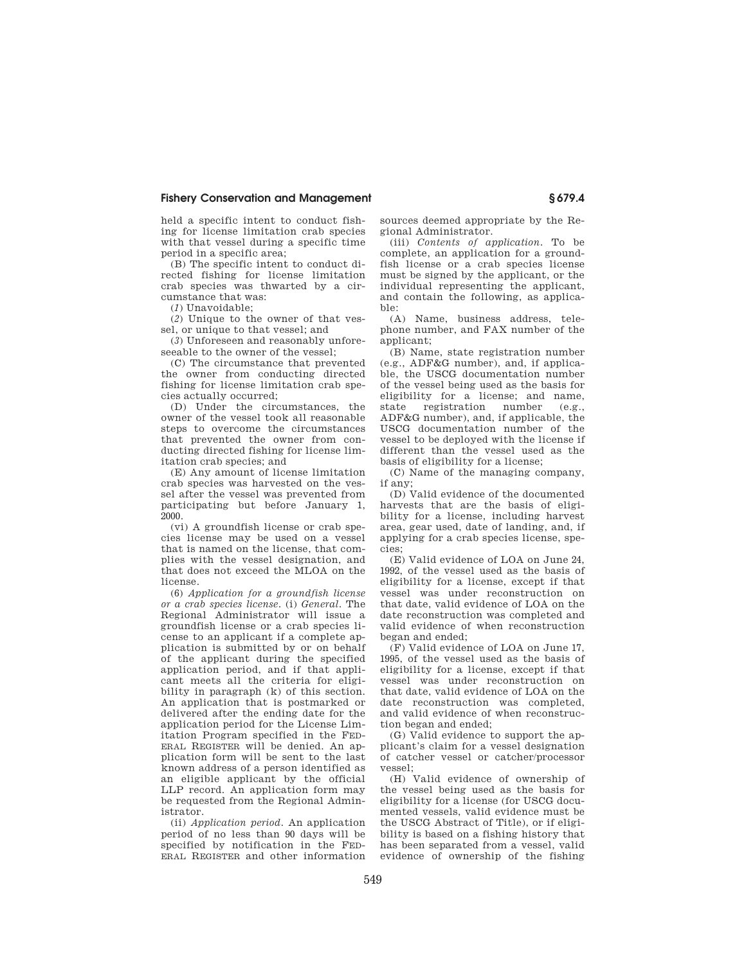held a specific intent to conduct fishing for license limitation crab species with that vessel during a specific time period in a specific area;

(B) The specific intent to conduct directed fishing for license limitation crab species was thwarted by a circumstance that was:

(*1*) Unavoidable;

(*2*) Unique to the owner of that vessel, or unique to that vessel; and

(*3*) Unforeseen and reasonably unforeseeable to the owner of the vessel:

(C) The circumstance that prevented the owner from conducting directed fishing for license limitation crab species actually occurred;

(D) Under the circumstances, the owner of the vessel took all reasonable steps to overcome the circumstances that prevented the owner from conducting directed fishing for license limitation crab species; and

(E) Any amount of license limitation crab species was harvested on the vessel after the vessel was prevented from participating but before January 1, 2000.

(vi) A groundfish license or crab species license may be used on a vessel that is named on the license, that complies with the vessel designation, and that does not exceed the MLOA on the license.

(6) *Application for a groundfish license or a crab species license.* (i) *General.* The Regional Administrator will issue a groundfish license or a crab species license to an applicant if a complete application is submitted by or on behalf of the applicant during the specified application period, and if that applicant meets all the criteria for eligibility in paragraph (k) of this section. An application that is postmarked or delivered after the ending date for the application period for the License Limitation Program specified in the FED-ERAL REGISTER will be denied. An application form will be sent to the last known address of a person identified as an eligible applicant by the official LLP record. An application form may be requested from the Regional Administrator.

(ii) *Application period.* An application period of no less than 90 days will be specified by notification in the FED-ERAL REGISTER and other information sources deemed appropriate by the Regional Administrator.

(iii) *Contents of application.* To be complete, an application for a groundfish license or a crab species license must be signed by the applicant, or the individual representing the applicant, and contain the following, as applicable:

(A) Name, business address, telephone number, and FAX number of the applicant;

(B) Name, state registration number (e.g., ADF&G number), and, if applicable, the USCG documentation number of the vessel being used as the basis for eligibility for a license; and name, state registration number (e.g., ADF&G number), and, if applicable, the USCG documentation number of the vessel to be deployed with the license if different than the vessel used as the basis of eligibility for a license;

(C) Name of the managing company, if any;

(D) Valid evidence of the documented harvests that are the basis of eligibility for a license, including harvest area, gear used, date of landing, and, if applying for a crab species license, species;

(E) Valid evidence of LOA on June 24, 1992, of the vessel used as the basis of eligibility for a license, except if that vessel was under reconstruction on that date, valid evidence of LOA on the date reconstruction was completed and valid evidence of when reconstruction began and ended;

(F) Valid evidence of LOA on June 17, 1995, of the vessel used as the basis of eligibility for a license, except if that vessel was under reconstruction on that date, valid evidence of LOA on the date reconstruction was completed, and valid evidence of when reconstruction began and ended;

(G) Valid evidence to support the applicant's claim for a vessel designation of catcher vessel or catcher/processor vessel;

(H) Valid evidence of ownership of the vessel being used as the basis for eligibility for a license (for USCG documented vessels, valid evidence must be the USCG Abstract of Title), or if eligibility is based on a fishing history that has been separated from a vessel, valid evidence of ownership of the fishing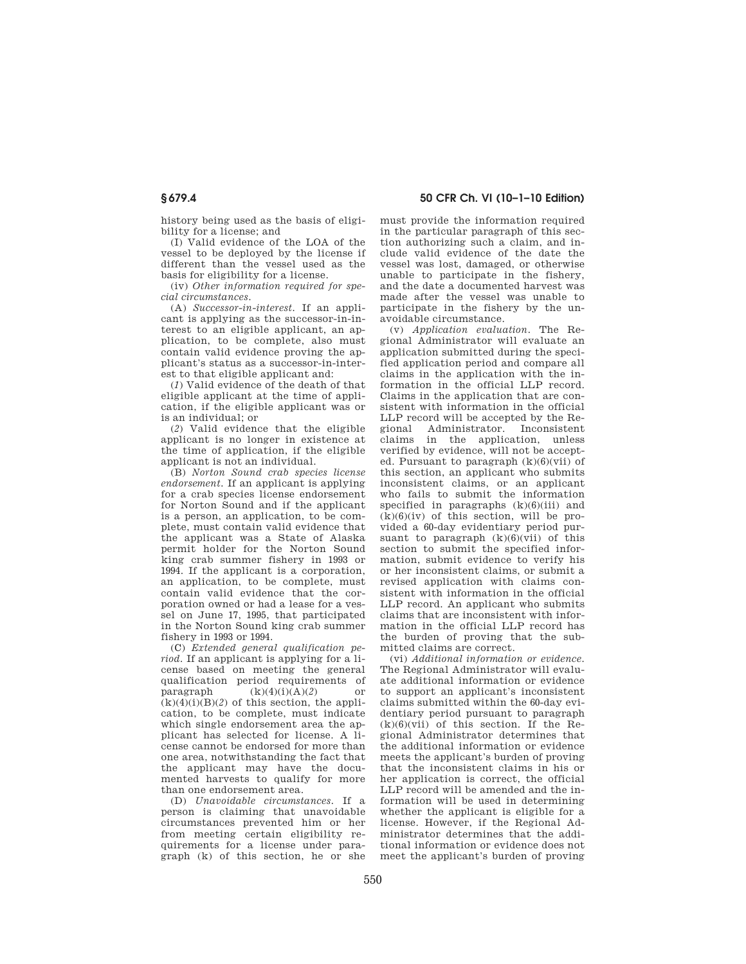history being used as the basis of eligibility for a license; and

(I) Valid evidence of the LOA of the vessel to be deployed by the license if different than the vessel used as the basis for eligibility for a license.

(iv) *Other information required for special circumstances*.

(A) *Successor-in-interest.* If an applicant is applying as the successor-in-interest to an eligible applicant, an application, to be complete, also must contain valid evidence proving the applicant's status as a successor-in-interest to that eligible applicant and:

(*1*) Valid evidence of the death of that eligible applicant at the time of application, if the eligible applicant was or is an individual; or

(*2*) Valid evidence that the eligible applicant is no longer in existence at the time of application, if the eligible applicant is not an individual.

(B) *Norton Sound crab species license endorsement.* If an applicant is applying for a crab species license endorsement for Norton Sound and if the applicant is a person, an application, to be complete, must contain valid evidence that the applicant was a State of Alaska permit holder for the Norton Sound king crab summer fishery in 1993 or 1994. If the applicant is a corporation, an application, to be complete, must contain valid evidence that the corporation owned or had a lease for a vessel on June 17, 1995, that participated in the Norton Sound king crab summer fishery in 1993 or 1994.

(C) *Extended general qualification period.* If an applicant is applying for a license based on meeting the general qualification period requirements of paragraph  $(k)(4)(i)(A)(2)$  or  $(k)(4)(i)(B)(2)$  of this section, the application, to be complete, must indicate which single endorsement area the applicant has selected for license. A license cannot be endorsed for more than one area, notwithstanding the fact that the applicant may have the documented harvests to qualify for more than one endorsement area.

(D) *Unavoidable circumstances.* If a person is claiming that unavoidable circumstances prevented him or her from meeting certain eligibility requirements for a license under paragraph (k) of this section, he or she

**§ 679.4 50 CFR Ch. VI (10–1–10 Edition)** 

must provide the information required in the particular paragraph of this section authorizing such a claim, and include valid evidence of the date the vessel was lost, damaged, or otherwise unable to participate in the fishery, and the date a documented harvest was made after the vessel was unable to participate in the fishery by the unavoidable circumstance.

(v) *Application evaluation.* The Regional Administrator will evaluate an application submitted during the specified application period and compare all claims in the application with the information in the official LLP record. Claims in the application that are consistent with information in the official LLP record will be accepted by the Regional Administrator. Inconsistent claims in the application, unless verified by evidence, will not be accepted. Pursuant to paragraph  $(k)(6)(vii)$  of this section, an applicant who submits inconsistent claims, or an applicant who fails to submit the information specified in paragraphs (k)(6)(iii) and  $(k)(6)(iv)$  of this section, will be provided a 60-day evidentiary period pursuant to paragraph  $(k)(6)(\overline{v}i)$  of this section to submit the specified information, submit evidence to verify his or her inconsistent claims, or submit a revised application with claims consistent with information in the official LLP record. An applicant who submits claims that are inconsistent with information in the official LLP record has the burden of proving that the submitted claims are correct.

(vi) *Additional information or evidence.*  The Regional Administrator will evaluate additional information or evidence to support an applicant's inconsistent claims submitted within the 60-day evidentiary period pursuant to paragraph  $(k)(6)(\text{vii})$  of this section. If the Regional Administrator determines that the additional information or evidence meets the applicant's burden of proving that the inconsistent claims in his or her application is correct, the official LLP record will be amended and the information will be used in determining whether the applicant is eligible for a license. However, if the Regional Administrator determines that the additional information or evidence does not meet the applicant's burden of proving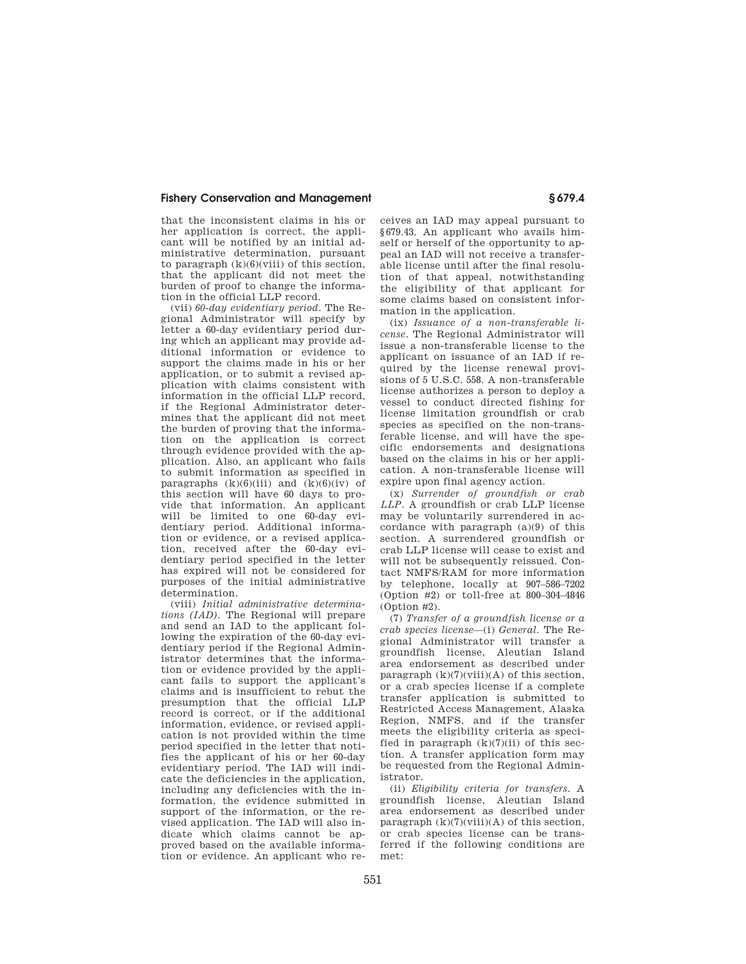that the inconsistent claims in his or her application is correct, the applicant will be notified by an initial administrative determination, pursuant to paragraph  $(k)(6)(viii)$  of this section. that the applicant did not meet the burden of proof to change the information in the official LLP record.

(vii) *60-day evidentiary period.* The Regional Administrator will specify by letter a 60-day evidentiary period during which an applicant may provide additional information or evidence to support the claims made in his or her application, or to submit a revised application with claims consistent with information in the official LLP record, if the Regional Administrator determines that the applicant did not meet the burden of proving that the information on the application is correct through evidence provided with the application. Also, an applicant who fails to submit information as specified in paragraphs  $(k)(6)(iii)$  and  $(k)(6)(iv)$  of this section will have 60 days to provide that information. An applicant will be limited to one 60-day evidentiary period. Additional information or evidence, or a revised application, received after the 60-day evidentiary period specified in the letter has expired will not be considered for purposes of the initial administrative determination.

(viii) *Initial administrative determinations (IAD).* The Regional will prepare and send an IAD to the applicant following the expiration of the 60-day evidentiary period if the Regional Administrator determines that the information or evidence provided by the applicant fails to support the applicant's claims and is insufficient to rebut the presumption that the official LLP record is correct, or if the additional information, evidence, or revised application is not provided within the time period specified in the letter that notifies the applicant of his or her 60-day evidentiary period. The IAD will indicate the deficiencies in the application, including any deficiencies with the information, the evidence submitted in support of the information, or the revised application. The IAD will also indicate which claims cannot be approved based on the available information or evidence. An applicant who receives an IAD may appeal pursuant to §679.43. An applicant who avails himself or herself of the opportunity to appeal an IAD will not receive a transferable license until after the final resolution of that appeal, notwithstanding the eligibility of that applicant for some claims based on consistent information in the application.

(ix) *Issuance of a non-transferable license.* The Regional Administrator will issue a non-transferable license to the applicant on issuance of an IAD if required by the license renewal provisions of 5 U.S.C. 558. A non-transferable license authorizes a person to deploy a vessel to conduct directed fishing for license limitation groundfish or crab species as specified on the non-transferable license, and will have the specific endorsements and designations based on the claims in his or her application. A non-transferable license will expire upon final agency action.

(x) *Surrender of groundfish or crab LLP.* A groundfish or crab LLP license may be voluntarily surrendered in accordance with paragraph (a)(9) of this section. A surrendered groundfish or crab LLP license will cease to exist and will not be subsequently reissued. Contact NMFS/RAM for more information by telephone, locally at 907–586–7202 (Option #2) or toll-free at 800–304–4846 (Option #2).

(7) *Transfer of a groundfish license or a crab species license*—(i) *General.* The Regional Administrator will transfer a groundfish license, Aleutian Island area endorsement as described under paragraph  $(k)(7)(viii)(A)$  of this section, or a crab species license if a complete transfer application is submitted to Restricted Access Management, Alaska Region, NMFS, and if the transfer meets the eligibility criteria as specified in paragraph  $(k)(7)(ii)$  of this section. A transfer application form may be requested from the Regional Administrator.

(ii) *Eligibility criteria for transfers.* A groundfish license, Aleutian Island area endorsement as described under paragraph  $(k)(7)(viii)(A)$  of this section, or crab species license can be transferred if the following conditions are met: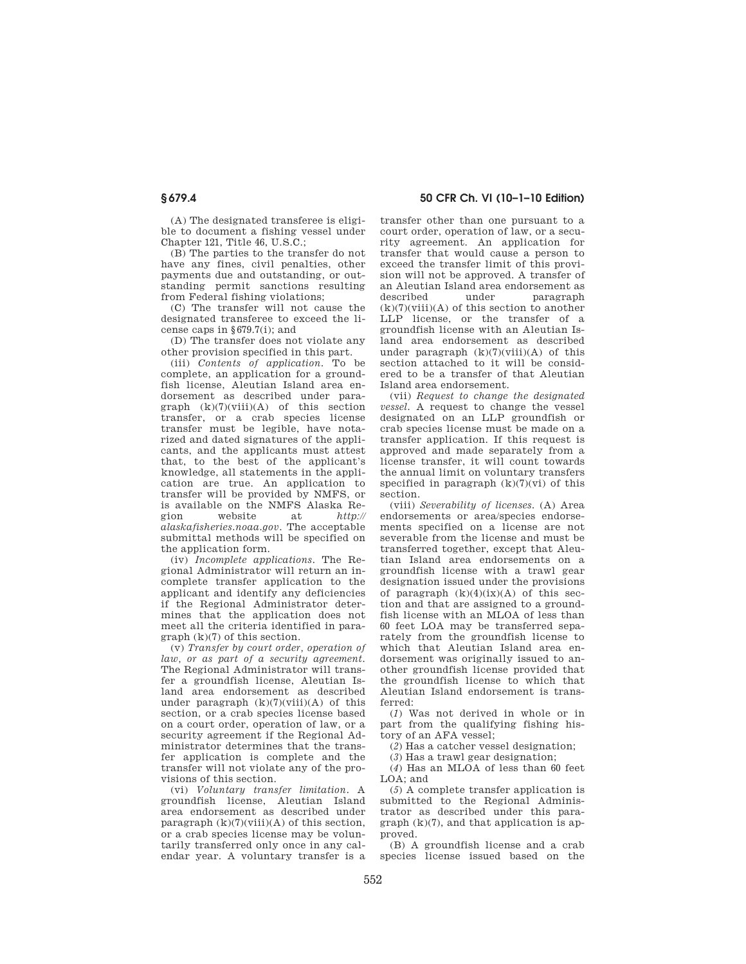(A) The designated transferee is eligible to document a fishing vessel under Chapter 121, Title 46, U.S.C.;

(B) The parties to the transfer do not have any fines, civil penalties, other payments due and outstanding, or outstanding permit sanctions resulting from Federal fishing violations;

(C) The transfer will not cause the designated transferee to exceed the license caps in §679.7(i); and

(D) The transfer does not violate any other provision specified in this part.

(iii) *Contents of application.* To be complete, an application for a groundfish license, Aleutian Island area endorsement as described under para $graph (k)(7)(viii)(A) of this section$ transfer, or a crab species license transfer must be legible, have notarized and dated signatures of the applicants, and the applicants must attest that, to the best of the applicant's knowledge, all statements in the application are true. An application to transfer will be provided by NMFS, or is available on the NMFS Alaska Region website at *http:// alaskafisheries.noaa.gov*. The acceptable submittal methods will be specified on the application form.

(iv) *Incomplete applications.* The Regional Administrator will return an incomplete transfer application to the applicant and identify any deficiencies if the Regional Administrator determines that the application does not meet all the criteria identified in paragraph (k)(7) of this section.

(v) *Transfer by court order, operation of law, or as part of a security agreement.*  The Regional Administrator will transfer a groundfish license, Aleutian Island area endorsement as described under paragraph  $(k)(7)(viii)(A)$  of this section, or a crab species license based on a court order, operation of law, or a security agreement if the Regional Administrator determines that the transfer application is complete and the transfer will not violate any of the provisions of this section.

(vi) *Voluntary transfer limitation.* A groundfish license, Aleutian Island area endorsement as described under paragraph  $(k)(7)(viii)(A)$  of this section, or a crab species license may be voluntarily transferred only once in any calendar year. A voluntary transfer is a

**§ 679.4 50 CFR Ch. VI (10–1–10 Edition)** 

transfer other than one pursuant to a court order, operation of law, or a security agreement. An application for transfer that would cause a person to exceed the transfer limit of this provision will not be approved. A transfer of an Aleutian Island area endorsement as described under paragraph  $(k)(7)(viii)(A)$  of this section to another LLP license, or the transfer of a groundfish license with an Aleutian Island area endorsement as described under paragraph  $(k)(7)(viii)(A)$  of this section attached to it will be considered to be a transfer of that Aleutian Island area endorsement.

(vii) *Request to change the designated vessel.* A request to change the vessel designated on an LLP groundfish or crab species license must be made on a transfer application. If this request is approved and made separately from a license transfer, it will count towards the annual limit on voluntary transfers specified in paragraph  $(k)(7)(vi)$  of this section.

(viii) *Severability of licenses.* (A) Area endorsements or area/species endorsements specified on a license are not severable from the license and must be transferred together, except that Aleutian Island area endorsements on a groundfish license with a trawl gear designation issued under the provisions of paragraph  $(k)(4)(ix)(A)$  of this section and that are assigned to a groundfish license with an MLOA of less than 60 feet LOA may be transferred separately from the groundfish license to which that Aleutian Island area endorsement was originally issued to another groundfish license provided that the groundfish license to which that Aleutian Island endorsement is transferred:

(*1*) Was not derived in whole or in part from the qualifying fishing history of an AFA vessel;

(*2*) Has a catcher vessel designation;

(*3*) Has a trawl gear designation;

(*4*) Has an MLOA of less than 60 feet  $LOA: and$ 

(*5*) A complete transfer application is submitted to the Regional Administrator as described under this para $graph (k)(7)$ , and that application is approved.

(B) A groundfish license and a crab species license issued based on the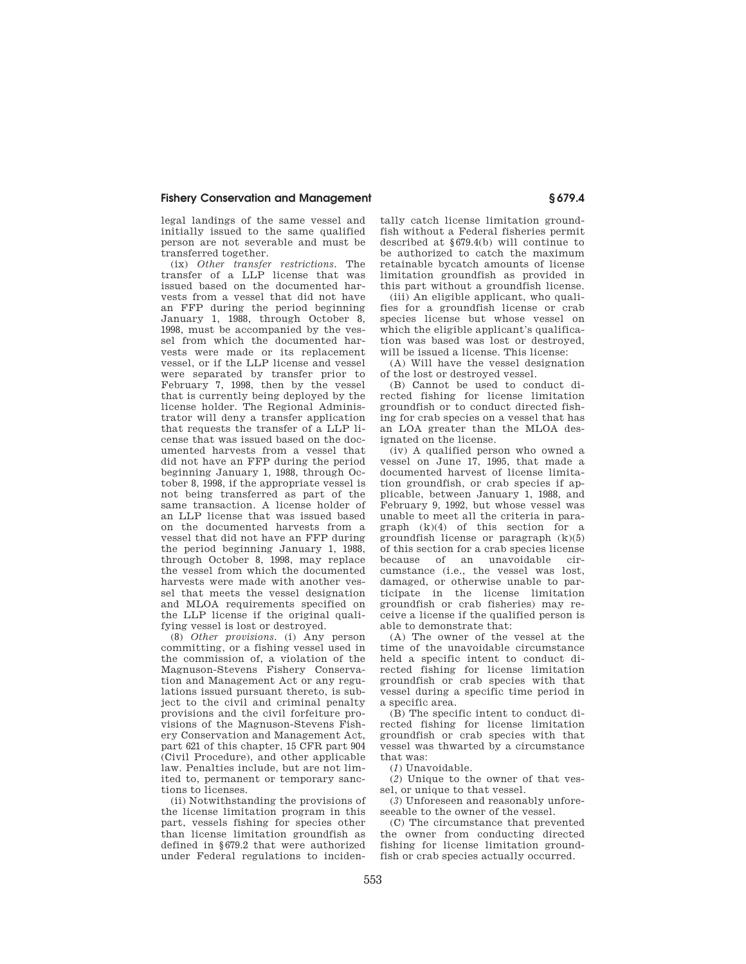legal landings of the same vessel and initially issued to the same qualified person are not severable and must be transferred together.

(ix) *Other transfer restrictions.* The transfer of a LLP license that was issued based on the documented harvests from a vessel that did not have an FFP during the period beginning January 1, 1988, through October 8, 1998, must be accompanied by the vessel from which the documented harvests were made or its replacement vessel, or if the LLP license and vessel were separated by transfer prior to February 7, 1998, then by the vessel that is currently being deployed by the license holder. The Regional Administrator will deny a transfer application that requests the transfer of a LLP license that was issued based on the documented harvests from a vessel that did not have an FFP during the period beginning January 1, 1988, through October 8, 1998, if the appropriate vessel is not being transferred as part of the same transaction. A license holder of an LLP license that was issued based on the documented harvests from a vessel that did not have an FFP during the period beginning January 1, 1988, through October 8, 1998, may replace the vessel from which the documented harvests were made with another vessel that meets the vessel designation and MLOA requirements specified on the LLP license if the original qualifying vessel is lost or destroyed.

(8) *Other provisions.* (i) Any person committing, or a fishing vessel used in the commission of, a violation of the Magnuson-Stevens Fishery Conservation and Management Act or any regulations issued pursuant thereto, is subject to the civil and criminal penalty provisions and the civil forfeiture provisions of the Magnuson-Stevens Fishery Conservation and Management Act, part 621 of this chapter, 15 CFR part 904 (Civil Procedure), and other applicable law. Penalties include, but are not limited to, permanent or temporary sanctions to licenses.

(ii) Notwithstanding the provisions of the license limitation program in this part, vessels fishing for species other than license limitation groundfish as defined in §679.2 that were authorized under Federal regulations to inciden-

tally catch license limitation groundfish without a Federal fisheries permit described at §679.4(b) will continue to be authorized to catch the maximum retainable bycatch amounts of license limitation groundfish as provided in this part without a groundfish license.

(iii) An eligible applicant, who qualifies for a groundfish license or crab species license but whose vessel on which the eligible applicant's qualification was based was lost or destroyed, will be issued a license. This license:

(A) Will have the vessel designation of the lost or destroyed vessel.

(B) Cannot be used to conduct directed fishing for license limitation groundfish or to conduct directed fishing for crab species on a vessel that has an LOA greater than the MLOA designated on the license.

(iv) A qualified person who owned a vessel on June 17, 1995, that made a documented harvest of license limitation groundfish, or crab species if applicable, between January 1, 1988, and February 9, 1992, but whose vessel was unable to meet all the criteria in paragraph  $(k)(4)$  of this section for a groundfish license or paragraph (k)(5) of this section for a crab species license because of an unavoidable circumstance (i.e., the vessel was lost, damaged, or otherwise unable to participate in the license limitation groundfish or crab fisheries) may receive a license if the qualified person is able to demonstrate that:

(A) The owner of the vessel at the time of the unavoidable circumstance held a specific intent to conduct directed fishing for license limitation groundfish or crab species with that vessel during a specific time period in a specific area.

(B) The specific intent to conduct directed fishing for license limitation groundfish or crab species with that vessel was thwarted by a circumstance that was:

(*1*) Unavoidable.

(*2*) Unique to the owner of that vessel, or unique to that vessel.

(*3*) Unforeseen and reasonably unforeseeable to the owner of the vessel.

(C) The circumstance that prevented the owner from conducting directed fishing for license limitation groundfish or crab species actually occurred.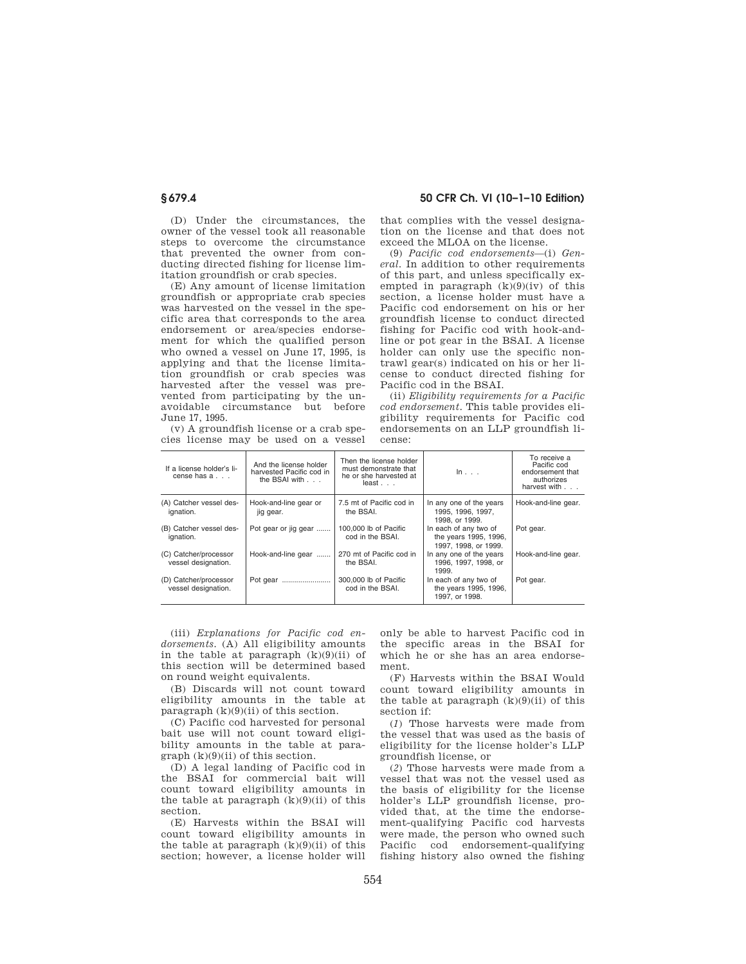(D) Under the circumstances, the owner of the vessel took all reasonable steps to overcome the circumstance that prevented the owner from conducting directed fishing for license limitation groundfish or crab species.

(E) Any amount of license limitation groundfish or appropriate crab species was harvested on the vessel in the specific area that corresponds to the area endorsement or area/species endorsement for which the qualified person who owned a vessel on June 17, 1995, is applying and that the license limitation groundfish or crab species was harvested after the vessel was prevented from participating by the unavoidable circumstance but before June 17, 1995.

(v) A groundfish license or a crab species license may be used on a vessel that complies with the vessel designation on the license and that does not exceed the MLOA on the license.

(9) *Pacific cod endorsements*—(i) *General.* In addition to other requirements of this part, and unless specifically exempted in paragraph  $(k)(9)(iv)$  of this section, a license holder must have a Pacific cod endorsement on his or her groundfish license to conduct directed fishing for Pacific cod with hook-andline or pot gear in the BSAI. A license holder can only use the specific nontrawl gear(s) indicated on his or her license to conduct directed fishing for Pacific cod in the BSAI.

(ii) *Eligibility requirements for a Pacific cod endorsement.* This table provides eligibility requirements for Pacific cod endorsements on an LLP groundfish license:

| If a license holder's li-<br>cense has a     | And the license holder<br>harvested Pacific cod in<br>the BSAI with | Then the license holder<br>must demonstrate that<br>he or she harvested at<br>$least \dots$ | $\ln \ldots$                                                           | To receive a<br>Pacific cod<br>endorsement that<br>authorizes<br>harvest with |
|----------------------------------------------|---------------------------------------------------------------------|---------------------------------------------------------------------------------------------|------------------------------------------------------------------------|-------------------------------------------------------------------------------|
| (A) Catcher vessel des-<br>ignation.         | Hook-and-line gear or<br>jig gear.                                  | 7.5 mt of Pacific cod in<br>the BSAI.                                                       | In any one of the years<br>1995. 1996. 1997.<br>1998. or 1999.         | Hook-and-line gear.                                                           |
| (B) Catcher vessel des-<br>ignation.         | Pot gear or jig gear                                                | 100,000 lb of Pacific<br>cod in the BSAI.                                                   | In each of any two of<br>the years 1995, 1996,<br>1997, 1998, or 1999. | Pot gear.                                                                     |
| (C) Catcher/processor<br>vessel designation. | Hook-and-line gear                                                  | 270 mt of Pacific cod in<br>the BSAI.                                                       | In any one of the years<br>1996, 1997, 1998, or<br>1999.               | Hook-and-line gear.                                                           |
| (D) Catcher/processor<br>vessel designation. | Pot gear                                                            | 300,000 lb of Pacific<br>cod in the BSAI.                                                   | In each of any two of<br>the years 1995, 1996,<br>1997. or 1998.       | Pot gear.                                                                     |

(iii) *Explanations for Pacific cod endorsements.* (A) All eligibility amounts in the table at paragraph  $(k)(9)(ii)$  of this section will be determined based on round weight equivalents.

(B) Discards will not count toward eligibility amounts in the table at paragraph  $(k)(9)(ii)$  of this section.

(C) Pacific cod harvested for personal bait use will not count toward eligibility amounts in the table at para $graph (k)(9)(ii)$  of this section.

(D) A legal landing of Pacific cod in the BSAI for commercial bait will count toward eligibility amounts in the table at paragraph  $(k)(9)(ii)$  of this section.

(E) Harvests within the BSAI will count toward eligibility amounts in the table at paragraph  $(k)(9)(ii)$  of this section; however, a license holder will

only be able to harvest Pacific cod in the specific areas in the BSAI for which he or she has an area endorsement.

(F) Harvests within the BSAI Would count toward eligibility amounts in the table at paragraph  $(k)(9)(ii)$  of this section if:

(*1*) Those harvests were made from the vessel that was used as the basis of eligibility for the license holder's LLP groundfish license, or

(*2*) Those harvests were made from a vessel that was not the vessel used as the basis of eligibility for the license holder's LLP groundfish license, provided that, at the time the endorsement-qualifying Pacific cod harvests were made, the person who owned such Pacific cod endorsement-qualifying fishing history also owned the fishing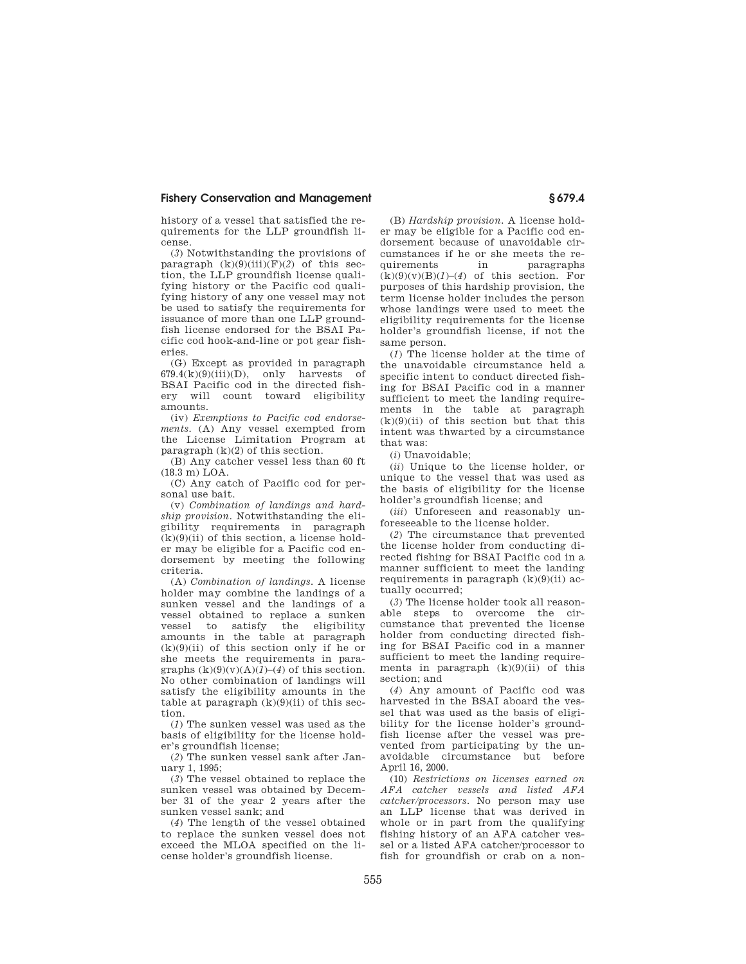history of a vessel that satisfied the requirements for the LLP groundfish license.

(*3*) Notwithstanding the provisions of paragraph (k)(9)(iii)(F)(*2*) of this section, the LLP groundfish license qualifying history or the Pacific cod qualifying history of any one vessel may not be used to satisfy the requirements for issuance of more than one LLP groundfish license endorsed for the BSAI Pacific cod hook-and-line or pot gear fisheries.

(G) Except as provided in paragraph  $679.4(k)(9)(iii)(D)$ , only harvests of BSAI Pacific cod in the directed fishery will count toward eligibility amounts.

(iv) *Exemptions to Pacific cod endorsements.* (A) Any vessel exempted from the License Limitation Program at paragraph  $(k)(2)$  of this section.

(B) Any catcher vessel less than 60 ft  $(18.3 \text{ m})$  LOA.

(C) Any catch of Pacific cod for personal use bait.

(v) *Combination of landings and hardship provision.* Notwithstanding the eligibility requirements in paragraph  $(k)(9)(ii)$  of this section, a license holder may be eligible for a Pacific cod endorsement by meeting the following criteria.

(A) *Combination of landings.* A license holder may combine the landings of a sunken vessel and the landings of a vessel obtained to replace a sunken vessel to satisfy the eligibility amounts in the table at paragraph  $(k)(9)(ii)$  of this section only if he or she meets the requirements in paragraphs  $(k)(9)(v)(A)(1)-(4)$  of this section. No other combination of landings will satisfy the eligibility amounts in the table at paragraph  $(k)(9)(ii)$  of this section.

(*1*) The sunken vessel was used as the basis of eligibility for the license holder's groundfish license;

(*2*) The sunken vessel sank after January 1, 1995;

(*3*) The vessel obtained to replace the sunken vessel was obtained by December 31 of the year 2 years after the sunken vessel sank; and

(*4*) The length of the vessel obtained to replace the sunken vessel does not exceed the MLOA specified on the license holder's groundfish license.

(B) *Hardship provision.* A license holder may be eligible for a Pacific cod endorsement because of unavoidable circumstances if he or she meets the requirements in paragraphs  $(k)(9)(v)(B)(1)-(4)$  of this section. For purposes of this hardship provision, the term license holder includes the person whose landings were used to meet the eligibility requirements for the license holder's groundfish license, if not the same person.

(*1*) The license holder at the time of the unavoidable circumstance held a specific intent to conduct directed fishing for BSAI Pacific cod in a manner sufficient to meet the landing requirements in the table at paragraph  $(k)(9)(ii)$  of this section but that this intent was thwarted by a circumstance that was:

(*i*) Unavoidable;

(*ii*) Unique to the license holder, or unique to the vessel that was used as the basis of eligibility for the license holder's groundfish license; and

(*iii*) Unforeseen and reasonably unforeseeable to the license holder.

(*2*) The circumstance that prevented the license holder from conducting directed fishing for BSAI Pacific cod in a manner sufficient to meet the landing requirements in paragraph  $(k)(9)(ii)$  actually occurred;

(*3*) The license holder took all reasonable steps to overcome the circumstance that prevented the license holder from conducting directed fishing for BSAI Pacific cod in a manner sufficient to meet the landing requirements in paragraph  $(k)(9)(ii)$  of this section; and

(*4*) Any amount of Pacific cod was harvested in the BSAI aboard the vessel that was used as the basis of eligibility for the license holder's groundfish license after the vessel was prevented from participating by the unavoidable circumstance but before April 16, 2000.

(10) *Restrictions on licenses earned on AFA catcher vessels and listed AFA catcher/processors.* No person may use an LLP license that was derived in whole or in part from the qualifying fishing history of an AFA catcher vessel or a listed AFA catcher/processor to fish for groundfish or crab on a non-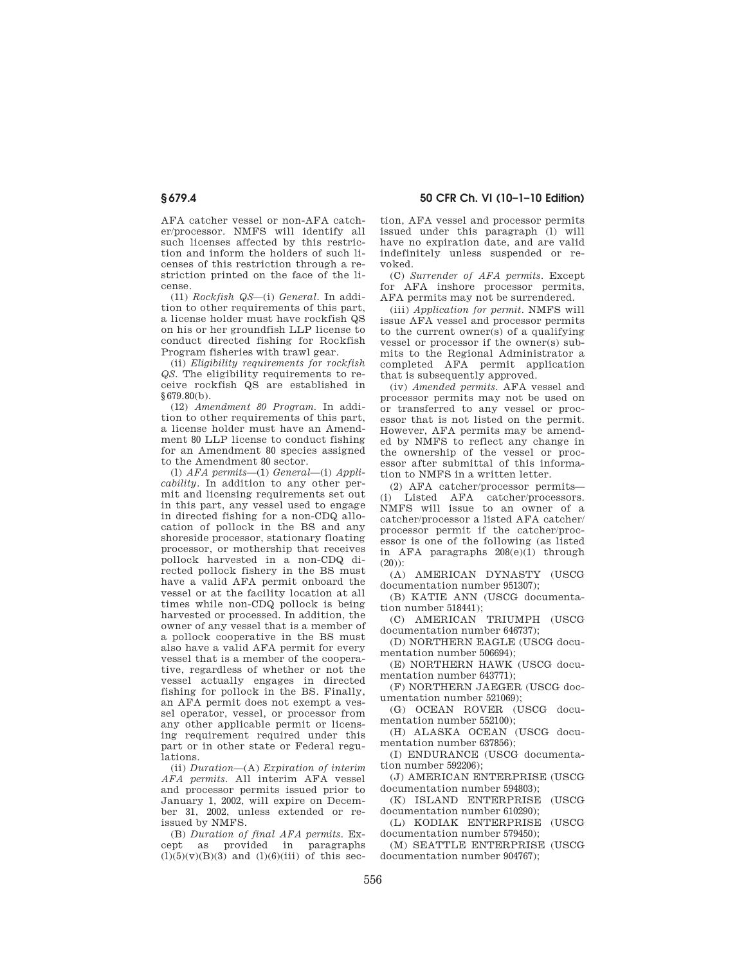AFA catcher vessel or non-AFA catcher/processor. NMFS will identify all such licenses affected by this restriction and inform the holders of such licenses of this restriction through a restriction printed on the face of the license.

(11) *Rockfish QS*—(i) *General.* In addition to other requirements of this part, a license holder must have rockfish QS on his or her groundfish LLP license to conduct directed fishing for Rockfish Program fisheries with trawl gear.

(ii) *Eligibility requirements for rockfish QS.* The eligibility requirements to receive rockfish QS are established in §679.80(b).

(12) *Amendment 80 Program.* In addition to other requirements of this part, a license holder must have an Amendment 80 LLP license to conduct fishing for an Amendment 80 species assigned to the Amendment 80 sector.

(l) *AFA permits*—(1) *General*—(i) *Applicability.* In addition to any other permit and licensing requirements set out in this part, any vessel used to engage in directed fishing for a non-CDQ allocation of pollock in the BS and any shoreside processor, stationary floating processor, or mothership that receives pollock harvested in a non-CDQ directed pollock fishery in the BS must have a valid AFA permit onboard the vessel or at the facility location at all times while non-CDQ pollock is being harvested or processed. In addition, the owner of any vessel that is a member of a pollock cooperative in the BS must also have a valid AFA permit for every vessel that is a member of the cooperative, regardless of whether or not the vessel actually engages in directed fishing for pollock in the BS. Finally, an AFA permit does not exempt a vessel operator, vessel, or processor from any other applicable permit or licensing requirement required under this part or in other state or Federal regulations.

(ii) *Duration*—(A) *Expiration of interim AFA permits.* All interim AFA vessel and processor permits issued prior to January 1, 2002, will expire on December 31, 2002, unless extended or reissued by NMFS.

(B) *Duration of final AFA permits.* Except as provided in paragraphs  $(l)(5)(v)(B)(3)$  and  $(l)(6)(iii)$  of this sec-

**§ 679.4 50 CFR Ch. VI (10–1–10 Edition)** 

tion, AFA vessel and processor permits issued under this paragraph (l) will have no expiration date, and are valid indefinitely unless suspended or revoked.

(C) *Surrender of AFA permits.* Except for AFA inshore processor permits, AFA permits may not be surrendered.

(iii) *Application for permit.* NMFS will issue AFA vessel and processor permits to the current owner(s) of a qualifying vessel or processor if the owner(s) submits to the Regional Administrator a completed AFA permit application that is subsequently approved.

(iv) *Amended permits.* AFA vessel and processor permits may not be used on or transferred to any vessel or processor that is not listed on the permit. However, AFA permits may be amended by NMFS to reflect any change in the ownership of the vessel or processor after submittal of this information to NMFS in a written letter.

(2) AFA catcher/processor permits— (i) Listed AFA catcher/processors. NMFS will issue to an owner of a catcher/processor a listed AFA catcher/ processor permit if the catcher/processor is one of the following (as listed in AFA paragraphs 208(e)(1) through (20)):

(A) AMERICAN DYNASTY (USCG documentation number 951307);

(B) KATIE ANN (USCG documentation number 518441);

(C) AMERICAN TRIUMPH (USCG documentation number 646737);

(D) NORTHERN EAGLE (USCG documentation number 506694);

(E) NORTHERN HAWK (USCG documentation number 643771);

(F) NORTHERN JAEGER (USCG documentation number 521069);

(G) OCEAN ROVER (USCG documentation number 552100);

(H) ALASKA OCEAN (USCG documentation number 637856);

(I) ENDURANCE (USCG documentation number 592206);

(J) AMERICAN ENTERPRISE (USCG documentation number 594803);

(K) ISLAND ENTERPRISE (USCG documentation number 610290);

(L) KODIAK ENTERPRISE (USCG documentation number 579450);

(M) SEATTLE ENTERPRISE (USCG documentation number 904767);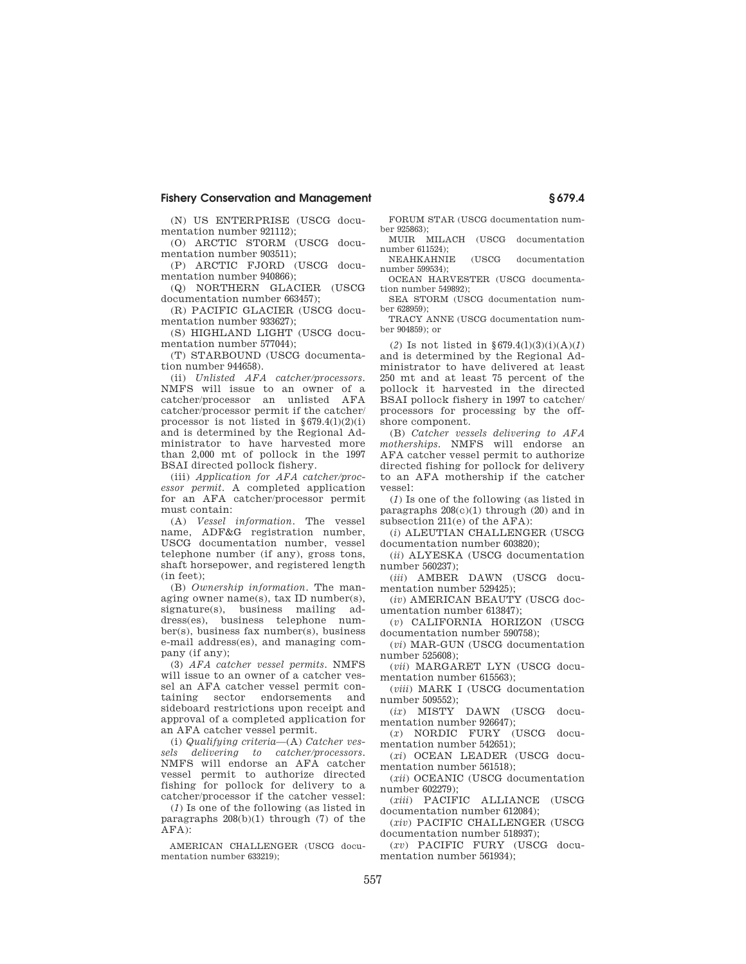(N) US ENTERPRISE (USCG documentation number 921112);

(O) ARCTIC STORM (USCG documentation number 903511);

(P) ARCTIC FJORD (USCG documentation number 940866);

(Q) NORTHERN GLACIER (USCG documentation number 663457);

(R) PACIFIC GLACIER (USCG documentation number 933627);

(S) HIGHLAND LIGHT (USCG documentation number 577044);

(T) STARBOUND (USCG documentation number 944658).

(ii) *Unlisted AFA catcher/processors.*  NMFS will issue to an owner of a catcher/processor an unlisted AFA catcher/processor permit if the catcher/ processor is not listed in  $§679.4(1)(2)(i)$ and is determined by the Regional Administrator to have harvested more than 2,000 mt of pollock in the 1997 BSAI directed pollock fishery.

(iii) *Application for AFA catcher/processor permit.* A completed application for an AFA catcher/processor permit must contain:

(A) *Vessel information.* The vessel name, ADF&G registration number, USCG documentation number, vessel telephone number (if any), gross tons, shaft horsepower, and registered length (in feet);

(B) *Ownership information.* The managing owner name(s), tax ID number(s), signature(s), business mailing address(es), business telephone number(s), business fax number(s), business e-mail address(es), and managing company (if any);

(3) *AFA catcher vessel permits.* NMFS will issue to an owner of a catcher vessel an AFA catcher vessel permit containing sector endorsements and sideboard restrictions upon receipt and approval of a completed application for an AFA catcher vessel permit.

(i) *Qualifying criteria*—(A) *Catcher vessels delivering to catcher/processors.*  NMFS will endorse an AFA catcher vessel permit to authorize directed fishing for pollock for delivery to a catcher/processor if the catcher vessel:

(*1*) Is one of the following (as listed in paragraphs 208(b)(1) through (7) of the AFA):

AMERICAN CHALLENGER (USCG documentation number 633219);

FORUM STAR (USCG documentation number 925863);

MUIR MILACH (USCG documentation number 611524);

NEAHKAHNIE (USCG documentation number 599534);

OCEAN HARVESTER (USCG documentation number 549892);

SEA STORM (USCG documentation number 628959);

TRACY ANNE (USCG documentation number 904859); or

(*2*) Is not listed in §679.4(l)(3)(i)(A)(*1*) and is determined by the Regional Administrator to have delivered at least 250 mt and at least 75 percent of the pollock it harvested in the directed BSAI pollock fishery in 1997 to catcher/ processors for processing by the offshore component.

(B) *Catcher vessels delivering to AFA motherships.* NMFS will endorse an AFA catcher vessel permit to authorize directed fishing for pollock for delivery to an AFA mothership if the catcher vessel:

(*1*) Is one of the following (as listed in paragraphs  $208(c)(1)$  through  $(20)$  and in subsection 211(e) of the AFA):

(*i*) ALEUTIAN CHALLENGER (USCG documentation number 603820);

(*ii*) ALYESKA (USCG documentation number 560237);

(*iii*) AMBER DAWN (USCG documentation number 529425);

(*iv*) AMERICAN BEAUTY (USCG documentation number 613847);

(*v*) CALIFORNIA HORIZON (USCG documentation number 590758);

(*vi*) MAR-GUN (USCG documentation number 525608);

(*vii*) MARGARET LYN (USCG documentation number 615563);

(*viii*) MARK I (USCG documentation number 509552);

(*ix*) MISTY DAWN (USCG documentation number 926647);

(*x*) NORDIC FURY (USCG documentation number 542651);

(*xi*) OCEAN LEADER (USCG documentation number 561518);

(*xii*) OCEANIC (USCG documentation number 602279);

(*xiii*) PACIFIC ALLIANCE (USCG documentation number 612084);

(*xiv*) PACIFIC CHALLENGER (USCG documentation number 518937);

(*xv*) PACIFIC FURY (USCG documentation number 561934);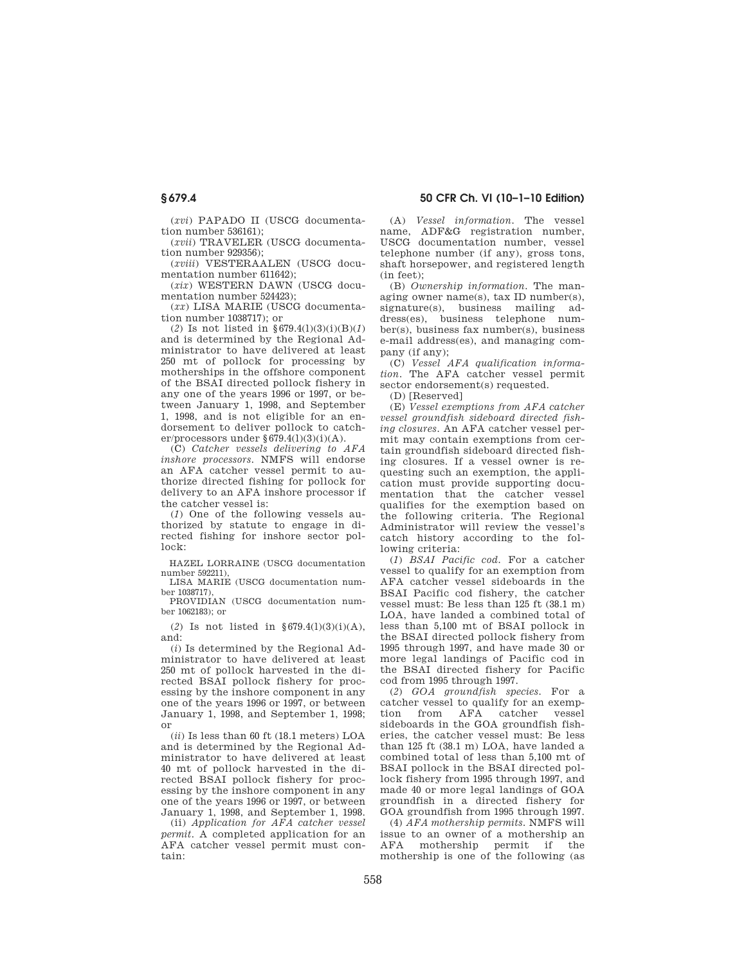(*xvi*) PAPADO II (USCG documentation number 536161);

(*xvii*) TRAVELER (USCG documentation number 929356);

(*xviii*) VESTERAALEN (USCG documentation number 611642);

(*xix*) WESTERN DAWN (USCG documentation number 524423);

(*xx*) LISA MARIE (USCG documentation number 1038717); or

(*2*) Is not listed in §679.4(l)(3)(i)(B)(*1*) and is determined by the Regional Administrator to have delivered at least 250 mt of pollock for processing by motherships in the offshore component of the BSAI directed pollock fishery in any one of the years 1996 or 1997, or between January 1, 1998, and September 1, 1998, and is not eligible for an endorsement to deliver pollock to catcher/processors under  $\S 679.4(1)(3)(i)(A)$ .

(C) *Catcher vessels delivering to AFA inshore processors.* NMFS will endorse an AFA catcher vessel permit to authorize directed fishing for pollock for delivery to an AFA inshore processor if the catcher vessel is:

(*1*) One of the following vessels authorized by statute to engage in directed fishing for inshore sector pollock:

HAZEL LORRAINE (USCG documentation number 592211),

LISA MARIE (USCG documentation number 1038717),

PROVIDIAN (USCG documentation number 1062183); or

(2) Is not listed in  $\S 679.4(1)(3)(i)(A)$ , and:

(*i*) Is determined by the Regional Administrator to have delivered at least 250 mt of pollock harvested in the directed BSAI pollock fishery for processing by the inshore component in any one of the years 1996 or 1997, or between January 1, 1998, and September 1, 1998; or

(*ii*) Is less than 60 ft (18.1 meters) LOA and is determined by the Regional Administrator to have delivered at least 40 mt of pollock harvested in the directed BSAI pollock fishery for processing by the inshore component in any one of the years 1996 or 1997, or between January 1, 1998, and September 1, 1998.

(ii) *Application for AFA catcher vessel permit.* A completed application for an AFA catcher vessel permit must contain:

**§ 679.4 50 CFR Ch. VI (10–1–10 Edition)** 

(A) *Vessel information.* The vessel name, ADF&G registration number, USCG documentation number, vessel telephone number (if any), gross tons, shaft horsepower, and registered length (in feet);

(B) *Ownership information.* The managing owner name(s), tax ID number(s), signature(s), business mailing address(es), business telephone number(s), business fax number(s), business e-mail address(es), and managing company (if any);

(C) *Vessel AFA qualification information.* The AFA catcher vessel permit sector endorsement(s) requested.

(D) [Reserved]

(E) *Vessel exemptions from AFA catcher vessel groundfish sideboard directed fishing closures.* An AFA catcher vessel permit may contain exemptions from certain groundfish sideboard directed fishing closures. If a vessel owner is requesting such an exemption, the application must provide supporting documentation that the catcher vessel qualifies for the exemption based on the following criteria. The Regional Administrator will review the vessel's catch history according to the following criteria:

(*1*) *BSAI Pacific cod.* For a catcher vessel to qualify for an exemption from AFA catcher vessel sideboards in the BSAI Pacific cod fishery, the catcher vessel must: Be less than 125 ft (38.1 m) LOA, have landed a combined total of less than 5,100 mt of BSAI pollock in the BSAI directed pollock fishery from 1995 through 1997, and have made 30 or more legal landings of Pacific cod in the BSAI directed fishery for Pacific cod from 1995 through 1997.

(*2*) *GOA groundfish species.* For a catcher vessel to qualify for an exemption from AFA catcher vessel sideboards in the GOA groundfish fisheries, the catcher vessel must: Be less than 125 ft (38.1 m) LOA, have landed a combined total of less than 5,100 mt of BSAI pollock in the BSAI directed pollock fishery from 1995 through 1997, and made 40 or more legal landings of GOA groundfish in a directed fishery for GOA groundfish from 1995 through 1997.

(4) *AFA mothership permits.* NMFS will issue to an owner of a mothership an AFA mothership permit if the mothership is one of the following (as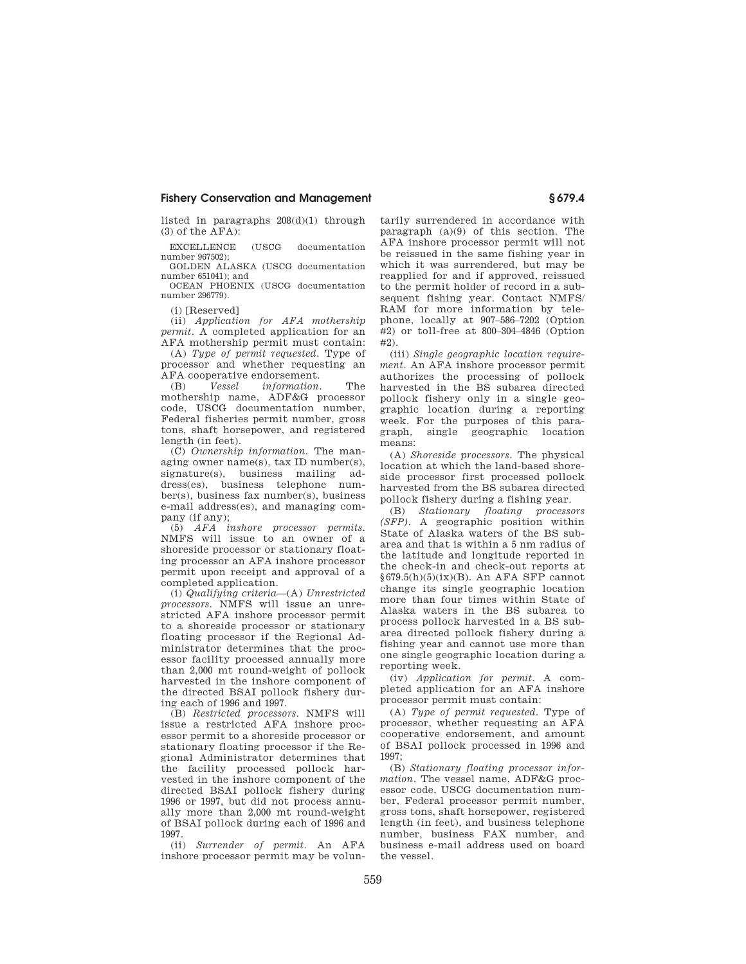listed in paragraphs 208(d)(1) through  $(3)$  of the  $\overline{AFA}$ :

EXCELLENCE (USCG documentation number 967502);

GOLDEN ALASKA (USCG documentation number 651041); and

OCEAN PHOENIX (USCG documentation number 296779).

(i) [Reserved]

(ii) *Application for AFA mothership permit.* A completed application for an AFA mothership permit must contain:

(A) *Type of permit requested.* Type of processor and whether requesting an AFA cooperative endorsement.

(B) *Vessel information.* The mothership name, ADF&G processor code, USCG documentation number, Federal fisheries permit number, gross tons, shaft horsepower, and registered length (in feet).

(C) *Ownership information.* The managing owner name(s), tax ID number(s), signature(s), business mailing address(es), business telephone number(s), business fax number(s), business e-mail address(es), and managing company (if any);

(5) *AFA inshore processor permits.*  NMFS will issue to an owner of a shoreside processor or stationary floating processor an AFA inshore processor permit upon receipt and approval of a completed application.

(i) *Qualifying criteria*—(A) *Unrestricted processors.* NMFS will issue an unrestricted AFA inshore processor permit to a shoreside processor or stationary floating processor if the Regional Administrator determines that the processor facility processed annually more than 2,000 mt round-weight of pollock harvested in the inshore component of the directed BSAI pollock fishery during each of 1996 and 1997.

(B) *Restricted processors.* NMFS will issue a restricted AFA inshore processor permit to a shoreside processor or stationary floating processor if the Regional Administrator determines that the facility processed pollock harvested in the inshore component of the directed BSAI pollock fishery during 1996 or 1997, but did not process annually more than 2,000 mt round-weight of BSAI pollock during each of 1996 and 1997.

(ii) *Surrender of permit.* An AFA inshore processor permit may be voluntarily surrendered in accordance with paragraph  $(a)(9)$  of this section. The AFA inshore processor permit will not be reissued in the same fishing year in which it was surrendered, but may be reapplied for and if approved, reissued to the permit holder of record in a subsequent fishing year. Contact NMFS/ RAM for more information by telephone, locally at 907–586–7202 (Option #2) or toll-free at 800–304–4846 (Option #2).

(iii) *Single geographic location requirement.* An AFA inshore processor permit authorizes the processing of pollock harvested in the BS subarea directed pollock fishery only in a single geographic location during a reporting week. For the purposes of this paragraph, single geographic location means:

(A) *Shoreside processors*. The physical location at which the land-based shoreside processor first processed pollock harvested from the BS subarea directed pollock fishery during a fishing year.

(B) *Stationary floating processors (SFP).* A geographic position within State of Alaska waters of the BS subarea and that is within a 5 nm radius of the latitude and longitude reported in the check-in and check-out reports at §679.5(h)(5)(ix)(B). An AFA SFP cannot change its single geographic location more than four times within State of Alaska waters in the BS subarea to process pollock harvested in a BS subarea directed pollock fishery during a fishing year and cannot use more than one single geographic location during a reporting week.

(iv) *Application for permit.* A completed application for an AFA inshore processor permit must contain:

(A) *Type of permit requested.* Type of processor, whether requesting an AFA cooperative endorsement, and amount of BSAI pollock processed in 1996 and 1997;

(B) *Stationary floating processor information.* The vessel name, ADF&G processor code, USCG documentation number, Federal processor permit number, gross tons, shaft horsepower, registered length (in feet), and business telephone number, business FAX number, and business e-mail address used on board the vessel.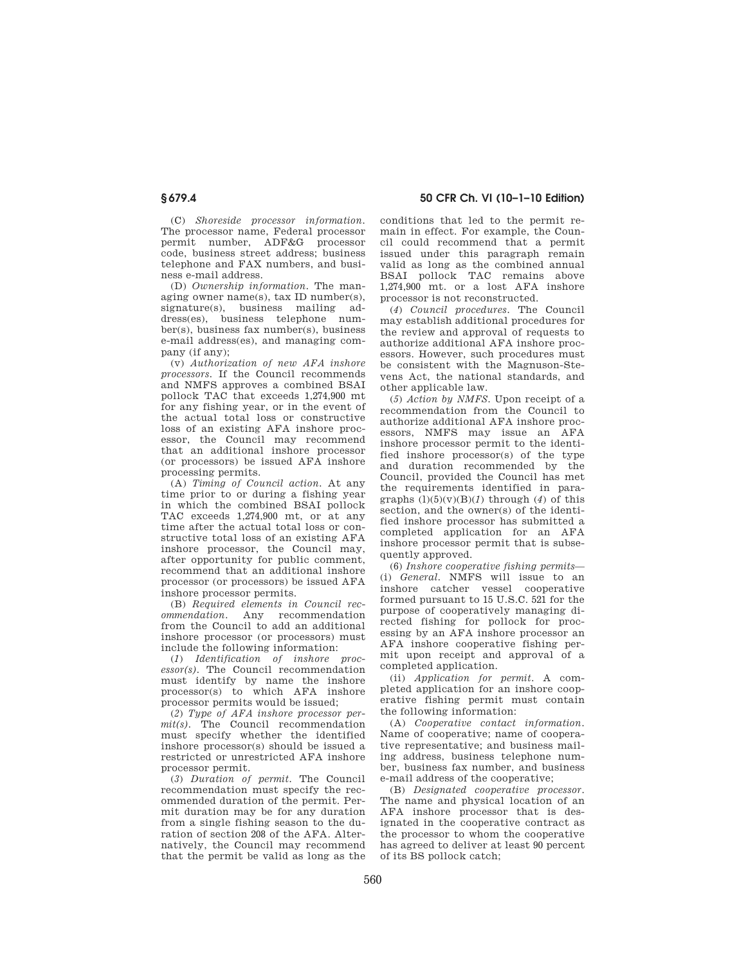(C) *Shoreside processor information.*  The processor name, Federal processor permit number, ADF&G processor code, business street address; business telephone and FAX numbers, and business e-mail address.

(D) *Ownership information.* The managing owner name(s), tax ID number(s), signature(s), business mailing address(es), business telephone number(s), business fax number(s), business e-mail address(es), and managing company (if any);

(v) *Authorization of new AFA inshore processors.* If the Council recommends and NMFS approves a combined BSAI pollock TAC that exceeds 1,274,900 mt for any fishing year, or in the event of the actual total loss or constructive loss of an existing AFA inshore processor, the Council may recommend that an additional inshore processor (or processors) be issued AFA inshore processing permits.

(A) *Timing of Council action.* At any time prior to or during a fishing year in which the combined BSAI pollock TAC exceeds 1,274,900 mt, or at any time after the actual total loss or constructive total loss of an existing AFA inshore processor, the Council may, after opportunity for public comment, recommend that an additional inshore processor (or processors) be issued AFA inshore processor permits.

(B) *Required elements in Council recommendation.* Any recommendation from the Council to add an additional inshore processor (or processors) must include the following information:

(*1*) *Identification of inshore processor(s).* The Council recommendation must identify by name the inshore processor(s) to which AFA inshore processor permits would be issued;

(*2*) *Type of AFA inshore processor permit(s).* The Council recommendation must specify whether the identified inshore processor(s) should be issued a restricted or unrestricted AFA inshore processor permit.

(*3*) *Duration of permit.* The Council recommendation must specify the recommended duration of the permit. Permit duration may be for any duration from a single fishing season to the duration of section 208 of the AFA. Alternatively, the Council may recommend that the permit be valid as long as the conditions that led to the permit remain in effect. For example, the Council could recommend that a permit issued under this paragraph remain valid as long as the combined annual BSAI pollock TAC remains above 1,274,900 mt. or a lost AFA inshore processor is not reconstructed.

(*4*) *Council procedures.* The Council may establish additional procedures for the review and approval of requests to authorize additional AFA inshore processors. However, such procedures must be consistent with the Magnuson-Stevens Act, the national standards, and other applicable law.

(*5*) *Action by NMFS.* Upon receipt of a recommendation from the Council to authorize additional AFA inshore processors, NMFS may issue an AFA inshore processor permit to the identified inshore processor(s) of the type and duration recommended by the Council, provided the Council has met the requirements identified in paragraphs  $(l)(5)(v)(B)(I)$  through  $(4)$  of this section, and the owner(s) of the identified inshore processor has submitted a completed application for an AFA inshore processor permit that is subsequently approved.

(6) *Inshore cooperative fishing permits*— (i) *General.* NMFS will issue to an inshore catcher vessel cooperative formed pursuant to 15 U.S.C. 521 for the purpose of cooperatively managing directed fishing for pollock for processing by an AFA inshore processor an AFA inshore cooperative fishing permit upon receipt and approval of a completed application.

(ii) *Application for permit.* A completed application for an inshore cooperative fishing permit must contain the following information:

(A) *Cooperative contact information.*  Name of cooperative; name of cooperative representative; and business mailing address, business telephone number, business fax number, and business e-mail address of the cooperative;

(B) *Designated cooperative processor*. The name and physical location of an AFA inshore processor that is designated in the cooperative contract as the processor to whom the cooperative has agreed to deliver at least 90 percent of its BS pollock catch;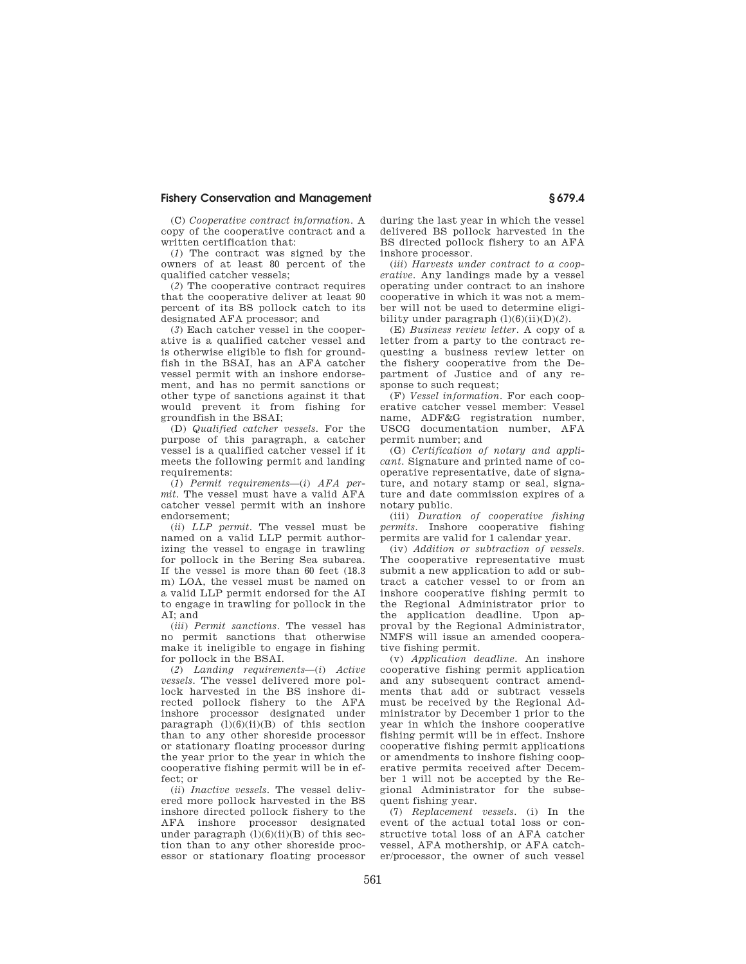(C) *Cooperative contract information.* A copy of the cooperative contract and a written certification that:

(*1*) The contract was signed by the owners of at least 80 percent of the qualified catcher vessels;

(*2*) The cooperative contract requires that the cooperative deliver at least 90 percent of its BS pollock catch to its designated AFA processor; and

(*3*) Each catcher vessel in the cooperative is a qualified catcher vessel and is otherwise eligible to fish for groundfish in the BSAI, has an AFA catcher vessel permit with an inshore endorsement, and has no permit sanctions or other type of sanctions against it that would prevent it from fishing for groundfish in the BSAI;

(D) *Qualified catcher vessels.* For the purpose of this paragraph, a catcher vessel is a qualified catcher vessel if it meets the following permit and landing requirements:

(*1*) *Permit requirements*—(*i*) *AFA permit.* The vessel must have a valid AFA catcher vessel permit with an inshore endorsement;

(*ii*) *LLP permit*. The vessel must be named on a valid LLP permit authorizing the vessel to engage in trawling for pollock in the Bering Sea subarea. If the vessel is more than 60 feet (18.3 m) LOA, the vessel must be named on a valid LLP permit endorsed for the AI to engage in trawling for pollock in the  $AT: and$ 

(*iii*) *Permit sanctions.* The vessel has no permit sanctions that otherwise make it ineligible to engage in fishing for pollock in the BSAI.

(*2*) *Landing requirements*—(*i*) *Active vessels.* The vessel delivered more pollock harvested in the BS inshore directed pollock fishery to the AFA inshore processor designated under paragraph  $(l)(6)(ii)(B)$  of this section than to any other shoreside processor or stationary floating processor during the year prior to the year in which the cooperative fishing permit will be in effect; or

(*ii*) *Inactive vessels*. The vessel delivered more pollock harvested in the BS inshore directed pollock fishery to the AFA inshore processor designated under paragraph  $(l)(6)(ii)(B)$  of this section than to any other shoreside processor or stationary floating processor during the last year in which the vessel delivered BS pollock harvested in the BS directed pollock fishery to an AFA inshore processor.

(*iii*) *Harvests under contract to a cooperative.* Any landings made by a vessel operating under contract to an inshore cooperative in which it was not a member will not be used to determine eligibility under paragraph (l)(6)(ii)(D)(*2*).

(E) *Business review letter.* A copy of a letter from a party to the contract requesting a business review letter on the fishery cooperative from the Department of Justice and of any response to such request;

(F) *Vessel information.* For each cooperative catcher vessel member: Vessel name, ADF&G registration number, USCG documentation number, AFA permit number; and

(G) *Certification of notary and applicant.* Signature and printed name of cooperative representative, date of signature, and notary stamp or seal, signature and date commission expires of a notary public.

(iii) *Duration of cooperative fishing permits.* Inshore cooperative fishing permits are valid for 1 calendar year.

(iv) *Addition or subtraction of vessels.*  The cooperative representative must submit a new application to add or subtract a catcher vessel to or from an inshore cooperative fishing permit to the Regional Administrator prior to the application deadline. Upon approval by the Regional Administrator, NMFS will issue an amended cooperative fishing permit.

(v) *Application deadline.* An inshore cooperative fishing permit application and any subsequent contract amendments that add or subtract vessels must be received by the Regional Administrator by December 1 prior to the year in which the inshore cooperative fishing permit will be in effect. Inshore cooperative fishing permit applications or amendments to inshore fishing cooperative permits received after December 1 will not be accepted by the Regional Administrator for the subsequent fishing year.

(7) *Replacement vessels.* (i) In the event of the actual total loss or constructive total loss of an AFA catcher vessel, AFA mothership, or AFA catcher/processor, the owner of such vessel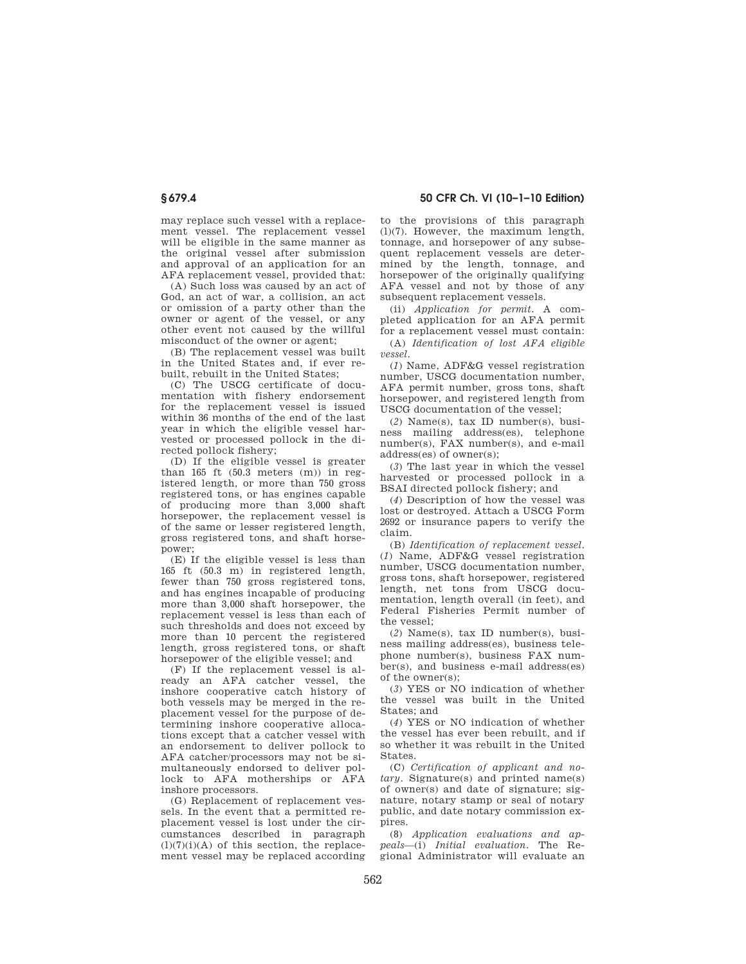may replace such vessel with a replacement vessel. The replacement vessel will be eligible in the same manner as the original vessel after submission and approval of an application for an AFA replacement vessel, provided that:

(A) Such loss was caused by an act of God, an act of war, a collision, an act or omission of a party other than the owner or agent of the vessel, or any other event not caused by the willful misconduct of the owner or agent;

(B) The replacement vessel was built in the United States and, if ever rebuilt, rebuilt in the United States;

(C) The USCG certificate of documentation with fishery endorsement for the replacement vessel is issued within 36 months of the end of the last year in which the eligible vessel harvested or processed pollock in the directed pollock fishery;

(D) If the eligible vessel is greater than  $165$  ft  $(50.3$  meters  $(m)$  in registered length, or more than 750 gross registered tons, or has engines capable of producing more than 3,000 shaft horsepower, the replacement vessel is of the same or lesser registered length, gross registered tons, and shaft horsepower;

(E) If the eligible vessel is less than 165 ft (50.3 m) in registered length, fewer than 750 gross registered tons, and has engines incapable of producing more than 3,000 shaft horsepower, the replacement vessel is less than each of such thresholds and does not exceed by more than 10 percent the registered length, gross registered tons, or shaft horsepower of the eligible vessel; and

(F) If the replacement vessel is already an AFA catcher vessel, the inshore cooperative catch history of both vessels may be merged in the replacement vessel for the purpose of determining inshore cooperative allocations except that a catcher vessel with an endorsement to deliver pollock to AFA catcher/processors may not be simultaneously endorsed to deliver pollock to AFA motherships or AFA inshore processors.

(G) Replacement of replacement vessels. In the event that a permitted replacement vessel is lost under the circumstances described in paragraph  $(l)(7)(i)(A)$  of this section, the replacement vessel may be replaced according to the provisions of this paragraph (l)(7). However, the maximum length, tonnage, and horsepower of any subsequent replacement vessels are determined by the length, tonnage, and horsepower of the originally qualifying AFA vessel and not by those of any subsequent replacement vessels.

(ii) *Application for permit.* A completed application for an AFA permit for a replacement vessel must contain:

(A) *Identification of lost AFA eligible vessel*.

(*1*) Name, ADF&G vessel registration number, USCG documentation number, AFA permit number, gross tons, shaft horsepower, and registered length from USCG documentation of the vessel;

(*2*) Name(s), tax ID number(s), business mailing address(es), telephone number(s), FAX number(s), and e-mail address(es) of owner(s);

(*3*) The last year in which the vessel harvested or processed pollock in a BSAI directed pollock fishery; and

(*4*) Description of how the vessel was lost or destroyed. Attach a USCG Form 2692 or insurance papers to verify the claim.

(B) *Identification of replacement vessel*. (*1*) Name, ADF&G vessel registration number, USCG documentation number, gross tons, shaft horsepower, registered length, net tons from USCG documentation, length overall (in feet), and Federal Fisheries Permit number of the vessel;

(*2*) Name(s), tax ID number(s), business mailing address(es), business telephone number(s), business FAX number(s), and business e-mail address(es) of the owner(s);

(*3*) YES or NO indication of whether the vessel was built in the United States; and

(*4*) YES or NO indication of whether the vessel has ever been rebuilt, and if so whether it was rebuilt in the United **States** 

(C) *Certification of applicant and notary.* Signature(s) and printed name(s) of owner(s) and date of signature; signature, notary stamp or seal of notary public, and date notary commission expires.

(8) *Application evaluations and appeals*—(i) *Initial evaluation.* The Regional Administrator will evaluate an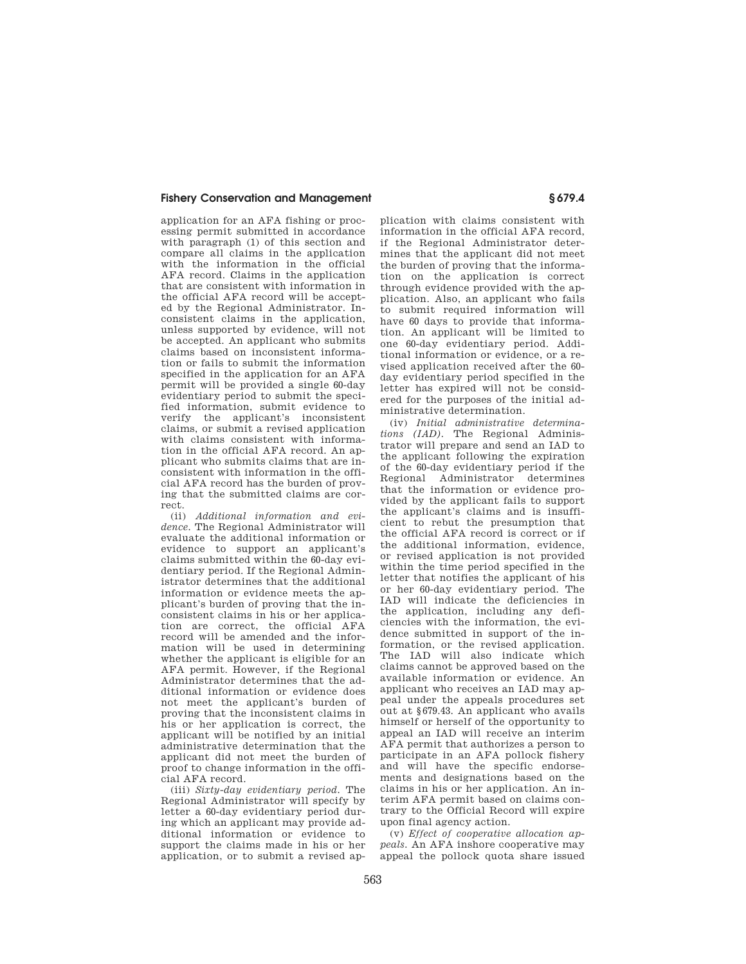application for an AFA fishing or processing permit submitted in accordance with paragraph (1) of this section and compare all claims in the application with the information in the official AFA record. Claims in the application that are consistent with information in the official AFA record will be accepted by the Regional Administrator. Inconsistent claims in the application, unless supported by evidence, will not be accepted. An applicant who submits claims based on inconsistent information or fails to submit the information specified in the application for an AFA permit will be provided a single 60-day evidentiary period to submit the specified information, submit evidence to verify the applicant's inconsistent claims, or submit a revised application with claims consistent with information in the official AFA record. An applicant who submits claims that are inconsistent with information in the official AFA record has the burden of proving that the submitted claims are correct.

(ii) *Additional information and evidence.* The Regional Administrator will evaluate the additional information or evidence to support an applicant's claims submitted within the 60-day evidentiary period. If the Regional Administrator determines that the additional information or evidence meets the applicant's burden of proving that the inconsistent claims in his or her application are correct, the official AFA record will be amended and the information will be used in determining whether the applicant is eligible for an AFA permit. However, if the Regional Administrator determines that the additional information or evidence does not meet the applicant's burden of proving that the inconsistent claims in his or her application is correct, the applicant will be notified by an initial administrative determination that the applicant did not meet the burden of proof to change information in the official AFA record.

(iii) *Sixty-day evidentiary period.* The Regional Administrator will specify by letter a 60-day evidentiary period during which an applicant may provide additional information or evidence to support the claims made in his or her application, or to submit a revised ap-

plication with claims consistent with information in the official AFA record, if the Regional Administrator determines that the applicant did not meet the burden of proving that the information on the application is correct through evidence provided with the application. Also, an applicant who fails to submit required information will have 60 days to provide that information. An applicant will be limited to one 60-day evidentiary period. Additional information or evidence, or a revised application received after the 60 day evidentiary period specified in the letter has expired will not be considered for the purposes of the initial administrative determination.

(iv) *Initial administrative determinations (IAD).* The Regional Administrator will prepare and send an IAD to the applicant following the expiration of the 60-day evidentiary period if the Regional Administrator determines that the information or evidence provided by the applicant fails to support the applicant's claims and is insufficient to rebut the presumption that the official AFA record is correct or if the additional information, evidence, or revised application is not provided within the time period specified in the letter that notifies the applicant of his or her 60-day evidentiary period. The IAD will indicate the deficiencies in the application, including any deficiencies with the information, the evidence submitted in support of the information, or the revised application. The IAD will also indicate which claims cannot be approved based on the available information or evidence. An applicant who receives an IAD may appeal under the appeals procedures set out at §679.43. An applicant who avails himself or herself of the opportunity to appeal an IAD will receive an interim AFA permit that authorizes a person to participate in an AFA pollock fishery and will have the specific endorsements and designations based on the claims in his or her application. An interim AFA permit based on claims contrary to the Official Record will expire upon final agency action.

(v) *Effect of cooperative allocation appeals.* An AFA inshore cooperative may appeal the pollock quota share issued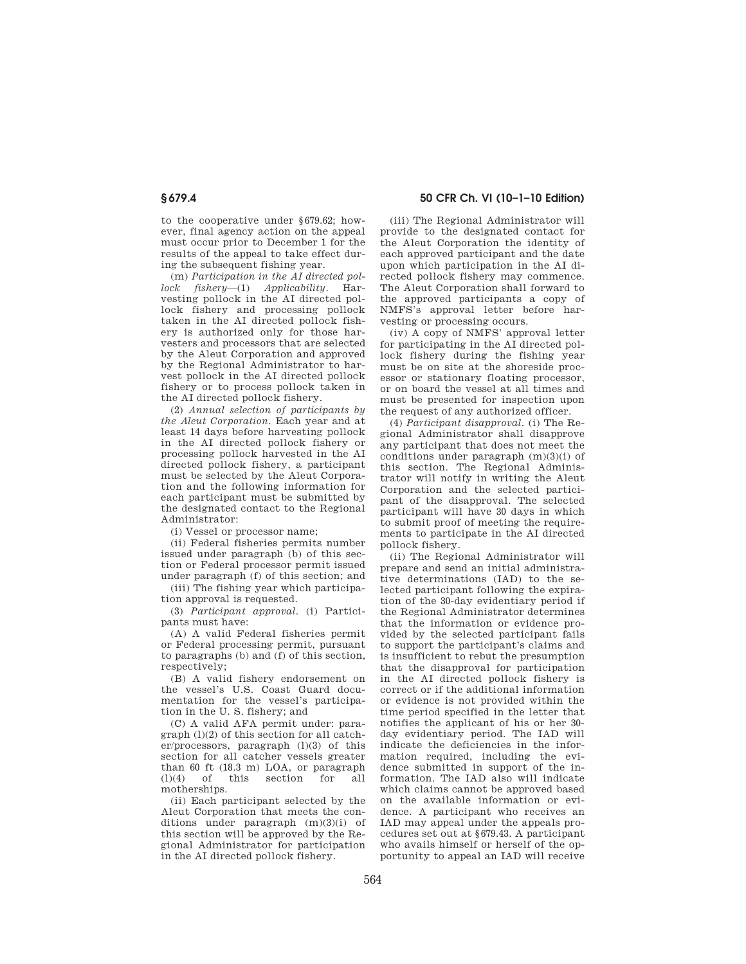to the cooperative under §679.62; however, final agency action on the appeal must occur prior to December 1 for the results of the appeal to take effect during the subsequent fishing year.

(m) *Participation in the AI directed pollock fishery*—(1) *Applicability*. Harvesting pollock in the AI directed pollock fishery and processing pollock taken in the AI directed pollock fishery is authorized only for those harvesters and processors that are selected by the Aleut Corporation and approved by the Regional Administrator to harvest pollock in the AI directed pollock fishery or to process pollock taken in the AI directed pollock fishery.

(2) *Annual selection of participants by the Aleut Corporation*. Each year and at least 14 days before harvesting pollock in the AI directed pollock fishery or processing pollock harvested in the AI directed pollock fishery, a participant must be selected by the Aleut Corporation and the following information for each participant must be submitted by the designated contact to the Regional Administrator:

(i) Vessel or processor name;

(ii) Federal fisheries permits number issued under paragraph (b) of this section or Federal processor permit issued under paragraph (f) of this section; and

(iii) The fishing year which participation approval is requested.

(3) *Participant approval*. (i) Participants must have:

(A) A valid Federal fisheries permit or Federal processing permit, pursuant to paragraphs (b) and (f) of this section, respectively;

(B) A valid fishery endorsement on the vessel's U.S. Coast Guard documentation for the vessel's participation in the U. S. fishery; and

(C) A valid AFA permit under: paragraph (l)(2) of this section for all catcher/processors, paragraph  $(1)(3)$  of this section for all catcher vessels greater than 60 ft (18.3 m) LOA, or paragraph (l)(4) of this section for all motherships.

(ii) Each participant selected by the Aleut Corporation that meets the conditions under paragraph (m)(3)(i) of this section will be approved by the Regional Administrator for participation in the AI directed pollock fishery.

**§ 679.4 50 CFR Ch. VI (10–1–10 Edition)** 

(iii) The Regional Administrator will provide to the designated contact for the Aleut Corporation the identity of each approved participant and the date upon which participation in the AI directed pollock fishery may commence. The Aleut Corporation shall forward to the approved participants a copy of NMFS's approval letter before harvesting or processing occurs.

(iv) A copy of NMFS' approval letter for participating in the AI directed pollock fishery during the fishing year must be on site at the shoreside processor or stationary floating processor, or on board the vessel at all times and must be presented for inspection upon the request of any authorized officer.

(4) *Participant disapproval*. (i) The Regional Administrator shall disapprove any participant that does not meet the conditions under paragraph (m)(3)(i) of this section. The Regional Administrator will notify in writing the Aleut Corporation and the selected participant of the disapproval. The selected participant will have 30 days in which to submit proof of meeting the requirements to participate in the AI directed pollock fishery.

(ii) The Regional Administrator will prepare and send an initial administrative determinations (IAD) to the selected participant following the expiration of the 30-day evidentiary period if the Regional Administrator determines that the information or evidence provided by the selected participant fails to support the participant's claims and is insufficient to rebut the presumption that the disapproval for participation in the AI directed pollock fishery is correct or if the additional information or evidence is not provided within the time period specified in the letter that notifies the applicant of his or her 30 day evidentiary period. The IAD will indicate the deficiencies in the information required, including the evidence submitted in support of the information. The IAD also will indicate which claims cannot be approved based on the available information or evidence. A participant who receives an IAD may appeal under the appeals procedures set out at §679.43. A participant who avails himself or herself of the opportunity to appeal an IAD will receive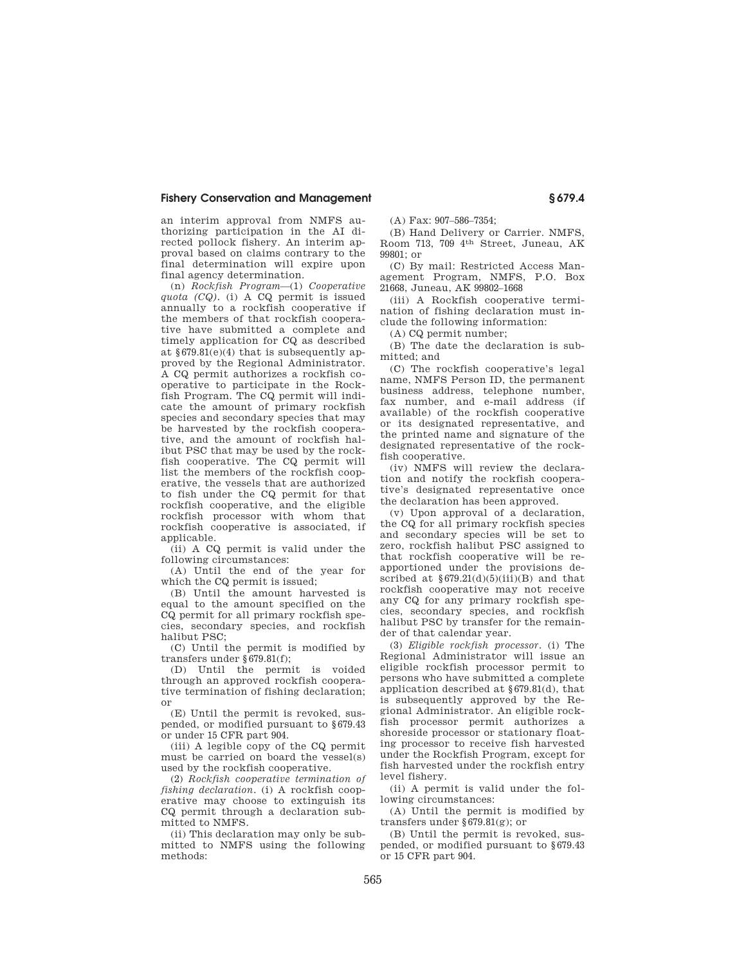an interim approval from NMFS authorizing participation in the AI directed pollock fishery. An interim approval based on claims contrary to the final determination will expire upon final agency determination.

(n) *Rockfish Program*—(1) *Cooperative quota (CQ).* (i) A CQ permit is issued annually to a rockfish cooperative if the members of that rockfish cooperative have submitted a complete and timely application for CQ as described at §679.81(e)(4) that is subsequently approved by the Regional Administrator. A CQ permit authorizes a rockfish cooperative to participate in the Rockfish Program. The CQ permit will indicate the amount of primary rockfish species and secondary species that may be harvested by the rockfish cooperative, and the amount of rockfish halibut PSC that may be used by the rockfish cooperative. The CQ permit will list the members of the rockfish cooperative, the vessels that are authorized to fish under the CQ permit for that rockfish cooperative, and the eligible rockfish processor with whom that rockfish cooperative is associated, if applicable.

(ii) A CQ permit is valid under the following circumstances:

(A) Until the end of the year for which the CQ permit is issued;

(B) Until the amount harvested is equal to the amount specified on the CQ permit for all primary rockfish species, secondary species, and rockfish halibut PSC;

(C) Until the permit is modified by transfers under  $\S679.81(f)$ ;

(D) Until the permit is voided through an approved rockfish cooperative termination of fishing declaration; or

(E) Until the permit is revoked, suspended, or modified pursuant to §679.43 or under 15 CFR part 904.

(iii) A legible copy of the CQ permit must be carried on board the vessel(s) used by the rockfish cooperative.

(2) *Rockfish cooperative termination of fishing declaration.* (i) A rockfish cooperative may choose to extinguish its CQ permit through a declaration submitted to NMFS.

(ii) This declaration may only be submitted to NMFS using the following methods:

(A) Fax: 907–586–7354;

(B) Hand Delivery or Carrier. NMFS, Room 713, 709 4th Street, Juneau, AK 99801; or

(C) By mail: Restricted Access Management Program, NMFS, P.O. Box 21668, Juneau, AK 99802–1668

(iii) A Rockfish cooperative termination of fishing declaration must include the following information:

(A) CQ permit number;

(B) The date the declaration is submitted; and

(C) The rockfish cooperative's legal name, NMFS Person ID, the permanent business address, telephone number, fax number, and e-mail address (if available) of the rockfish cooperative or its designated representative, and the printed name and signature of the designated representative of the rockfish cooperative.

(iv) NMFS will review the declaration and notify the rockfish cooperative's designated representative once the declaration has been approved.

(v) Upon approval of a declaration, the CQ for all primary rockfish species and secondary species will be set to zero, rockfish halibut PSC assigned to that rockfish cooperative will be reapportioned under the provisions described at  $\S 679.21(d)(5)(iii)(B)$  and that rockfish cooperative may not receive any CQ for any primary rockfish species, secondary species, and rockfish halibut PSC by transfer for the remainder of that calendar year.

(3) *Eligible rockfish processor.* (i) The Regional Administrator will issue an eligible rockfish processor permit to persons who have submitted a complete application described at §679.81(d), that is subsequently approved by the Regional Administrator. An eligible rockfish processor permit authorizes a shoreside processor or stationary floating processor to receive fish harvested under the Rockfish Program, except for fish harvested under the rockfish entry level fishery.

(ii) A permit is valid under the following circumstances:

(A) Until the permit is modified by transfers under §679.81(g); or

(B) Until the permit is revoked, suspended, or modified pursuant to §679.43 or 15 CFR part 904.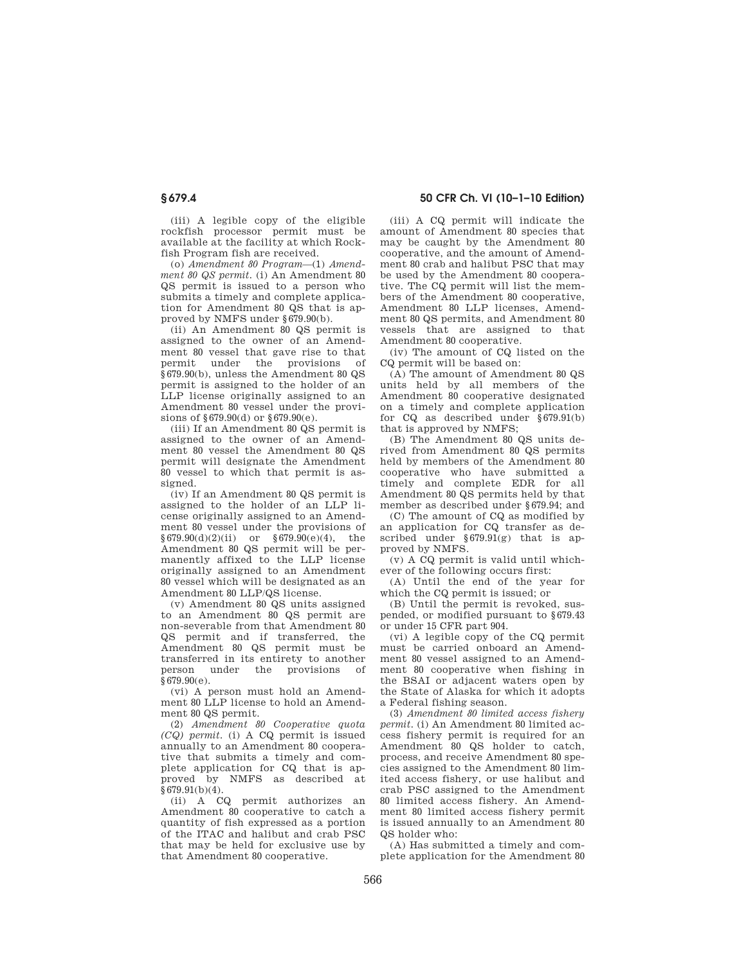(iii) A legible copy of the eligible rockfish processor permit must be available at the facility at which Rockfish Program fish are received.

(o) *Amendment 80 Program*—(1) *Amendment 80 QS permit.* (i) An Amendment 80 QS permit is issued to a person who submits a timely and complete application for Amendment 80 QS that is approved by NMFS under §679.90(b).

(ii) An Amendment 80 QS permit is assigned to the owner of an Amendment 80 vessel that gave rise to that permit under the provisions of §679.90(b), unless the Amendment 80 QS permit is assigned to the holder of an LLP license originally assigned to an Amendment 80 vessel under the provisions of §679.90(d) or §679.90(e).

(iii) If an Amendment 80 QS permit is assigned to the owner of an Amendment 80 vessel the Amendment 80 QS permit will designate the Amendment 80 vessel to which that permit is assigned.

(iv) If an Amendment 80 QS permit is assigned to the holder of an LLP license originally assigned to an Amendment 80 vessel under the provisions of  $§679.90(d)(2)(ii)$  or  $§679.90(e)(4)$ , the Amendment 80 QS permit will be permanently affixed to the LLP license originally assigned to an Amendment 80 vessel which will be designated as an Amendment 80 LLP/QS license.

(v) Amendment 80 QS units assigned to an Amendment 80 QS permit are non-severable from that Amendment 80 QS permit and if transferred, the Amendment 80 QS permit must be transferred in its entirety to another person under the provisions of  $679.90(e)$ 

(vi) A person must hold an Amendment 80 LLP license to hold an Amendment 80 QS permit.

(2) *Amendment 80 Cooperative quota (CQ) permit.* (i) A CQ permit is issued annually to an Amendment 80 cooperative that submits a timely and complete application for CQ that is approved by NMFS as described at  $§679.91(b)(4).$ 

(ii) A CQ permit authorizes an Amendment 80 cooperative to catch a quantity of fish expressed as a portion of the ITAC and halibut and crab PSC that may be held for exclusive use by that Amendment 80 cooperative.

**§ 679.4 50 CFR Ch. VI (10–1–10 Edition)** 

(iii) A CQ permit will indicate the amount of Amendment 80 species that may be caught by the Amendment 80 cooperative, and the amount of Amendment 80 crab and halibut PSC that may be used by the Amendment 80 cooperative. The CQ permit will list the members of the Amendment 80 cooperative, Amendment 80 LLP licenses, Amendment 80 QS permits, and Amendment 80 vessels that are assigned to that Amendment 80 cooperative.

(iv) The amount of CQ listed on the CQ permit will be based on:

(A) The amount of Amendment 80 QS units held by all members of the Amendment 80 cooperative designated on a timely and complete application for CQ as described under §679.91(b) that is approved by NMFS;

(B) The Amendment 80 QS units derived from Amendment 80 QS permits held by members of the Amendment 80 cooperative who have submitted a timely and complete EDR for all Amendment 80 QS permits held by that member as described under §679.94; and

(C) The amount of CQ as modified by an application for CQ transfer as described under §679.91(g) that is approved by NMFS.

(v) A CQ permit is valid until whichever of the following occurs first:

(A) Until the end of the year for which the CQ permit is issued; or

(B) Until the permit is revoked, suspended, or modified pursuant to §679.43 or under 15 CFR part 904.

(vi) A legible copy of the CQ permit must be carried onboard an Amendment 80 vessel assigned to an Amendment 80 cooperative when fishing in the BSAI or adjacent waters open by the State of Alaska for which it adopts a Federal fishing season.

(3) *Amendment 80 limited access fishery permit.* (i) An Amendment 80 limited access fishery permit is required for an Amendment 80 QS holder to catch, process, and receive Amendment 80 species assigned to the Amendment 80 limited access fishery, or use halibut and crab PSC assigned to the Amendment 80 limited access fishery. An Amendment 80 limited access fishery permit is issued annually to an Amendment 80 QS holder who:

(A) Has submitted a timely and complete application for the Amendment 80